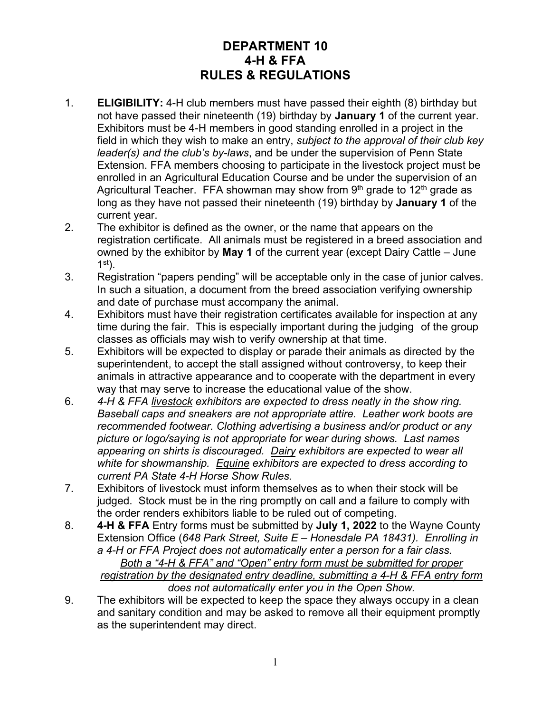# **DEPARTMENT 10 4-H & FFA RULES & REGULATIONS**

- 1. **ELIGIBILITY:** 4-H club members must have passed their eighth (8) birthday but not have passed their nineteenth (19) birthday by **January 1** of the current year. Exhibitors must be 4-H members in good standing enrolled in a project in the field in which they wish to make an entry, *subject to the approval of their club key leader(s) and the club's by-laws*, and be under the supervision of Penn State Extension. FFA members choosing to participate in the livestock project must be enrolled in an Agricultural Education Course and be under the supervision of an Agricultural Teacher. FFA showman may show from  $9<sup>th</sup>$  grade to 12<sup>th</sup> grade as long as they have not passed their nineteenth (19) birthday by **January 1** of the current year.
- 2. The exhibitor is defined as the owner, or the name that appears on the registration certificate. All animals must be registered in a breed association and owned by the exhibitor by **May 1** of the current year (except Dairy Cattle – June  $1<sup>st</sup>$ ).
- 3. Registration "papers pending" will be acceptable only in the case of junior calves. In such a situation, a document from the breed association verifying ownership and date of purchase must accompany the animal.
- 4. Exhibitors must have their registration certificates available for inspection at any time during the fair. This is especially important during the judging of the group classes as officials may wish to verify ownership at that time.
- 5. Exhibitors will be expected to display or parade their animals as directed by the superintendent, to accept the stall assigned without controversy, to keep their animals in attractive appearance and to cooperate with the department in every way that may serve to increase the educational value of the show.
- 6. *4-H & FFA livestock exhibitors are expected to dress neatly in the show ring. Baseball caps and sneakers are not appropriate attire. Leather work boots are recommended footwear. Clothing advertising a business and/or product or any picture or logo/saying is not appropriate for wear during shows. Last names appearing on shirts is discouraged. Dairy exhibitors are expected to wear all white for showmanship. Equine exhibitors are expected to dress according to current PA State 4-H Horse Show Rules.*
- 7. Exhibitors of livestock must inform themselves as to when their stock will be judged. Stock must be in the ring promptly on call and a failure to comply with the order renders exhibitors liable to be ruled out of competing.
- 8. **4-H & FFA** Entry forms must be submitted by **July 1, 2022** to the Wayne County Extension Office (*648 Park Street, Suite E – Honesdale PA 18431). Enrolling in a 4-H or FFA Project does not automatically enter a person for a fair class. Both a "4-H & FFA" and "Open" entry form must be submitted for proper registration by the designated entry deadline, submitting a 4-H & FFA entry form does not automatically enter you in the Open Show.*
- 9. The exhibitors will be expected to keep the space they always occupy in a clean and sanitary condition and may be asked to remove all their equipment promptly as the superintendent may direct.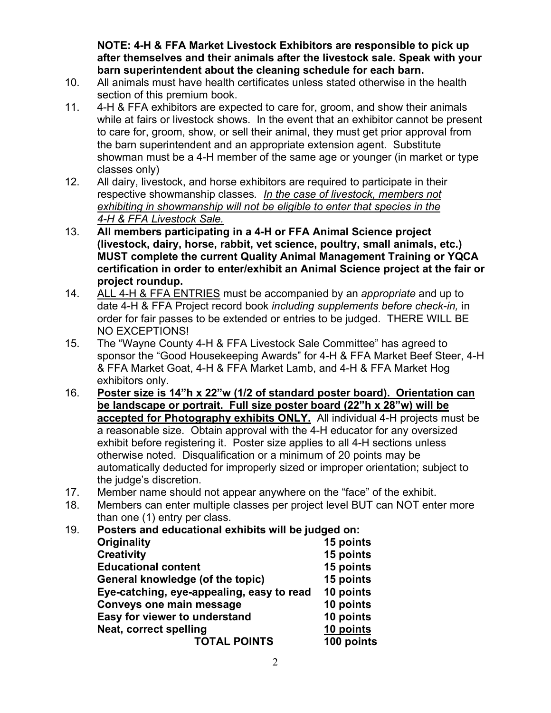**NOTE: 4-H & FFA Market Livestock Exhibitors are responsible to pick up after themselves and their animals after the livestock sale. Speak with your barn superintendent about the cleaning schedule for each barn.** 

- 10. All animals must have health certificates unless stated otherwise in the health section of this premium book.
- 11. 4-H & FFA exhibitors are expected to care for, groom, and show their animals while at fairs or livestock shows. In the event that an exhibitor cannot be present to care for, groom, show, or sell their animal, they must get prior approval from the barn superintendent and an appropriate extension agent. Substitute showman must be a 4-H member of the same age or younger (in market or type classes only)
- 12. All dairy, livestock, and horse exhibitors are required to participate in their respective showmanship classes*. In the case of livestock, members not exhibiting in showmanship will not be eligible to enter that species in the 4-H & FFA Livestock Sale.*
- 13. **All members participating in a 4-H or FFA Animal Science project (livestock, dairy, horse, rabbit, vet science, poultry, small animals, etc.) MUST complete the current Quality Animal Management Training or YQCA certification in order to enter/exhibit an Animal Science project at the fair or project roundup.**
- 14. ALL 4-H & FFA ENTRIES must be accompanied by an *appropriate* and up to date 4-H & FFA Project record book *including supplements before check-in,* in order for fair passes to be extended or entries to be judged. THERE WILL BE NO EXCEPTIONS!
- 15. The "Wayne County 4-H & FFA Livestock Sale Committee" has agreed to sponsor the "Good Housekeeping Awards" for 4-H & FFA Market Beef Steer, 4-H & FFA Market Goat, 4-H & FFA Market Lamb, and 4-H & FFA Market Hog exhibitors only.
- 16. **Poster size is 14"h x 22"w (1/2 of standard poster board). Orientation can be landscape or portrait. Full size poster board (22"h x 28"w) will be accepted for Photography exhibits ONLY.** All individual 4-H projects must be a reasonable size. Obtain approval with the 4-H educator for any oversized exhibit before registering it. Poster size applies to all 4-H sections unless otherwise noted. Disqualification or a minimum of 20 points may be automatically deducted for improperly sized or improper orientation; subject to the judge's discretion.
- 17. Member name should not appear anywhere on the "face" of the exhibit.
- 18. Members can enter multiple classes per project level BUT can NOT enter more than one (1) entry per class.
- 19. **Posters and educational exhibits will be judged on: Originality 15 points Creativity 15 points Educational content 15 points General knowledge (of the topic) 15 points Eye-catching, eye-appealing, easy to read 10 points Conveys one main message 10 points Easy for viewer to understand 10 points Neat, correct spelling TOTAL POINTS 100 points**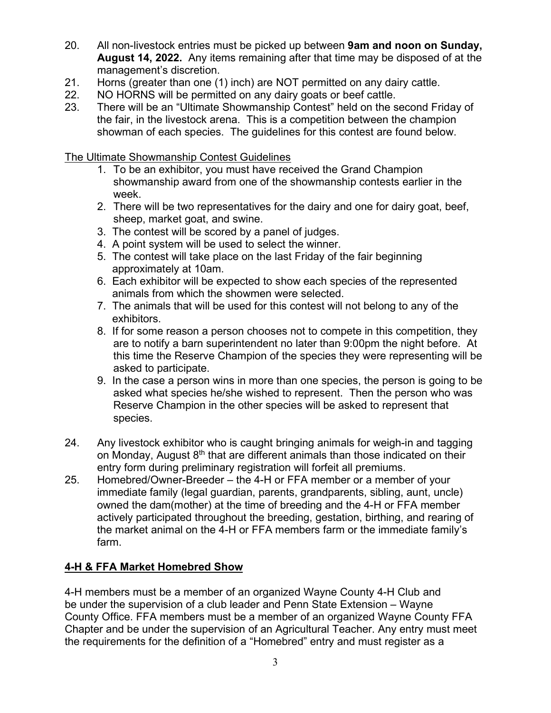- 20. All non-livestock entries must be picked up between **9am and noon on Sunday, August 14, 2022.** Any items remaining after that time may be disposed of at the management's discretion.
- 21. Horns (greater than one (1) inch) are NOT permitted on any dairy cattle.
- 22. NO HORNS will be permitted on any dairy goats or beef cattle.
- 23. There will be an "Ultimate Showmanship Contest" held on the second Friday of the fair, in the livestock arena. This is a competition between the champion showman of each species. The guidelines for this contest are found below.

The Ultimate Showmanship Contest Guidelines

- 1. To be an exhibitor, you must have received the Grand Champion showmanship award from one of the showmanship contests earlier in the week.
- 2. There will be two representatives for the dairy and one for dairy goat, beef, sheep, market goat, and swine.
- 3. The contest will be scored by a panel of judges.
- 4. A point system will be used to select the winner.
- 5. The contest will take place on the last Friday of the fair beginning approximately at 10am.
- 6. Each exhibitor will be expected to show each species of the represented animals from which the showmen were selected.
- 7. The animals that will be used for this contest will not belong to any of the exhibitors.
- 8. If for some reason a person chooses not to compete in this competition, they are to notify a barn superintendent no later than 9:00pm the night before. At this time the Reserve Champion of the species they were representing will be asked to participate.
- 9. In the case a person wins in more than one species, the person is going to be asked what species he/she wished to represent. Then the person who was Reserve Champion in the other species will be asked to represent that species.
- 24. Any livestock exhibitor who is caught bringing animals for weigh-in and tagging on Monday, August 8<sup>th</sup> that are different animals than those indicated on their entry form during preliminary registration will forfeit all premiums.
- 25. Homebred/Owner-Breeder the 4-H or FFA member or a member of your immediate family (legal guardian, parents, grandparents, sibling, aunt, uncle) owned the dam(mother) at the time of breeding and the 4-H or FFA member actively participated throughout the breeding, gestation, birthing, and rearing of the market animal on the 4-H or FFA members farm or the immediate family's farm.

# **4-H & FFA Market Homebred Show**

4-H members must be a member of an organized Wayne County 4-H Club and be under the supervision of a club leader and Penn State Extension – Wayne County Office. FFA members must be a member of an organized Wayne County FFA Chapter and be under the supervision of an Agricultural Teacher. Any entry must meet the requirements for the definition of a "Homebred" entry and must register as a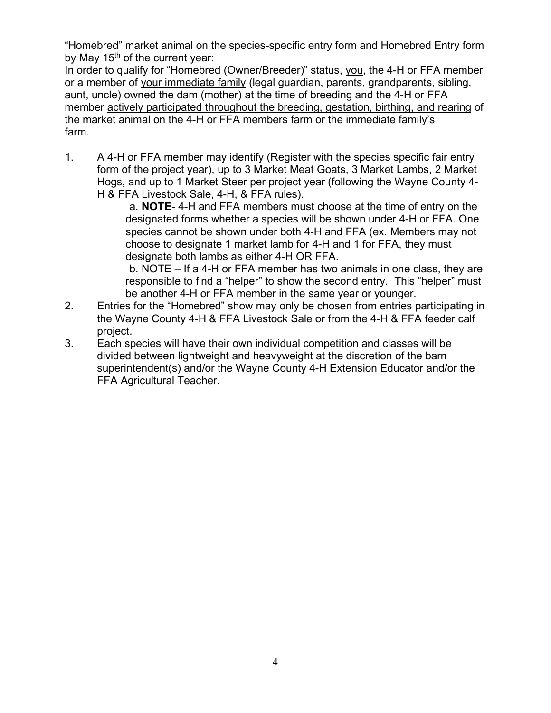"Homebred" market animal on the species-specific entry form and Homebred Entry form by May 15<sup>th</sup> of the current year:

In order to qualify for "Homebred (Owner/Breeder)" status, you, the 4-H or FFA member or a member of your immediate family (legal guardian, parents, grandparents, sibling, aunt, uncle) owned the dam (mother) at the time of breeding and the 4-H or FFA member actively participated throughout the breeding, gestation, birthing, and rearing of the market animal on the 4-H or FFA members farm or the immediate family's farm.

1. A 4-H or FFA member may identify (Register with the species specific fair entry form of the project year), up to 3 Market Meat Goats, 3 Market Lambs, 2 Market Hogs, and up to 1 Market Steer per project year (following the Wayne County 4- H & FFA Livestock Sale, 4-H, & FFA rules).

 a. **NOTE**- 4-H and FFA members must choose at the time of entry on the designated forms whether a species will be shown under 4-H or FFA. One species cannot be shown under both 4-H and FFA (ex. Members may not choose to designate 1 market lamb for 4-H and 1 for FFA, they must designate both lambs as either 4-H OR FFA.

b. NOTE – If a 4-H or FFA member has two animals in one class, they are responsible to find a "helper" to show the second entry. This "helper" must be another 4-H or FFA member in the same year or younger.

- 2. Entries for the "Homebred" show may only be chosen from entries participating in the Wayne County 4-H & FFA Livestock Sale or from the 4-H & FFA feeder calf project.
- 3. Each species will have their own individual competition and classes will be divided between lightweight and heavyweight at the discretion of the barn superintendent(s) and/or the Wayne County 4-H Extension Educator and/or the FFA Agricultural Teacher.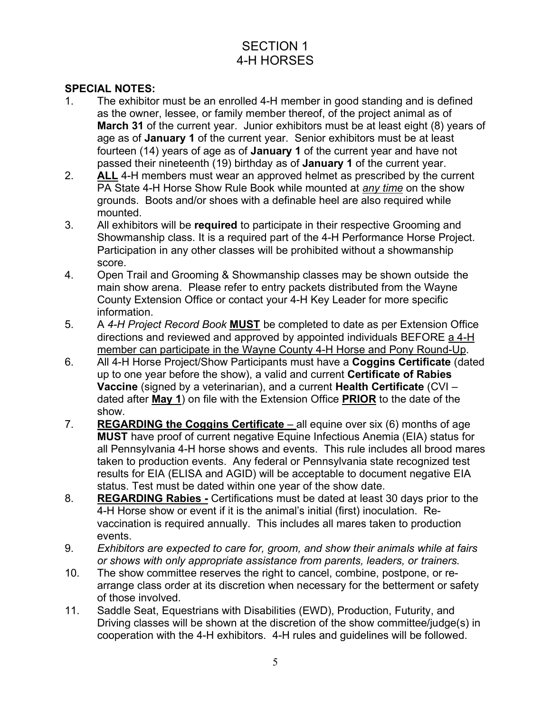# SECTION 1 4-H HORSES

### **SPECIAL NOTES:**

- 1. The exhibitor must be an enrolled 4-H member in good standing and is defined as the owner, lessee, or family member thereof, of the project animal as of **March 31** of the current year. Junior exhibitors must be at least eight (8) years of age as of **January 1** of the current year. Senior exhibitors must be at least fourteen (14) years of age as of **January 1** of the current year and have not passed their nineteenth (19) birthday as of **January 1** of the current year.
- 2. **ALL** 4-H members must wear an approved helmet as prescribed by the current PA State 4-H Horse Show Rule Book while mounted at *any time* on the show grounds. Boots and/or shoes with a definable heel are also required while mounted.
- 3. All exhibitors will be **required** to participate in their respective Grooming and Showmanship class. It is a required part of the 4-H Performance Horse Project. Participation in any other classes will be prohibited without a showmanship score.
- 4. Open Trail and Grooming & Showmanship classes may be shown outside the main show arena. Please refer to entry packets distributed from the Wayne County Extension Office or contact your 4-H Key Leader for more specific information.
- 5. A *4-H Project Record Book* **MUST** be completed to date as per Extension Office directions and reviewed and approved by appointed individuals BEFORE a 4-H member can participate in the Wayne County 4-H Horse and Pony Round-Up.
- 6. All 4-H Horse Project/Show Participants must have a **Coggins Certificate** (dated up to one year before the show), a valid and current **Certificate of Rabies Vaccine** (signed by a veterinarian), and a current **Health Certificate** (CVI – dated after **May 1**) on file with the Extension Office **PRIOR** to the date of the show.
- 7. **REGARDING the Coggins Certificate** all equine over six (6) months of age **MUST** have proof of current negative Equine Infectious Anemia (EIA) status for all Pennsylvania 4-H horse shows and events. This rule includes all brood mares taken to production events. Any federal or Pennsylvania state recognized test results for EIA (ELISA and AGID) will be acceptable to document negative EIA status. Test must be dated within one year of the show date.
- 8. **REGARDING Rabies -** Certifications must be dated at least 30 days prior to the 4-H Horse show or event if it is the animal's initial (first) inoculation. Revaccination is required annually. This includes all mares taken to production events.
- 9. *Exhibitors are expected to care for, groom, and show their animals while at fairs or shows with only appropriate assistance from parents, leaders, or trainers.*
- 10. The show committee reserves the right to cancel, combine, postpone, or rearrange class order at its discretion when necessary for the betterment or safety of those involved.
- 11. Saddle Seat, Equestrians with Disabilities (EWD), Production, Futurity, and Driving classes will be shown at the discretion of the show committee/judge(s) in cooperation with the 4-H exhibitors. 4-H rules and guidelines will be followed.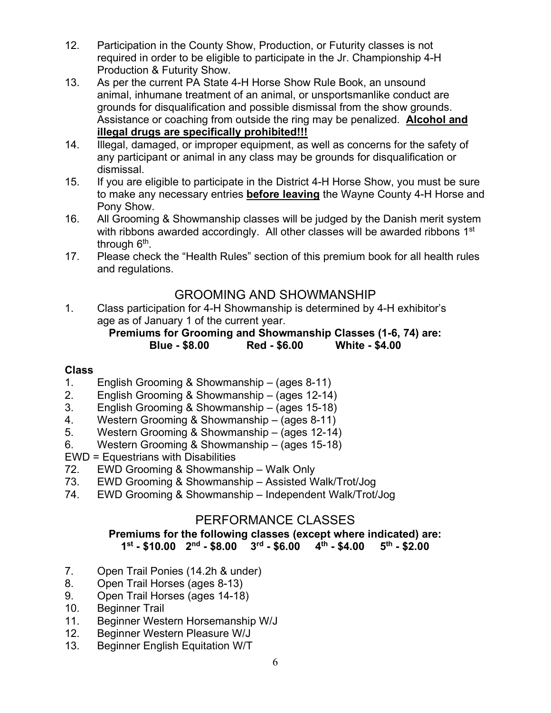- 12. Participation in the County Show, Production, or Futurity classes is not required in order to be eligible to participate in the Jr. Championship 4-H Production & Futurity Show.
- 13. As per the current PA State 4-H Horse Show Rule Book, an unsound animal, inhumane treatment of an animal, or unsportsmanlike conduct are grounds for disqualification and possible dismissal from the show grounds. Assistance or coaching from outside the ring may be penalized. **Alcohol and illegal drugs are specifically prohibited!!!**
- 14. Illegal, damaged, or improper equipment, as well as concerns for the safety of any participant or animal in any class may be grounds for disqualification or dismissal.
- 15. If you are eligible to participate in the District 4-H Horse Show, you must be sure to make any necessary entries **before leaving** the Wayne County 4-H Horse and Pony Show.
- 16. All Grooming & Showmanship classes will be judged by the Danish merit system with ribbons awarded accordingly. All other classes will be awarded ribbons 1<sup>st</sup> through 6<sup>th</sup>.
- 17. Please check the "Health Rules" section of this premium book for all health rules and regulations.

# GROOMING AND SHOWMANSHIP

1. Class participation for 4-H Showmanship is determined by 4-H exhibitor's age as of January 1 of the current year.

# **Premiums for Grooming and Showmanship Classes (1-6, 74) are: Blue - \$8.00 Red - \$6.00 White - \$4.00**

# **Class**

- 1. English Grooming & Showmanship (ages 8-11)
- 2. English Grooming & Showmanship (ages 12-14)
- 3. English Grooming & Showmanship (ages 15-18)
- 4. Western Grooming & Showmanship (ages 8-11)<br>5. Western Grooming & Showmanship (ages 12-14)
- Western Grooming & Showmanship (ages 12-14)
- 6. Western Grooming & Showmanship (ages 15-18)
- EWD = Equestrians with Disabilities
- 72. EWD Grooming & Showmanship Walk Only
- 73. EWD Grooming & Showmanship Assisted Walk/Trot/Jog
- 74. EWD Grooming & Showmanship Independent Walk/Trot/Jog

# PERFORMANCE CLASSES

#### **Premiums for the following classes (except where indicated) are:**  $1^{\text{st}}$  - \$10.00  $2^{\text{nd}}$  - \$8.00  $3^{\text{rd}}$  - \$6.00

- 7. Open Trail Ponies (14.2h & under)
- 8. Open Trail Horses (ages 8-13)
- 9. Open Trail Horses (ages 14-18)
- 10. Beginner Trail
- 11. Beginner Western Horsemanship W/J
- 12. Beginner Western Pleasure W/J
- 13. Beginner English Equitation W/T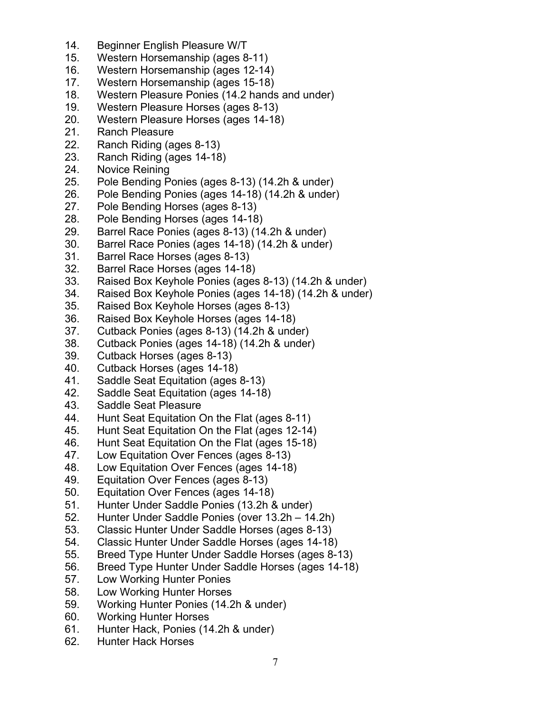- 14. Beginner English Pleasure W/T
- 15. Western Horsemanship (ages 8-11)
- 16. Western Horsemanship (ages 12-14)
- 17. Western Horsemanship (ages 15-18)
- 18. Western Pleasure Ponies (14.2 hands and under)
- 19. Western Pleasure Horses (ages 8-13)
- 20. Western Pleasure Horses (ages 14-18)
- 21. Ranch Pleasure<br>22. Ranch Riding (a)
- Ranch Riding (ages 8-13)
- 23. Ranch Riding (ages 14-18)
- 24. Novice Reining
- 25. Pole Bending Ponies (ages 8-13) (14.2h & under)
- 26. Pole Bending Ponies (ages 14-18) (14.2h & under)
- 27. Pole Bending Horses (ages 8-13)
- 28. Pole Bending Horses (ages 14-18)
- 29. Barrel Race Ponies (ages 8-13) (14.2h & under)
- 30. Barrel Race Ponies (ages 14-18) (14.2h & under)
- 31. Barrel Race Horses (ages 8-13)
- 32. Barrel Race Horses (ages 14-18)
- 33. Raised Box Keyhole Ponies (ages 8-13) (14.2h & under)
- 34. Raised Box Keyhole Ponies (ages 14-18) (14.2h & under)
- 35. Raised Box Keyhole Horses (ages 8-13)
- 36. Raised Box Keyhole Horses (ages 14-18)
- 37. Cutback Ponies (ages 8-13) (14.2h & under)
- 38. Cutback Ponies (ages 14-18) (14.2h & under)
- 39. Cutback Horses (ages 8-13)
- 40. Cutback Horses (ages 14-18)
- 41. Saddle Seat Equitation (ages 8-13)
- 42. Saddle Seat Equitation (ages 14-18)
- 43. Saddle Seat Pleasure
- 44. Hunt Seat Equitation On the Flat (ages 8-11)
- 45. Hunt Seat Equitation On the Flat (ages 12-14)
- 46. Hunt Seat Equitation On the Flat (ages 15-18)
- 47. Low Equitation Over Fences (ages 8-13)
- 48. Low Equitation Over Fences (ages 14-18)
- 49. Equitation Over Fences (ages 8-13)
- 50. Equitation Over Fences (ages 14-18)
- 51. Hunter Under Saddle Ponies (13.2h & under)
- 52. Hunter Under Saddle Ponies (over 13.2h 14.2h)
- 53. Classic Hunter Under Saddle Horses (ages 8-13)
- 54. Classic Hunter Under Saddle Horses (ages 14-18)
- 55. Breed Type Hunter Under Saddle Horses (ages 8-13)
- 56. Breed Type Hunter Under Saddle Horses (ages 14-18)
- 57. Low Working Hunter Ponies
- 58. Low Working Hunter Horses
- 59. Working Hunter Ponies (14.2h & under)
- 60. Working Hunter Horses
- 61. Hunter Hack, Ponies (14.2h & under)
- 62. Hunter Hack Horses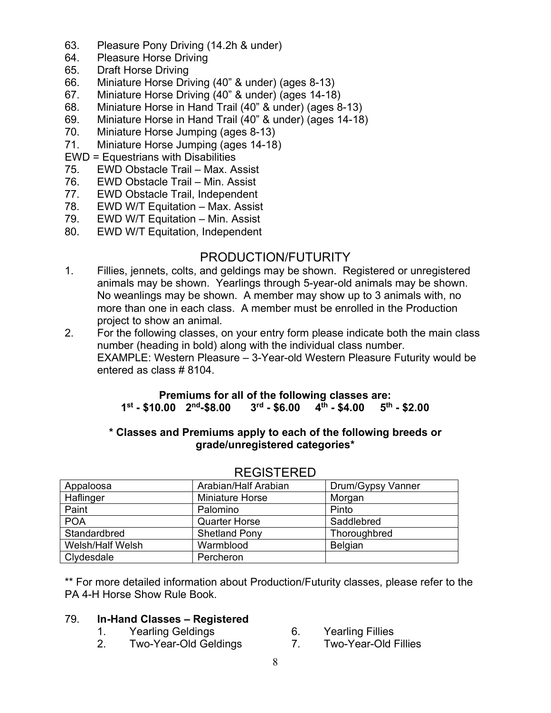- 63. Pleasure Pony Driving (14.2h & under)
- 64. Pleasure Horse Driving
- 65. Draft Horse Driving
- 66. Miniature Horse Driving (40" & under) (ages 8-13)
- 67. Miniature Horse Driving (40" & under) (ages 14-18)
- 68. Miniature Horse in Hand Trail (40" & under) (ages 8-13)
- 69. Miniature Horse in Hand Trail (40" & under) (ages 14-18)
- 70. Miniature Horse Jumping (ages 8-13)
- Miniature Horse Jumping (ages 14-18)
- EWD = Equestrians with Disabilities
- 75. EWD Obstacle Trail Max. Assist
- 76. EWD Obstacle Trail Min. Assist
- 77. EWD Obstacle Trail, Independent<br>78. EWD W/T Equitation Max. Assis
- EWD W/T Equitation Max. Assist
- 79. EWD W/T Equitation Min. Assist
- 80. EWD W/T Equitation, Independent

# PRODUCTION/FUTURITY

- 1. Fillies, jennets, colts, and geldings may be shown. Registered or unregistered animals may be shown. Yearlings through 5-year-old animals may be shown. No weanlings may be shown. A member may show up to 3 animals with, no more than one in each class. A member must be enrolled in the Production project to show an animal.
- 2. For the following classes, on your entry form please indicate both the main class number (heading in bold) along with the individual class number. EXAMPLE: Western Pleasure – 3-Year-old Western Pleasure Futurity would be entered as class # 8104.

#### **Premiums for all of the following classes are: 1st - \$10.00 2nd-\$8.00 3rd - \$6.00 4th - \$4.00 5th - \$2.00**

#### **\* Classes and Premiums apply to each of the following breeds or grade/unregistered categories\***

| Appaloosa        | Arabian/Half Arabian | Drum/Gypsy Vanner |
|------------------|----------------------|-------------------|
| Haflinger        | Miniature Horse      | Morgan            |
| Paint            | Palomino             | Pinto             |
| <b>POA</b>       | <b>Quarter Horse</b> | Saddlebred        |
| Standardbred     | <b>Shetland Pony</b> | Thoroughbred      |
| Welsh/Half Welsh | Warmblood            | <b>Belgian</b>    |
| Clydesdale       | Percheron            |                   |

#### REGISTERED

\*\* For more detailed information about Production/Futurity classes, please refer to the PA 4-H Horse Show Rule Book.

#### 79. **In-Hand Classes – Registered**

- 1. Yearling Geldings 6. Yearling Fillies
- 2. Two-Year-Old Geldings 7. Two-Year-Old Fillies
- -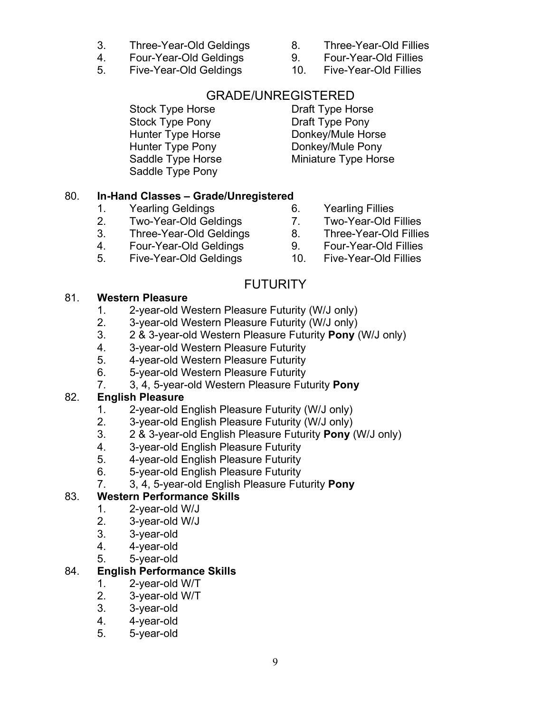- 3. Three-Year-Old Geldings 8. Three-Year-Old Fillies
- 4. Four-Year-Old Geldings 9. Four-Year-Old Fillies
- 5. Five-Year-Old Geldings 10. Five-Year-Old Fillies
- 
- -

# GRADE/UNREGISTERED

Stock Type Horse **Draft Type Horse** Stock Type Pony Draft Type Pony Hunter Type Horse **Donkey/Mule Horse** Hunter Type Pony **Donkey/Mule Pony** Saddle Type Pony

Saddle Type Horse Miniature Type Horse

# 80. **In-Hand Classes – Grade/Unregistered**

- 1. Yearling Geldings 6. Yearling Fillies
- 2. Two-Year-Old Geldings 7. Two-Year-Old Fillies
- 3. Three-Year-Old Geldings 8. Three-Year-Old Fillies
- 4. Four-Year-Old Geldings 9. Four-Year-Old Fillies
- 5. Five-Year-Old Geldings 10. Five-Year-Old Fillies

# **FUTURITY**

# 81. **Western Pleasure**

- 1. 2-year-old Western Pleasure Futurity (W/J only)
- 2. 3-year-old Western Pleasure Futurity (W/J only)
- 3. 2 & 3-year-old Western Pleasure Futurity **Pony** (W/J only)
- 4. 3-year-old Western Pleasure Futurity
- 5. 4-year-old Western Pleasure Futurity
- 6. 5-year-old Western Pleasure Futurity
- 7. 3, 4, 5-year-old Western Pleasure Futurity **Pony**

# 82. **English Pleasure**

- 
- 1. 2-year-old English Pleasure Futurity (W/J only)<br>2. 3-year-old English Pleasure Futurity (W/J only) 2. 3-year-old English Pleasure Futurity (W/J only)
- 3. 2 & 3-year-old English Pleasure Futurity **Pony** (W/J only)
- 4. 3-year-old English Pleasure Futurity
- 5. 4-year-old English Pleasure Futurity
- 6. 5-year-old English Pleasure Futurity
- 7. 3, 4, 5-year-old English Pleasure Futurity **Pony**

# 83. **Western Performance Skills**

- 1. 2-year-old W/J
- 2. 3-year-old W/J
- 3. 3-year-old
- 4. 4-year-old
- 5. 5-year-old

# 84. **English Performance Skills**

- 1. 2-year-old W/T
- 2. 3-year-old W/T
- 3. 3-year-old
- 4. 4-year-old
- 5. 5-year-old
- 
- 
- 
- 
- 
- 
- -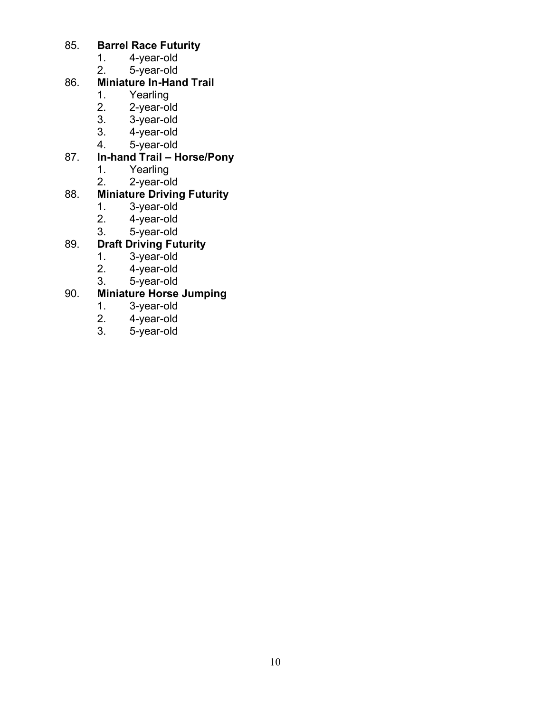# 85. **Barrel Race Futurity**

- 1. 4-year-old<br>2. 5-year-old
- 5-year-old

# 86. **Miniature In-Hand Trail**

- 
- 1. Yearling<br>2. 2-year-ol 2. 2-year-old<br>3. 3-year-old
- 3. 3-year-old
- 3. 4-year-old<br>4. 5-year-old
- 5-year-old

# 87. **In-hand Trail – Horse/Pony**

- Yearling
- 2. 2-year-old

# 88. **Miniature Driving Futurity**

- 1. 3-year-old<sup>1</sup><br>2. 4-year-old
- 4-year-old
- 3. 5-year-old

# 89. **Draft Driving Futurity**

- 1. 3-year-old<br>2. 4-year-old
- 2. 4-year-old
- 3. 5-year-old

# 90. **Miniature Horse Jumping**

- 1. 3-year-old
- 2. 4-year-old<br>3. 5-year-old
- 3. 5-year-old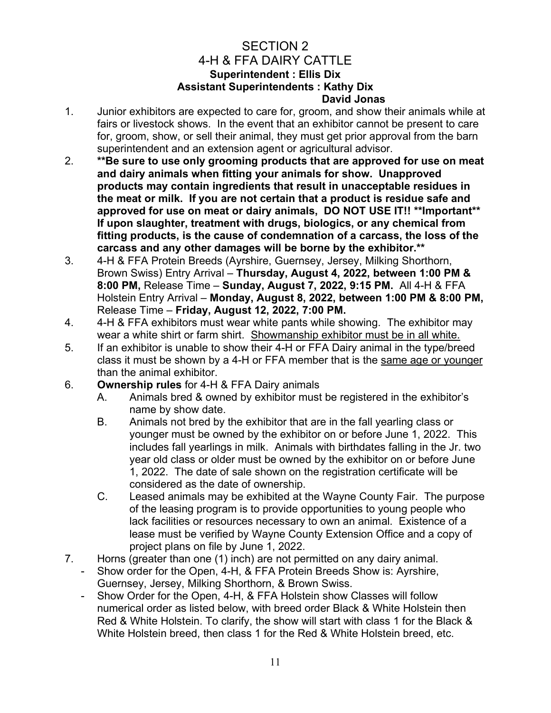#### SECTION 2 4-H & FFA DAIRY CATTLE **Superintendent : Ellis Dix Assistant Superintendents : Kathy Dix David Jonas**

- 1. Junior exhibitors are expected to care for, groom, and show their animals while at fairs or livestock shows. In the event that an exhibitor cannot be present to care for, groom, show, or sell their animal, they must get prior approval from the barn superintendent and an extension agent or agricultural advisor.
- 2. **\*\*Be sure to use only grooming products that are approved for use on meat and dairy animals when fitting your animals for show. Unapproved products may contain ingredients that result in unacceptable residues in the meat or milk. If you are not certain that a product is residue safe and approved for use on meat or dairy animals, DO NOT USE IT!! \*\*Important\*\* If upon slaughter, treatment with drugs, biologics, or any chemical from fitting products, is the cause of condemnation of a carcass, the loss of the carcass and any other damages will be borne by the exhibitor.\*\***
- 3. 4-H & FFA Protein Breeds (Ayrshire, Guernsey, Jersey, Milking Shorthorn, Brown Swiss) Entry Arrival – **Thursday, August 4, 2022, between 1:00 PM & 8:00 PM,** Release Time – **Sunday, August 7, 2022, 9:15 PM.** All 4-H & FFA Holstein Entry Arrival – **Monday, August 8, 2022, between 1:00 PM & 8:00 PM,**  Release Time – **Friday, August 12, 2022, 7:00 PM.**
- 4. 4-H & FFA exhibitors must wear white pants while showing. The exhibitor may wear a white shirt or farm shirt. Showmanship exhibitor must be in all white.
- 5. If an exhibitor is unable to show their 4-H or FFA Dairy animal in the type/breed class it must be shown by a 4-H or FFA member that is the same age or younger than the animal exhibitor.
- 6. **Ownership rules** for 4-H & FFA Dairy animals
	- A. Animals bred & owned by exhibitor must be registered in the exhibitor's name by show date.
	- B. Animals not bred by the exhibitor that are in the fall yearling class or younger must be owned by the exhibitor on or before June 1, 2022. This includes fall yearlings in milk. Animals with birthdates falling in the Jr. two year old class or older must be owned by the exhibitor on or before June 1, 2022. The date of sale shown on the registration certificate will be considered as the date of ownership.
	- C. Leased animals may be exhibited at the Wayne County Fair. The purpose of the leasing program is to provide opportunities to young people who lack facilities or resources necessary to own an animal. Existence of a lease must be verified by Wayne County Extension Office and a copy of project plans on file by June 1, 2022.
- 7. Horns (greater than one (1) inch) are not permitted on any dairy animal.
	- Show order for the Open, 4-H, & FFA Protein Breeds Show is: Ayrshire, Guernsey, Jersey, Milking Shorthorn, & Brown Swiss.
	- Show Order for the Open, 4-H, & FFA Holstein show Classes will follow numerical order as listed below, with breed order Black & White Holstein then Red & White Holstein. To clarify, the show will start with class 1 for the Black & White Holstein breed, then class 1 for the Red & White Holstein breed, etc.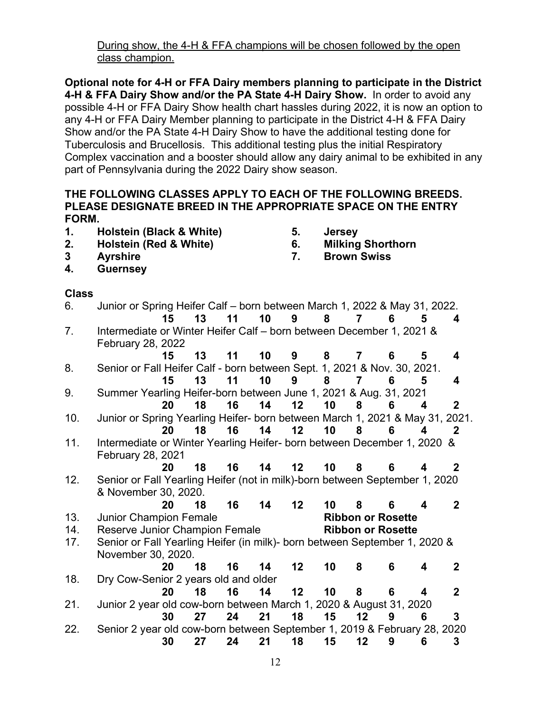During show, the 4-H & FFA champions will be chosen followed by the open class champion.

**Optional note for 4-H or FFA Dairy members planning to participate in the District 4-H & FFA Dairy Show and/or the PA State 4-H Dairy Show.** In order to avoid any possible 4-H or FFA Dairy Show health chart hassles during 2022, it is now an option to any 4-H or FFA Dairy Member planning to participate in the District 4-H & FFA Dairy Show and/or the PA State 4-H Dairy Show to have the additional testing done for Tuberculosis and Brucellosis. This additional testing plus the initial Respiratory Complex vaccination and a booster should allow any dairy animal to be exhibited in any part of Pennsylvania during the 2022 Dairy show season.

#### **THE FOLLOWING CLASSES APPLY TO EACH OF THE FOLLOWING BREEDS. PLEASE DESIGNATE BREED IN THE APPROPRIATE SPACE ON THE ENTRY FORM.**

- **1. Holstein (Black & White) 5. Jersey**
- **2. Holstein (Red & White) 6. Milking Shorthorn**
- **3 Ayrshire 7. Brown Swiss**
- **4. Guernsey**

# **Class**

| 6.  | Junior or Spring Heifer Calf – born between March 1, 2022 & May 31, 2022.    |    |    |    |    |                 |    |                |                          |                         |                |
|-----|------------------------------------------------------------------------------|----|----|----|----|-----------------|----|----------------|--------------------------|-------------------------|----------------|
|     |                                                                              | 15 | 13 | 11 | 10 | 9               | 8  | 7              | 6                        | 5                       | 4              |
| 7.  | Intermediate or Winter Heifer Calf - born between December 1, 2021 &         |    |    |    |    |                 |    |                |                          |                         |                |
|     | February 28, 2022                                                            |    |    |    |    |                 |    |                |                          |                         |                |
|     |                                                                              | 15 | 13 | 11 | 10 | 9               | 8  | $\overline{7}$ | 6                        | 5                       | 4              |
| 8.  | Senior or Fall Heifer Calf - born between Sept. 1, 2021 & Nov. 30, 2021.     |    |    |    |    |                 |    |                |                          |                         |                |
|     |                                                                              | 15 | 13 | 11 | 10 | 9               | 8  | 7              | 6                        | 5                       | 4              |
| 9.  | Summer Yearling Heifer-born between June 1, 2021 & Aug. 31, 2021             |    |    |    |    |                 |    |                |                          |                         |                |
|     |                                                                              | 20 | 18 | 16 | 14 | 12              | 10 | 8              | 6                        | $\overline{\mathbf{4}}$ | $\mathbf{2}$   |
| 10. | Junior or Spring Yearling Heifer- born between March 1, 2021 & May 31, 2021. |    |    |    |    |                 |    |                |                          |                         |                |
|     |                                                                              | 20 | 18 | 16 | 14 | 12 <sub>2</sub> | 10 | 8              | 6                        | $\overline{\mathbf{4}}$ | $\mathbf{2}$   |
| 11. | Intermediate or Winter Yearling Heifer- born between December 1, 2020 &      |    |    |    |    |                 |    |                |                          |                         |                |
|     | February 28, 2021                                                            |    |    |    |    |                 |    |                |                          |                         |                |
|     |                                                                              | 20 | 18 | 16 | 14 | 12 <sup>2</sup> | 10 | 8              | 6                        | 4                       | 2              |
| 12. | Senior or Fall Yearling Heifer (not in milk)-born between September 1, 2020  |    |    |    |    |                 |    |                |                          |                         |                |
|     | & November 30, 2020.                                                         |    |    |    |    |                 |    |                |                          |                         |                |
|     |                                                                              | 20 | 18 | 16 | 14 | 12 <sup>2</sup> | 10 | 8              | 6                        | 4                       | $\mathbf{2}$   |
| 13. | <b>Junior Champion Female</b>                                                |    |    |    |    |                 |    |                | <b>Ribbon or Rosette</b> |                         |                |
| 14. | Reserve Junior Champion Female                                               |    |    |    |    |                 |    |                | <b>Ribbon or Rosette</b> |                         |                |
| 17. | Senior or Fall Yearling Heifer (in milk)- born between September 1, 2020 &   |    |    |    |    |                 |    |                |                          |                         |                |
|     | November 30, 2020.                                                           |    |    |    |    |                 |    |                |                          |                         |                |
|     |                                                                              | 20 | 18 | 16 | 14 | 12              | 10 | 8              | 6                        | 4                       | $\mathbf{2}$   |
| 18. | Dry Cow-Senior 2 years old and older                                         |    |    |    |    |                 |    |                |                          |                         |                |
|     |                                                                              | 20 | 18 | 16 | 14 | 12 <sub>2</sub> | 10 | 8              | 6                        | 4                       | $\overline{2}$ |
| 21. | Junior 2 year old cow-born between March 1, 2020 & August 31, 2020           |    |    |    |    |                 |    |                |                          |                         |                |
|     |                                                                              | 30 | 27 | 24 | 21 | 18              | 15 | 12             | 9                        | 6                       | $\overline{3}$ |
|     |                                                                              |    |    |    |    |                 |    |                |                          |                         |                |
| 22. | Senior 2 year old cow-born between September 1, 2019 & February 28, 2020     |    |    |    |    |                 |    |                |                          |                         |                |
|     |                                                                              | 30 | 27 | 24 | 21 | 18              | 15 | 12             | 9                        | 6                       | 3              |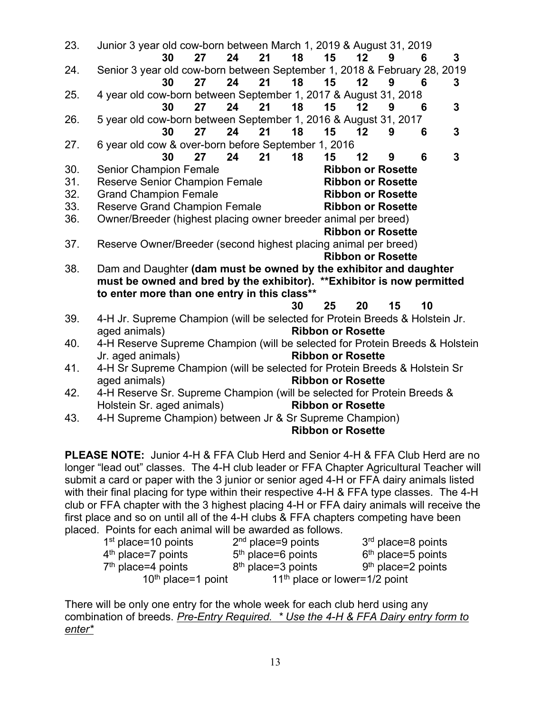| 23.                                                                                                                     | Junior 3 year old cow-born between March 1, 2019 & August 31, 2019                                  |    |    |    |    |                          |                 |                          |    |                |
|-------------------------------------------------------------------------------------------------------------------------|-----------------------------------------------------------------------------------------------------|----|----|----|----|--------------------------|-----------------|--------------------------|----|----------------|
|                                                                                                                         | 30                                                                                                  | 27 | 24 | 21 | 18 | 15                       | 12              | 9                        | 6  | $\overline{3}$ |
| 24.                                                                                                                     | Senior 3 year old cow-born between September 1, 2018 & February 28, 2019                            |    |    |    |    |                          |                 |                          |    |                |
|                                                                                                                         | 30                                                                                                  | 27 | 24 | 21 | 18 | 15                       | 12 <sup>°</sup> | 9                        | 6  | 3              |
| 25.                                                                                                                     | 4 year old cow-born between September 1, 2017 & August 31, 2018                                     |    |    |    |    |                          |                 |                          |    |                |
|                                                                                                                         | 30                                                                                                  | 27 | 24 | 21 | 18 | 15                       | 12              | 9                        | 6  | 3              |
| 26.                                                                                                                     | 5 year old cow-born between September 1, 2016 & August 31, 2017                                     |    |    |    |    |                          |                 |                          |    |                |
|                                                                                                                         | 30                                                                                                  | 27 | 24 | 21 | 18 | 15                       | 12              | 9                        | 6  | 3              |
| 27.                                                                                                                     | 6 year old cow & over-born before September 1, 2016                                                 |    |    |    |    |                          |                 |                          |    |                |
|                                                                                                                         | 30                                                                                                  | 27 | 24 | 21 | 18 | 15                       | 12              | 9                        | 6  | 3              |
| 30.                                                                                                                     | <b>Senior Champion Female</b>                                                                       |    |    |    |    |                          |                 | <b>Ribbon or Rosette</b> |    |                |
| 31.                                                                                                                     | Reserve Senior Champion Female                                                                      |    |    |    |    |                          |                 | <b>Ribbon or Rosette</b> |    |                |
| 32.                                                                                                                     | <b>Grand Champion Female</b>                                                                        |    |    |    |    |                          |                 | <b>Ribbon or Rosette</b> |    |                |
| 33.                                                                                                                     | <b>Reserve Grand Champion Female</b>                                                                |    |    |    |    |                          |                 | <b>Ribbon or Rosette</b> |    |                |
| 36.                                                                                                                     | Owner/Breeder (highest placing owner breeder animal per breed)                                      |    |    |    |    |                          |                 |                          |    |                |
|                                                                                                                         |                                                                                                     |    |    |    |    |                          |                 | <b>Ribbon or Rosette</b> |    |                |
| 37.                                                                                                                     | Reserve Owner/Breeder (second highest placing animal per breed)                                     |    |    |    |    |                          |                 |                          |    |                |
|                                                                                                                         |                                                                                                     |    |    |    |    |                          |                 | <b>Ribbon or Rosette</b> |    |                |
| Dam and Daughter (dam must be owned by the exhibitor and daughter<br>38.                                                |                                                                                                     |    |    |    |    |                          |                 |                          |    |                |
| must be owned and bred by the exhibitor). ** Exhibitor is now permitted<br>to enter more than one entry in this class** |                                                                                                     |    |    |    |    |                          |                 |                          |    |                |
|                                                                                                                         |                                                                                                     |    |    |    |    |                          |                 |                          |    |                |
|                                                                                                                         |                                                                                                     |    |    |    | 30 | 25                       | 20              | 15                       | 10 |                |
| 39.                                                                                                                     | 4-H Jr. Supreme Champion (will be selected for Protein Breeds & Holstein Jr.                        |    |    |    |    |                          |                 |                          |    |                |
|                                                                                                                         | aged animals)                                                                                       |    |    |    |    | <b>Ribbon or Rosette</b> |                 |                          |    |                |
| 40.                                                                                                                     | 4-H Reserve Supreme Champion (will be selected for Protein Breeds & Holstein                        |    |    |    |    |                          |                 |                          |    |                |
|                                                                                                                         | Jr. aged animals)                                                                                   |    |    |    |    | <b>Ribbon or Rosette</b> |                 |                          |    |                |
| 41.                                                                                                                     | 4-H Sr Supreme Champion (will be selected for Protein Breeds & Holstein Sr                          |    |    |    |    |                          |                 |                          |    |                |
|                                                                                                                         | aged animals)                                                                                       |    |    |    |    | <b>Ribbon or Rosette</b> |                 |                          |    |                |
| 42.                                                                                                                     | 4-H Reserve Sr. Supreme Champion (will be selected for Protein Breeds &<br><b>Ribbon or Rosette</b> |    |    |    |    |                          |                 |                          |    |                |
|                                                                                                                         | Holstein Sr. aged animals)                                                                          |    |    |    |    |                          |                 |                          |    |                |
| 43.                                                                                                                     | 4-H Supreme Champion) between Jr & Sr Supreme Champion)                                             |    |    |    |    |                          |                 |                          |    |                |
|                                                                                                                         |                                                                                                     |    |    |    |    | <b>Ribbon or Rosette</b> |                 |                          |    |                |
|                                                                                                                         | $\blacksquare$<br>$\blacksquare$                                                                    |    |    |    |    |                          |                 |                          |    |                |

**PLEASE NOTE:** Junior 4-H & FFA Club Herd and Senior 4-H & FFA Club Herd are no longer "lead out" classes. The 4-H club leader or FFA Chapter Agricultural Teacher will submit a card or paper with the 3 junior or senior aged 4-H or FFA dairy animals listed with their final placing for type within their respective 4-H & FFA type classes. The 4-H club or FFA chapter with the 3 highest placing 4-H or FFA dairy animals will receive the first place and so on until all of the 4-H clubs & FFA chapters competing have been placed. Points for each animal will be awarded as follows.

| $1st$ place=10 points | $2nd$ place=9 points                      | 3 <sup>rd</sup> place=8 points |
|-----------------------|-------------------------------------------|--------------------------------|
| $4th$ place=7 points  | $5th$ place=6 points                      | $6th$ place=5 points           |
| $7th$ place=4 points  | $8th$ place=3 points                      | $9th$ place=2 points           |
| $10th$ place=1 point  | 11 <sup>th</sup> place or lower=1/2 point |                                |

There will be only one entry for the whole week for each club herd using any combination of breeds. *Pre-Entry Required. \* Use the 4-H & FFA Dairy entry form to enter\**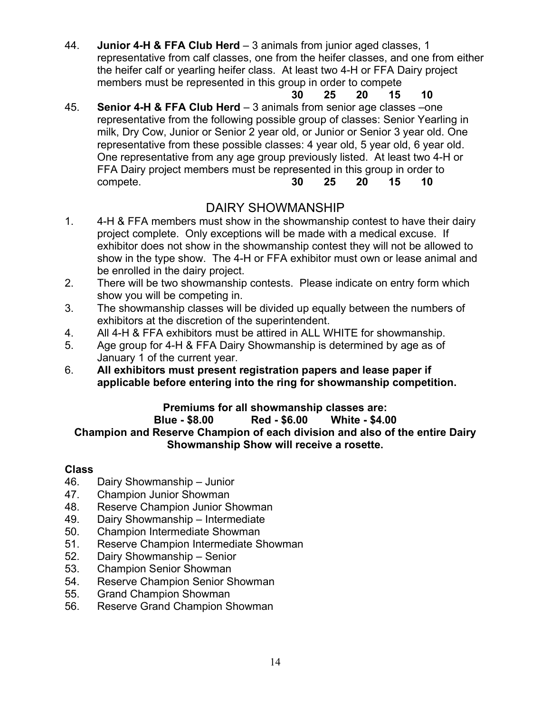44. **Junior 4-H & FFA Club Herd** – 3 animals from junior aged classes, 1 representative from calf classes, one from the heifer classes, and one from either the heifer calf or yearling heifer class. At least two 4-H or FFA Dairy project members must be represented in this group in order to compete

- **30 25 20 15 10**
- 45. **Senior 4-H & FFA Club Herd** 3 animals from senior age classes –one representative from the following possible group of classes: Senior Yearling in milk, Dry Cow, Junior or Senior 2 year old, or Junior or Senior 3 year old. One representative from these possible classes: 4 year old, 5 year old, 6 year old. One representative from any age group previously listed. At least two 4-H or FFA Dairy project members must be represented in this group in order to compete. **30 25 20 15 10**

# DAIRY SHOWMANSHIP

- 1. 4-H & FFA members must show in the showmanship contest to have their dairy project complete. Only exceptions will be made with a medical excuse. If exhibitor does not show in the showmanship contest they will not be allowed to show in the type show. The 4-H or FFA exhibitor must own or lease animal and be enrolled in the dairy project.
- 2. There will be two showmanship contests. Please indicate on entry form which show you will be competing in.
- 3. The showmanship classes will be divided up equally between the numbers of exhibitors at the discretion of the superintendent.
- 4. All 4-H & FFA exhibitors must be attired in ALL WHITE for showmanship.
- 5. Age group for 4-H & FFA Dairy Showmanship is determined by age as of January 1 of the current year.
- 6. **All exhibitors must present registration papers and lease paper if applicable before entering into the ring for showmanship competition.**

#### **Premiums for all showmanship classes are: Blue - \$8.00 Red - \$6.00 White - \$4.00 Champion and Reserve Champion of each division and also of the entire Dairy Showmanship Show will receive a rosette.**

# **Class**

- Dairy Showmanship Junior
- 47. Champion Junior Showman
- 48. Reserve Champion Junior Showman
- 49. Dairy Showmanship Intermediate
- 50. Champion Intermediate Showman
- 51. Reserve Champion Intermediate Showman<br>52. Dairy Showmanship Senior
- Dairy Showmanship Senior
- 53. Champion Senior Showman
- 54. Reserve Champion Senior Showman
- 55. Grand Champion Showman
- 56. Reserve Grand Champion Showman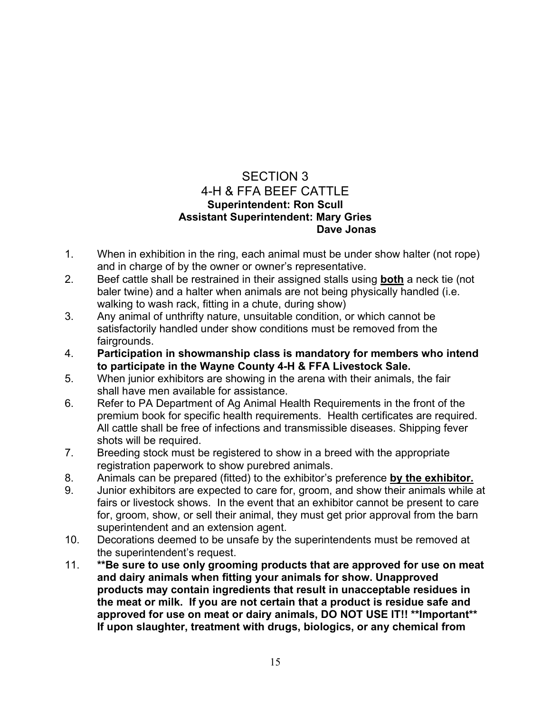# SECTION 3 4-H & FFA BEEF CATTLE **Superintendent: Ron Scull Assistant Superintendent: Mary Gries Dave Jonas**

- 1. When in exhibition in the ring, each animal must be under show halter (not rope) and in charge of by the owner or owner's representative.
- 2. Beef cattle shall be restrained in their assigned stalls using **both** a neck tie (not baler twine) and a halter when animals are not being physically handled (i.e. walking to wash rack, fitting in a chute, during show)
- 3. Any animal of unthrifty nature, unsuitable condition, or which cannot be satisfactorily handled under show conditions must be removed from the fairgrounds.
- 4. **Participation in showmanship class is mandatory for members who intend to participate in the Wayne County 4-H & FFA Livestock Sale.**
- 5. When junior exhibitors are showing in the arena with their animals, the fair shall have men available for assistance.
- 6. Refer to PA Department of Ag Animal Health Requirements in the front of the premium book for specific health requirements. Health certificates are required. All cattle shall be free of infections and transmissible diseases. Shipping fever shots will be required.
- 7. Breeding stock must be registered to show in a breed with the appropriate registration paperwork to show purebred animals.
- 8. Animals can be prepared (fitted) to the exhibitor's preference **by the exhibitor.**
- 9. Junior exhibitors are expected to care for, groom, and show their animals while at fairs or livestock shows. In the event that an exhibitor cannot be present to care for, groom, show, or sell their animal, they must get prior approval from the barn superintendent and an extension agent.
- 10. Decorations deemed to be unsafe by the superintendents must be removed at the superintendent's request.
- 11. **\*\*Be sure to use only grooming products that are approved for use on meat and dairy animals when fitting your animals for show. Unapproved products may contain ingredients that result in unacceptable residues in the meat or milk. If you are not certain that a product is residue safe and approved for use on meat or dairy animals, DO NOT USE IT!! \*\*Important\*\* If upon slaughter, treatment with drugs, biologics, or any chemical from**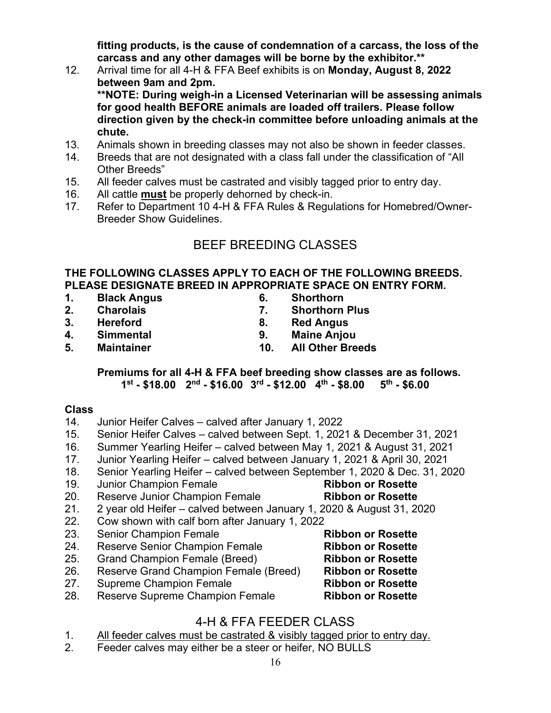**fitting products, is the cause of condemnation of a carcass, the loss of the carcass and any other damages will be borne by the exhibitor.\*\***

- 12. Arrival time for all 4-H & FFA Beef exhibits is on **Monday, August 8, 2022 between 9am and 2pm. \*\*NOTE: During weigh-in a Licensed Veterinarian will be assessing animals for good health BEFORE animals are loaded off trailers. Please follow direction given by the check-in committee before unloading animals at the chute.**
- 13. Animals shown in breeding classes may not also be shown in feeder classes.
- 14. Breeds that are not designated with a class fall under the classification of "All Other Breeds"
- 15. All feeder calves must be castrated and visibly tagged prior to entry day.
- 16. All cattle **must** be properly dehorned by check-in.
- 17. Refer to Department 10 4-H & FFA Rules & Regulations for Homebred/Owner-Breeder Show Guidelines.

# BEEF BREEDING CLASSES

#### **THE FOLLOWING CLASSES APPLY TO EACH OF THE FOLLOWING BREEDS. PLEASE DESIGNATE BREED IN APPROPRIATE SPACE ON ENTRY FORM.**

- **1. Black Angus 6. Shorthorn**
- **2. Charolais 7. Shorthorn Plus**
- 
- 
- 
- **Red Angus**
- **4. Simmental 9. Maine Anjou**
	- **5. Maintainer 10. All Other Breeds**

#### **Premiums for all 4-H & FFA beef breeding show classes are as follows. 1st - \$18.00 2nd - \$16.00 3rd - \$12.00 4th - \$8.00 5th - \$6.00**

#### **Class**

- 14. Junior Heifer Calves calved after January 1, 2022
- 15. Senior Heifer Calves calved between Sept. 1, 2021 & December 31, 2021
- 16. Summer Yearling Heifer calved between May 1, 2021 & August 31, 2021
- 17. Junior Yearling Heifer calved between January 1, 2021 & April 30, 2021
- 18. Senior Yearling Heifer calved between September 1, 2020 & Dec. 31, 2020
- 19. Junior Champion Female **Ribbon or Rosette**
- 
- 20. Reserve Junior Champion Female **Ribbon or Rosette** 2 year old Heifer – calved between January 1, 2020 & August 31, 2020
- 22. Cow shown with calf born after January 1, 2022
- 
- 24. Reserve Senior Champion Female **Ribbon or Rosette**
- 
- 25. Grand Champion Female (Breed) **Ribbon or Rosette** 26. Reserve Grand Champion Female (Breed) **Ribbon or Rosette**
- 27. Supreme Champion Female **Ribbon or Rosette**
- **Reserve Supreme Champion Female**

# 4-H & FFA FEEDER CLASS

- 1. All feeder calves must be castrated & visibly tagged prior to entry day.
- 2. Feeder calves may either be a steer or heifer, NO BULLS
- 23. Senior Champion Female **Ribbon or Rosette**
	-
-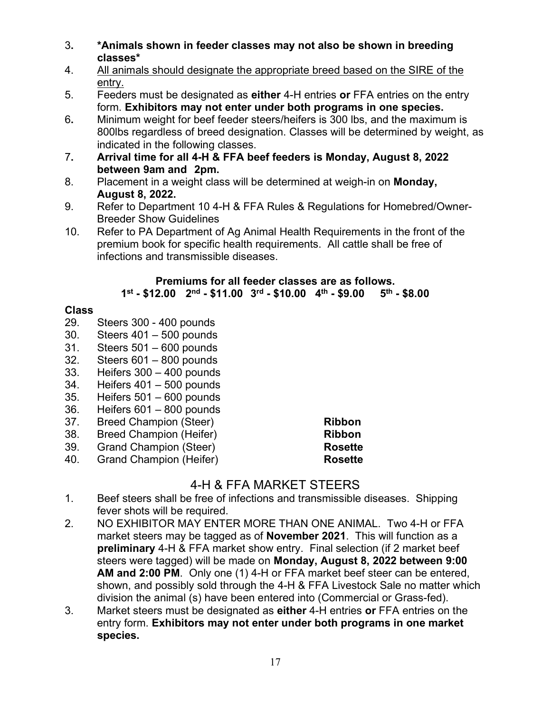- 3**. \*Animals shown in feeder classes may not also be shown in breeding classes\***
- 4. All animals should designate the appropriate breed based on the SIRE of the entry.
- 5. Feeders must be designated as **either** 4-H entries **or** FFA entries on the entry form. **Exhibitors may not enter under both programs in one species.**
- 6**.** Minimum weight for beef feeder steers/heifers is 300 lbs, and the maximum is 800lbs regardless of breed designation. Classes will be determined by weight, as indicated in the following classes.
- 7**. Arrival time for all 4-H & FFA beef feeders is Monday, August 8, 2022 between 9am and 2pm.**
- 8. Placement in a weight class will be determined at weigh-in on **Monday, August 8, 2022.**
- 9. Refer to Department 10 4-H & FFA Rules & Regulations for Homebred/Owner-Breeder Show Guidelines
- 10. Refer to PA Department of Ag Animal Health Requirements in the front of the premium book for specific health requirements. All cattle shall be free of infections and transmissible diseases.

#### **Premiums for all feeder classes are as follows. 1st - \$12.00 2nd - \$11.00 3rd - \$10.00 4th - \$9.00 5th - \$8.00**

# **Class**

- Steers 300 400 pounds
- 30. Steers 401 500 pounds
- 31. Steers 501 600 pounds
- 32. Steers 601 800 pounds
- 33. Heifers 300 400 pounds
- 34. Heifers 401 500 pounds
- 35. Heifers 501 600 pounds
- 36. Heifers 601 800 pounds
- 37. Breed Champion (Steer) **Ribbon**
- 
- 38. Breed Champion (Heifer) **Ribbon**<br>39. Grand Champion (Steer) **Rosette Grand Champion (Steer)**
- 40. Grand Champion (Heifer) **Rosette**

# 4-H & FFA MARKET STEERS

- 1. Beef steers shall be free of infections and transmissible diseases. Shipping fever shots will be required.
- 2. NO EXHIBITOR MAY ENTER MORE THAN ONE ANIMAL. Two 4-H or FFA market steers may be tagged as of **November 2021**. This will function as a **preliminary** 4-H & FFA market show entry. Final selection (if 2 market beef steers were tagged) will be made on **Monday, August 8, 2022 between 9:00 AM and 2:00 PM**. Only one (1) 4-H or FFA market beef steer can be entered, shown, and possibly sold through the 4-H & FFA Livestock Sale no matter which division the animal (s) have been entered into (Commercial or Grass-fed).
- 3. Market steers must be designated as **either** 4-H entries **or** FFA entries on the entry form. **Exhibitors may not enter under both programs in one market species.**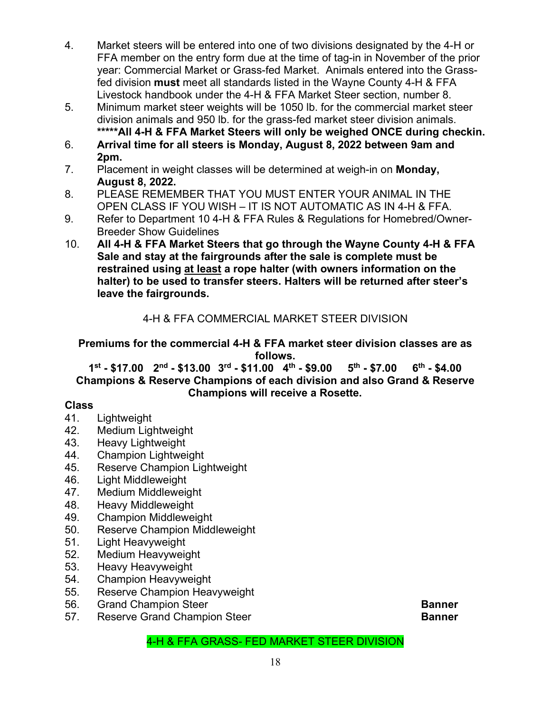- 4. Market steers will be entered into one of two divisions designated by the 4-H or FFA member on the entry form due at the time of tag-in in November of the prior year: Commercial Market or Grass-fed Market. Animals entered into the Grassfed division **must** meet all standards listed in the Wayne County 4-H & FFA Livestock handbook under the 4-H & FFA Market Steer section, number 8.
- 5. Minimum market steer weights will be 1050 lb. for the commercial market steer division animals and 950 lb. for the grass-fed market steer division animals. **\*\*\*\*\*All 4-H & FFA Market Steers will only be weighed ONCE during checkin.**
- 6. **Arrival time for all steers is Monday, August 8, 2022 between 9am and 2pm.**
- 7. Placement in weight classes will be determined at weigh-in on **Monday, August 8, 2022.**
- 8. PLEASE REMEMBER THAT YOU MUST ENTER YOUR ANIMAL IN THE OPEN CLASS IF YOU WISH – IT IS NOT AUTOMATIC AS IN 4-H & FFA.
- 9. Refer to Department 10 4-H & FFA Rules & Regulations for Homebred/Owner-Breeder Show Guidelines
- 10. **All 4-H & FFA Market Steers that go through the Wayne County 4-H & FFA Sale and stay at the fairgrounds after the sale is complete must be restrained using at least a rope halter (with owners information on the halter) to be used to transfer steers. Halters will be returned after steer's leave the fairgrounds.**

# 4-H & FFA COMMERCIAL MARKET STEER DIVISION

# **Premiums for the commercial 4-H & FFA market steer division classes are as follows.**

**1st - \$17.00 2nd - \$13.00 3rd - \$11.00 4th - \$9.00 5th - \$7.00 6th - \$4.00 Champions & Reserve Champions of each division and also Grand & Reserve Champions will receive a Rosette.**

# **Class**

- Lightweight
- 42. Medium Lightweight
- 43. Heavy Lightweight
- 44. Champion Lightweight
- 45. Reserve Champion Lightweight
- 46. Light Middleweight
- 47. Medium Middleweight
- 48. Heavy Middleweight
- 49. Champion Middleweight
- 50. Reserve Champion Middleweight
- 51. Light Heavyweight
- 52. Medium Heavyweight
- 53. Heavy Heavyweight<br>54. Champion Heavywei
- 54. Champion Heavyweight
- 55. Reserve Champion Heavyweight
- 56. Grand Champion Steer **Banner**
- 57. Reserve Grand Champion Steer **Banner**

# 4-H & FFA GRASS- FED MARKET STEER DIVISION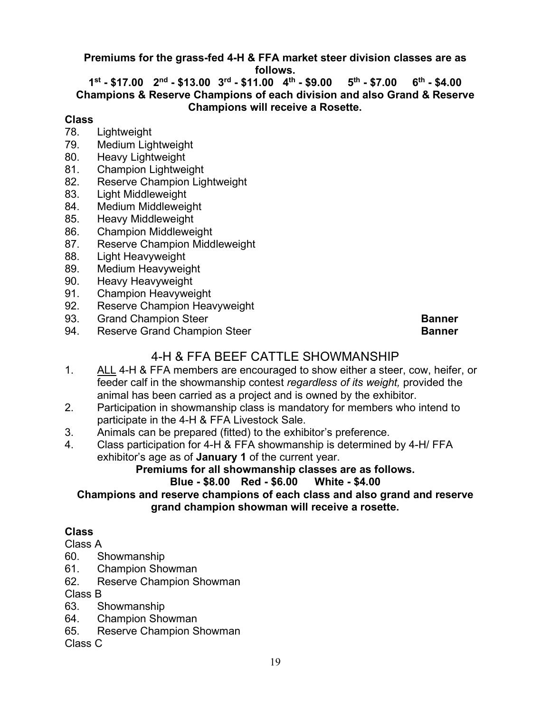**Premiums for the grass-fed 4-H & FFA market steer division classes are as follows.**

**1st - \$17.00 2nd - \$13.00 3rd - \$11.00 4th - \$9.00 5th - \$7.00 6th - \$4.00 Champions & Reserve Champions of each division and also Grand & Reserve Champions will receive a Rosette.**

#### **Class**

- 78. Lightweight
- 79. Medium Lightweight
- 80. Heavy Lightweight
- 81. Champion Lightweight
- 82. Reserve Champion Lightweight
- 83. Light Middleweight
- 84. Medium Middleweight
- 85. Heavy Middleweight
- 86. Champion Middleweight
- 87. Reserve Champion Middleweight
- 88. Light Heavyweight
- 89. Medium Heavyweight
- 90. Heavy Heavyweight
- 91. Champion Heavyweight
- 92. Reserve Champion Heavyweight<br>93. Grand Champion Steer
- 93. Grand Champion Steer **Banner**
- 94. Reserve Grand Champion Steer **Banner** Banner

# 4-H & FFA BEEF CATTLE SHOWMANSHIP

- 1. ALL 4-H & FFA members are encouraged to show either a steer, cow, heifer, or feeder calf in the showmanship contest *regardless of its weight,* provided the animal has been carried as a project and is owned by the exhibitor.
- 2. Participation in showmanship class is mandatory for members who intend to participate in the 4-H & FFA Livestock Sale.
- 3. Animals can be prepared (fitted) to the exhibitor's preference.
- 4. Class participation for 4-H & FFA showmanship is determined by 4-H/ FFA exhibitor's age as of **January 1** of the current year.

# **Premiums for all showmanship classes are as follows.**

# **Blue - \$8.00 Red - \$6.00**

# **Champions and reserve champions of each class and also grand and reserve grand champion showman will receive a rosette.**

# **Class**

# Class A

- 60. Showmanship
- 61. Champion Showman
- 62. Reserve Champion Showman

Class B

- 63. Showmanship
- 64. Champion Showman
- 65. Reserve Champion Showman

Class C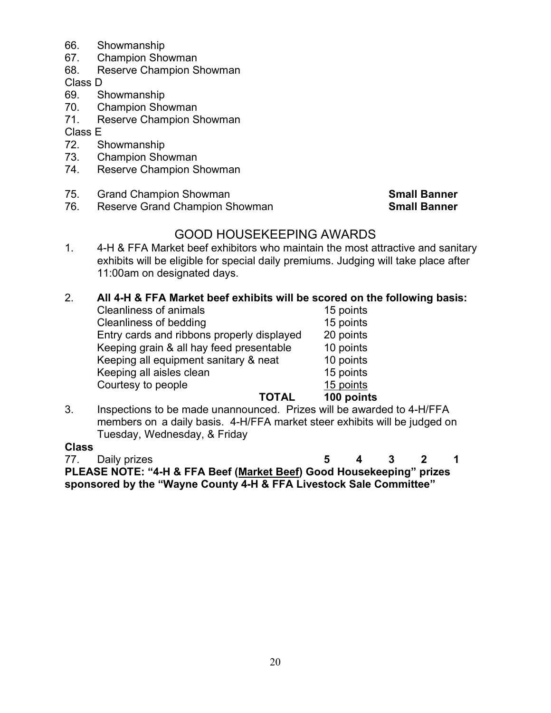- 66. Showmanship
- 67. Champion Showman
- 68. Reserve Champion Showman

Class D

- 69. Showmanship
- 70. Champion Showman
- 71. Reserve Champion Showman

Class E<br>72. S

- Showmanship
- 73. Champion Showman
- 74. Reserve Champion Showman
- 75. Grand Champion Showman **Small Banner**

76. Reserve Grand Champion Showman **Small Banner**

# GOOD HOUSEKEEPING AWARDS

1. 4-H & FFA Market beef exhibitors who maintain the most attractive and sanitary exhibits will be eligible for special daily premiums. Judging will take place after 11:00am on designated days.

# 2. **All 4-H & FFA Market beef exhibits will be scored on the following basis:**

| ΤΟΤΑΙ                                      | 100 point |
|--------------------------------------------|-----------|
| Courtesy to people                         | 15 points |
| Keeping all aisles clean                   | 15 points |
| Keeping all equipment sanitary & neat      | 10 points |
| Keeping grain & all hay feed presentable   | 10 points |
| Entry cards and ribbons properly displayed | 20 points |
| Cleanliness of bedding                     | 15 points |
| <b>Cleanliness of animals</b>              | 15 points |
|                                            |           |

**100 points**<br>3. Inspections to be made unannounced. Prizes will be award Inspections to be made unannounced. Prizes will be awarded to 4-H/FFA members on a daily basis. 4-H/FFA market steer exhibits will be judged on Tuesday, Wednesday, & Friday

# **Class**

77. Daily prizes **5 4 3 2 1 PLEASE NOTE: "4-H & FFA Beef (Market Beef) Good Housekeeping" prizes sponsored by the "Wayne County 4-H & FFA Livestock Sale Committee"**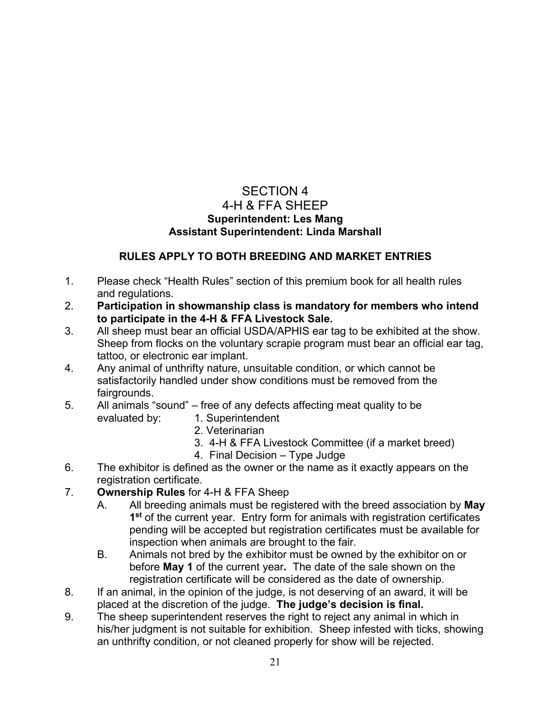# SECTION 4 4-H & FFA SHEEP **Superintendent: Les Mang Assistant Superintendent: Linda Marshall**

# **RULES APPLY TO BOTH BREEDING AND MARKET ENTRIES**

- 1. Please check "Health Rules" section of this premium book for all health rules and regulations.
- 2. **Participation in showmanship class is mandatory for members who intend to participate in the 4-H & FFA Livestock Sale.**
- 3. All sheep must bear an official USDA/APHIS ear tag to be exhibited at the show. Sheep from flocks on the voluntary scrapie program must bear an official ear tag, tattoo, or electronic ear implant.
- 4. Any animal of unthrifty nature, unsuitable condition, or which cannot be satisfactorily handled under show conditions must be removed from the fairgrounds.
- 5. All animals "sound" free of any defects affecting meat quality to be evaluated by: 1. Superintendent
	- 2. Veterinarian
	- 3. 4-H & FFA Livestock Committee (if a market breed)
	- 4. Final Decision Type Judge
- 6. The exhibitor is defined as the owner or the name as it exactly appears on the registration certificate.
- 7. **Ownership Rules** for 4-H & FFA Sheep
	- A. All breeding animals must be registered with the breed association by **May 1st** of the current year. Entry form for animals with registration certificates pending will be accepted but registration certificates must be available for inspection when animals are brought to the fair.
	- B. Animals not bred by the exhibitor must be owned by the exhibitor on or before **May 1** of the current year**.** The date of the sale shown on the registration certificate will be considered as the date of ownership.
- 8. If an animal, in the opinion of the judge, is not deserving of an award, it will be placed at the discretion of the judge. **The judge's decision is final.**
- 9. The sheep superintendent reserves the right to reject any animal in which in his/her judgment is not suitable for exhibition. Sheep infested with ticks, showing an unthrifty condition, or not cleaned properly for show will be rejected.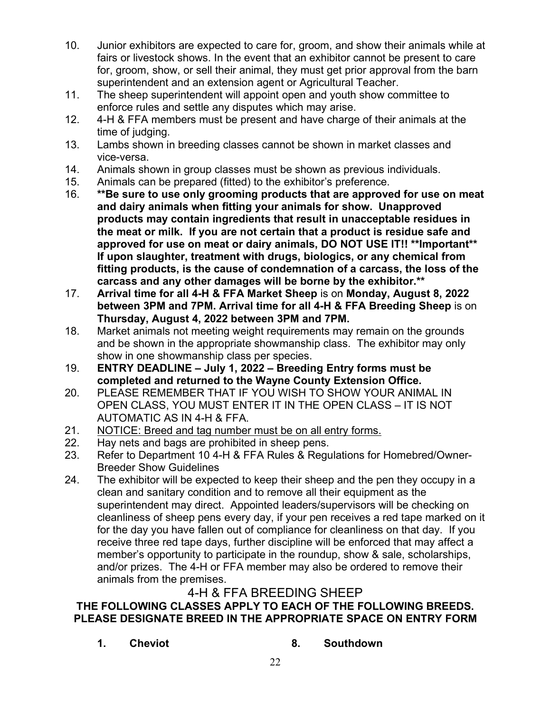- 10. Junior exhibitors are expected to care for, groom, and show their animals while at fairs or livestock shows. In the event that an exhibitor cannot be present to care for, groom, show, or sell their animal, they must get prior approval from the barn superintendent and an extension agent or Agricultural Teacher.
- 11. The sheep superintendent will appoint open and youth show committee to enforce rules and settle any disputes which may arise.
- 12. 4-H & FFA members must be present and have charge of their animals at the time of judging.
- 13. Lambs shown in breeding classes cannot be shown in market classes and vice-versa.
- 14. Animals shown in group classes must be shown as previous individuals.
- 15. Animals can be prepared (fitted) to the exhibitor's preference.
- 16. **\*\*Be sure to use only grooming products that are approved for use on meat and dairy animals when fitting your animals for show. Unapproved products may contain ingredients that result in unacceptable residues in the meat or milk. If you are not certain that a product is residue safe and approved for use on meat or dairy animals, DO NOT USE IT!! \*\*Important\*\* If upon slaughter, treatment with drugs, biologics, or any chemical from fitting products, is the cause of condemnation of a carcass, the loss of the carcass and any other damages will be borne by the exhibitor.\*\***
- 17. **Arrival time for all 4-H & FFA Market Sheep** is on **Monday, August 8, 2022 between 3PM and 7PM. Arrival time for all 4-H & FFA Breeding Sheep** is on **Thursday, August 4, 2022 between 3PM and 7PM.**
- 18. Market animals not meeting weight requirements may remain on the grounds and be shown in the appropriate showmanship class. The exhibitor may only show in one showmanship class per species.
- 19. **ENTRY DEADLINE July 1, 2022 Breeding Entry forms must be completed and returned to the Wayne County Extension Office.**
- 20. PLEASE REMEMBER THAT IF YOU WISH TO SHOW YOUR ANIMAL IN OPEN CLASS, YOU MUST ENTER IT IN THE OPEN CLASS – IT IS NOT AUTOMATIC AS IN 4-H & FFA.
- 21. NOTICE: Breed and tag number must be on all entry forms.
- 22. Hay nets and bags are prohibited in sheep pens.
- 23. Refer to Department 10 4-H & FFA Rules & Regulations for Homebred/Owner-Breeder Show Guidelines
- 24. The exhibitor will be expected to keep their sheep and the pen they occupy in a clean and sanitary condition and to remove all their equipment as the superintendent may direct. Appointed leaders/supervisors will be checking on cleanliness of sheep pens every day, if your pen receives a red tape marked on it for the day you have fallen out of compliance for cleanliness on that day. If you receive three red tape days, further discipline will be enforced that may affect a member's opportunity to participate in the roundup, show & sale, scholarships, and/or prizes. The 4-H or FFA member may also be ordered to remove their animals from the premises.

# 4-H & FFA BREEDING SHEEP

# **THE FOLLOWING CLASSES APPLY TO EACH OF THE FOLLOWING BREEDS. PLEASE DESIGNATE BREED IN THE APPROPRIATE SPACE ON ENTRY FORM**

- **1. Cheviot 8. Southdown**
-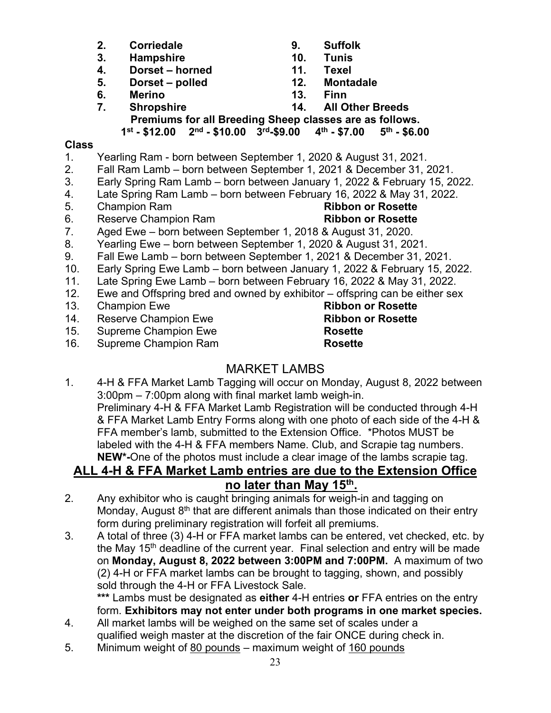- **2. Corriedale 9. Suffolk**
- **3. Hampshire 10. Tunis**
- **Dorset horned**
- **5. Dorset polled 12. Montadale**
- **6. Merino 13. Finn**
- 
- 
- 
- -
- **7. Shropshire 14. All Other Breeds Premiums for all Breeding Sheep classes are as follows.**

# **1st - \$12.00 2nd - \$10.00 3rd-\$9.00 4th - \$7.00 5th - \$6.00**

# **Class**

- 1. Yearling Ram born between September 1, 2020 & August 31, 2021.
- 2. Fall Ram Lamb born between September 1, 2021 & December 31, 2021.
- 3. Early Spring Ram Lamb born between January 1, 2022 & February 15, 2022.
- 4. Late Spring Ram Lamb born between February 16, 2022 & May 31, 2022.
- 5. Champion Ram **Ribbon or Rosette**
- 6. Reserve Champion Ram **Ribbon or Rosette**

- 7. Aged Ewe born between September 1, 2018 & August 31, 2020.
- 8. Yearling Ewe born between September 1, 2020 & August 31, 2021.
- 9. Fall Ewe Lamb born between September 1, 2021 & December 31, 2021.
- 10. Early Spring Ewe Lamb born between January 1, 2022 & February 15, 2022.
- 11. Late Spring Ewe Lamb born between February 16, 2022 & May 31, 2022.
- 12. Ewe and Offspring bred and owned by exhibitor offspring can be either sex
- 
- **Reserve Champion Ewe**
- 15. Supreme Champion Ewe **Rosette**

16. Supreme Champion Ram **Rosette**

# MARKET LAMBS

1. 4-H & FFA Market Lamb Tagging will occur on Monday, August 8, 2022 between 3:00pm – 7:00pm along with final market lamb weigh-in. Preliminary 4-H & FFA Market Lamb Registration will be conducted through 4-H & FFA Market Lamb Entry Forms along with one photo of each side of the 4-H & FFA member's lamb, submitted to the Extension Office. \*Photos MUST be labeled with the 4-H & FFA members Name. Club, and Scrapie tag numbers. **NEW\*-**One of the photos must include a clear image of the lambs scrapie tag.

# **ALL 4-H & FFA Market Lamb entries are due to the Extension Office**

# **no later than May 15th.**

- 2. Any exhibitor who is caught bringing animals for weigh-in and tagging on Monday, August  $8<sup>th</sup>$  that are different animals than those indicated on their entry form during preliminary registration will forfeit all premiums.
- 3. A total of three (3) 4-H or FFA market lambs can be entered, vet checked, etc. by the May 15<sup>th</sup> deadline of the current year. Final selection and entry will be made on **Monday, August 8, 2022 between 3:00PM and 7:00PM.** A maximum of two (2) 4-H or FFA market lambs can be brought to tagging, shown, and possibly sold through the 4-H or FFA Livestock Sale.

**\*\*\*** Lambs must be designated as **either** 4-H entries **or** FFA entries on the entry form. **Exhibitors may not enter under both programs in one market species.** 

- 4. All market lambs will be weighed on the same set of scales under a qualified weigh master at the discretion of the fair ONCE during check in.
- 5. Minimum weight of 80 pounds maximum weight of 160 pounds
- 13. Champion Ewe **Ribbon or Rosette**<br>
14. Reserve Champion Ewe **Ribbon or Rosette**
-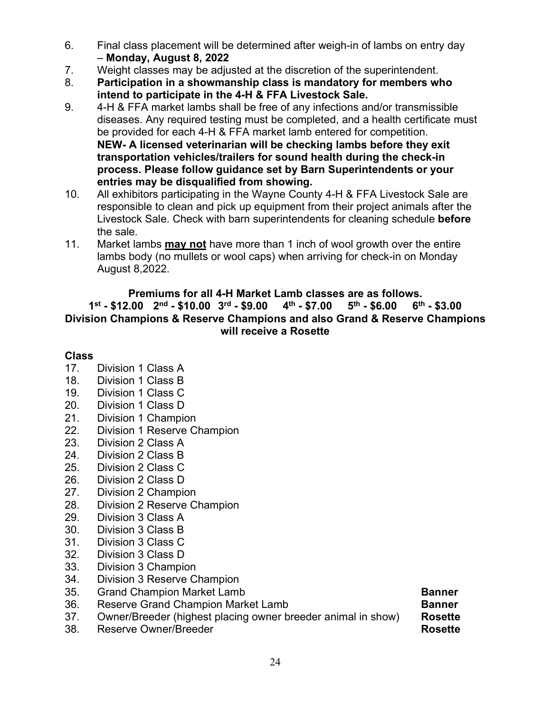- 6. Final class placement will be determined after weigh-in of lambs on entry day
- **Monday, August 8, 2022** Weight classes may be adjusted at the discretion of the superintendent.
- 8. **Participation in a showmanship class is mandatory for members who intend to participate in the 4-H & FFA Livestock Sale.**
- 9. 4-H & FFA market lambs shall be free of any infections and/or transmissible diseases. Any required testing must be completed, and a health certificate must be provided for each 4-H & FFA market lamb entered for competition. **NEW- A licensed veterinarian will be checking lambs before they exit transportation vehicles/trailers for sound health during the check-in process. Please follow guidance set by Barn Superintendents or your entries may be disqualified from showing.**
- 10. All exhibitors participating in the Wayne County 4-H & FFA Livestock Sale are responsible to clean and pick up equipment from their project animals after the Livestock Sale. Check with barn superintendents for cleaning schedule **before** the sale.
- 11. Market lambs **may not** have more than 1 inch of wool growth over the entire lambs body (no mullets or wool caps) when arriving for check-in on Monday August 8,2022.

### **Premiums for all 4-H Market Lamb classes are as follows. 1st - \$12.00 2nd - \$10.00 3rd - \$9.00 4th - \$7.00 5th - \$6.00 6th - \$3.00 Division Champions & Reserve Champions and also Grand & Reserve Champions will receive a Rosette**

# **Class**

- 17. Division 1 Class A
- 18. Division 1 Class B
- 19. Division 1 Class C
- 20. Division 1 Class D
- 21. Division 1 Champion
- 22. Division 1 Reserve Champion
- 23. Division 2 Class A
- 24. Division 2 Class B
- 25. Division 2 Class C
- 26. Division 2 Class D
- 27. Division 2 Champion
- 28. Division 2 Reserve Champion
- 29. Division 3 Class A
- 30. Division 3 Class B
- 31. Division 3 Class C
- 32. Division 3 Class D
- 33. Division 3 Champion
- 34. Division 3 Reserve Champion
- 35. Grand Champion Market Lamb **Banner**
- 36. Reserve Grand Champion Market Lamb **Banner**
- 37. Owner/Breeder (highest placing owner breeder animal in show) **Rosette**
- Reserve Owner/Breeder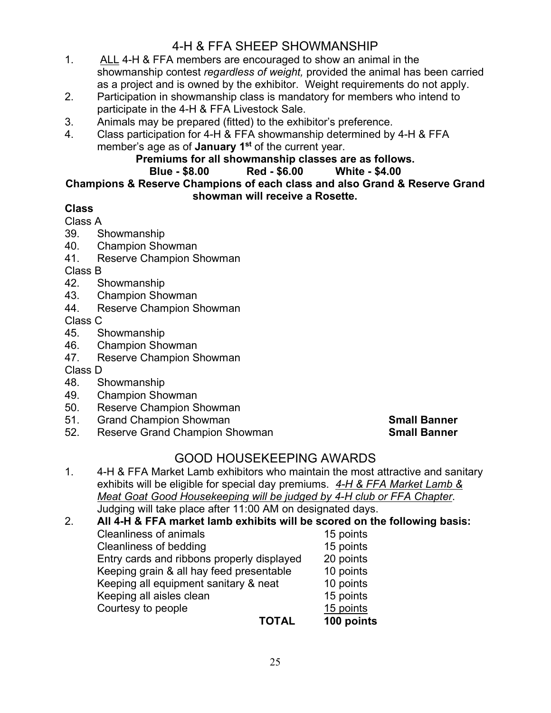# 4-H & FFA SHEEP SHOWMANSHIP

- 1. ALL 4-H & FFA members are encouraged to show an animal in the showmanship contest *regardless of weight,* provided the animal has been carried as a project and is owned by the exhibitor. Weight requirements do not apply.
- 2. Participation in showmanship class is mandatory for members who intend to participate in the 4-H & FFA Livestock Sale.
- 3. Animals may be prepared (fitted) to the exhibitor's preference.
- 4. Class participation for 4-H & FFA showmanship determined by 4-H & FFA member's age as of **January 1st** of the current year.

# **Premiums for all showmanship classes are as follows.**

# **Blue - \$8.00**

#### **Champions & Reserve Champions of each class and also Grand & Reserve Grand showman will receive a Rosette.**

# **Class**

- Class A
- 39. Showmanship
- 40. Champion Showman
- 41. Reserve Champion Showman

Class B

- 42. Showmanship
- 43. Champion Showman<br>44. Reserve Champion S
- Reserve Champion Showman

# Class C<br>45. S

- Showmanship
- 46. Champion Showman
- 47. Reserve Champion Showman
- Class D
- 48. Showmanship
- 49. Champion Showman
- 50. Reserve Champion Showman
- 51. Grand Champion Showman **Small Banner**
- **Reserve Grand Champion Showman**

# GOOD HOUSEKEEPING AWARDS

- 1. 4-H & FFA Market Lamb exhibitors who maintain the most attractive and sanitary exhibits will be eligible for special day premiums. *4-H & FFA Market Lamb & Meat Goat Good Housekeeping will be judged by 4-H club or FFA Chapter*. Judging will take place after 11:00 AM on designated days.
- 2. **All 4-H & FFA market lamb exhibits will be scored on the following basis:** Cleanliness of animals<br>Cleanliness of bedding 15 points Cleanliness of bedding Entry cards and ribbons properly displayed 20 points Keeping grain & all hay feed presentable 10 points Keeping all equipment sanitary & neat 10 points Keeping all aisles clean 15 points<br>
Courtesy to people<br>
15 points Courtesy to people<br>
TOTAL **100 points**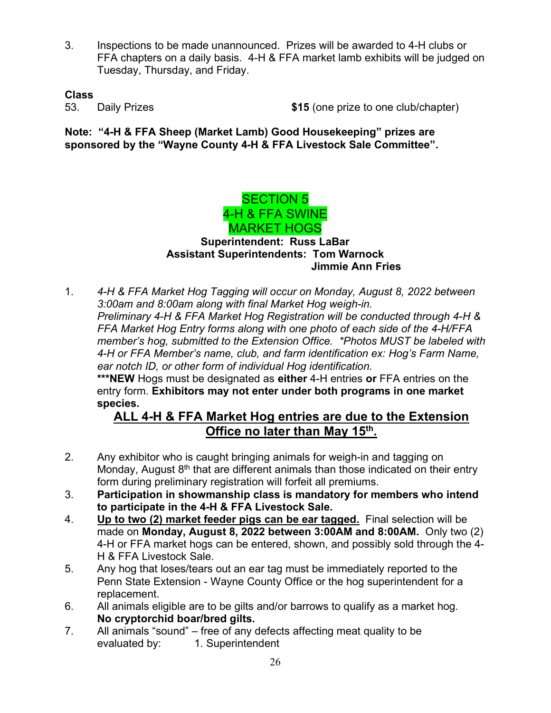3. Inspections to be made unannounced. Prizes will be awarded to 4-H clubs or FFA chapters on a daily basis. 4-H & FFA market lamb exhibits will be judged on Tuesday, Thursday, and Friday.

### **Class**

53. Daily Prizes **\$15** (one prize to one club/chapter)

**Note: "4-H & FFA Sheep (Market Lamb) Good Housekeeping" prizes are sponsored by the "Wayne County 4-H & FFA Livestock Sale Committee".**



# **Assistant Superintendents: Tom Warnock Jimmie Ann Fries**

1. *4-H & FFA Market Hog Tagging will occur on Monday, August 8, 2022 between 3:00am and 8:00am along with final Market Hog weigh-in. Preliminary 4-H & FFA Market Hog Registration will be conducted through 4-H & FFA Market Hog Entry forms along with one photo of each side of the 4-H/FFA member's hog, submitted to the Extension Office. \*Photos MUST be labeled with 4-H or FFA Member's name, club, and farm identification ex: Hog's Farm Name, ear notch ID, or other form of individual Hog identification.* **\*\*\*NEW** Hogs must be designated as **either** 4-H entries **or** FFA entries on the

entry form. **Exhibitors may not enter under both programs in one market species.**

# **ALL 4-H & FFA Market Hog entries are due to the Extension Office no later than May 15th.**

- 2. Any exhibitor who is caught bringing animals for weigh-in and tagging on Monday, August  $8<sup>th</sup>$  that are different animals than those indicated on their entry form during preliminary registration will forfeit all premiums.
- 3. **Participation in showmanship class is mandatory for members who intend to participate in the 4-H & FFA Livestock Sale.**
- 4. **Up to two (2) market feeder pigs can be ear tagged.** Final selection will be made on **Monday, August 8, 2022 between 3:00AM and 8:00AM.** Only two (2) 4-H or FFA market hogs can be entered, shown, and possibly sold through the 4- H & FFA Livestock Sale.
- 5. Any hog that loses/tears out an ear tag must be immediately reported to the Penn State Extension - Wayne County Office or the hog superintendent for a replacement.
- 6. All animals eligible are to be gilts and/or barrows to qualify as a market hog. **No cryptorchid boar/bred gilts.**
- 7. All animals "sound" free of any defects affecting meat quality to be evaluated by: 1. Superintendent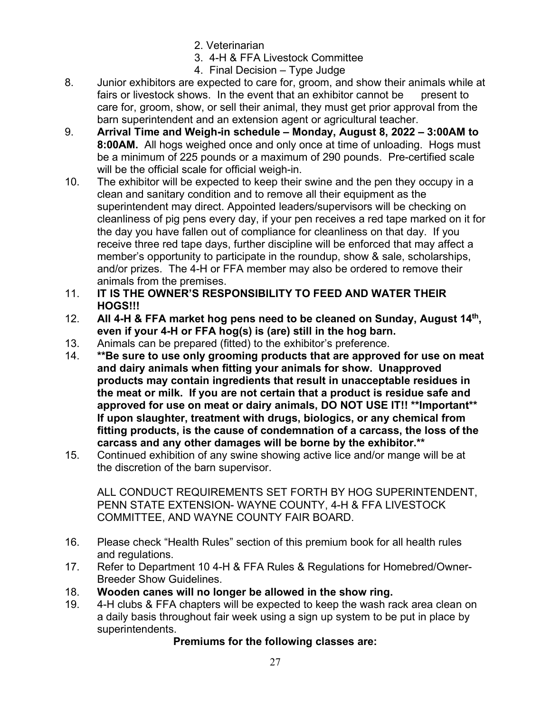- 2. Veterinarian
- 3. 4-H & FFA Livestock Committee
- 4. Final Decision Type Judge
- 8. Junior exhibitors are expected to care for, groom, and show their animals while at fairs or livestock shows. In the event that an exhibitor cannot be present to care for, groom, show, or sell their animal, they must get prior approval from the barn superintendent and an extension agent or agricultural teacher.
- 9. **Arrival Time and Weigh-in schedule – Monday, August 8, 2022 – 3:00AM to 8:00AM.** All hogs weighed once and only once at time of unloading. Hogs must be a minimum of 225 pounds or a maximum of 290 pounds. Pre-certified scale will be the official scale for official weigh-in.
- 10. The exhibitor will be expected to keep their swine and the pen they occupy in a clean and sanitary condition and to remove all their equipment as the superintendent may direct. Appointed leaders/supervisors will be checking on cleanliness of pig pens every day, if your pen receives a red tape marked on it for the day you have fallen out of compliance for cleanliness on that day. If you receive three red tape days, further discipline will be enforced that may affect a member's opportunity to participate in the roundup, show & sale, scholarships, and/or prizes. The 4-H or FFA member may also be ordered to remove their animals from the premises.
- 11. **IT IS THE OWNER'S RESPONSIBILITY TO FEED AND WATER THEIR HOGS!!!**
- 12. **All 4-H & FFA market hog pens need to be cleaned on Sunday, August 14th, even if your 4-H or FFA hog(s) is (are) still in the hog barn.**
- 13. Animals can be prepared (fitted) to the exhibitor's preference.
- 14. **\*\*Be sure to use only grooming products that are approved for use on meat and dairy animals when fitting your animals for show. Unapproved products may contain ingredients that result in unacceptable residues in the meat or milk. If you are not certain that a product is residue safe and approved for use on meat or dairy animals, DO NOT USE IT!! \*\*Important\*\* If upon slaughter, treatment with drugs, biologics, or any chemical from fitting products, is the cause of condemnation of a carcass, the loss of the carcass and any other damages will be borne by the exhibitor.\*\***
- 15. Continued exhibition of any swine showing active lice and/or mange will be at the discretion of the barn supervisor.

ALL CONDUCT REQUIREMENTS SET FORTH BY HOG SUPERINTENDENT, PENN STATE EXTENSION- WAYNE COUNTY, 4-H & FFA LIVESTOCK COMMITTEE, AND WAYNE COUNTY FAIR BOARD.

- 16. Please check "Health Rules" section of this premium book for all health rules and regulations.
- 17. Refer to Department 10 4-H & FFA Rules & Regulations for Homebred/Owner-Breeder Show Guidelines.
- 18. **Wooden canes will no longer be allowed in the show ring.**
- 19. 4-H clubs & FFA chapters will be expected to keep the wash rack area clean on a daily basis throughout fair week using a sign up system to be put in place by superintendents.

# **Premiums for the following classes are:**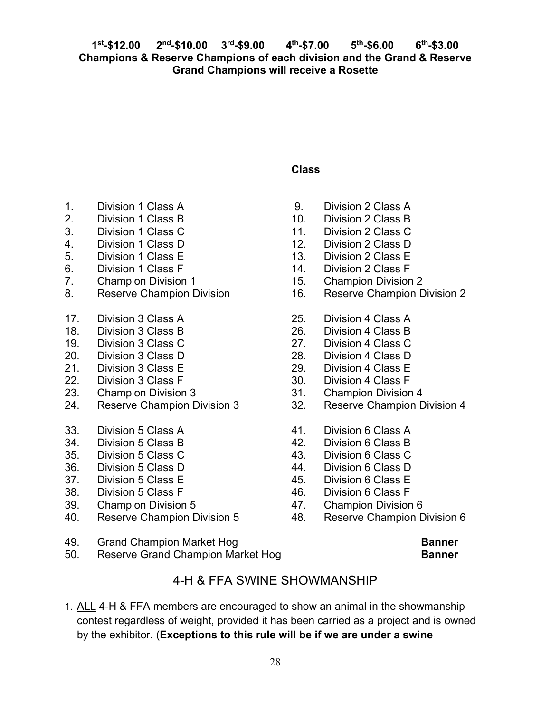# **Class**

- 1. Division 1 Class A
- 2. Division 1 Class B
- 3. Division 1 Class C
- 4. Division 1 Class D
- 5. Division 1 Class E
- 6. Division 1 Class F
- 7. Champion Division 1
- 8. Reserve Champion Division
- 17. Division 3 Class A
- 18. Division 3 Class B
- 19. Division 3 Class C
- 20. Division 3 Class D
- 21. Division 3 Class E
- 22. Division 3 Class F
- 23. Champion Division 3
- 24. Reserve Champion Division 3
- 33. Division 5 Class A
- 34. Division 5 Class B
- 35. Division 5 Class C
- 36. Division 5 Class D
- 37. Division 5 Class E
- 38. Division 5 Class F
- 39. Champion Division 5
- 40. Reserve Champion Division 5
- 9. Division 2 Class A
- 10. Division 2 Class B
- 11. Division 2 Class C
- 12. Division 2 Class D
- 13. Division 2 Class E
- 14. Division 2 Class F
- 15. Champion Division 2
- 16. Reserve Champion Division 2
- 25. Division 4 Class A
- 26. Division 4 Class B
- 27. Division 4 Class C
- 28. Division 4 Class D
- 29. Division 4 Class E
- 30. Division 4 Class F
- 31. Champion Division 4
- 32. Reserve Champion Division 4
- 41. Division 6 Class A
- 42. Division 6 Class B
- 43. Division 6 Class C
- 44. Division 6 Class D
- 45. Division 6 Class E
- 46. Division 6 Class F
- 47. Champion Division 6
- 48. Reserve Champion Division 6
- 49. Grand Champion Market Hog **Banner Banner**
- 50. Reserve Grand Champion Market Hog **Banner** Banner

# 4-H & FFA SWINE SHOWMANSHIP

1. ALL 4-H & FFA members are encouraged to show an animal in the showmanship contest regardless of weight, provided it has been carried as a project and is owned by the exhibitor. (**Exceptions to this rule will be if we are under a swine**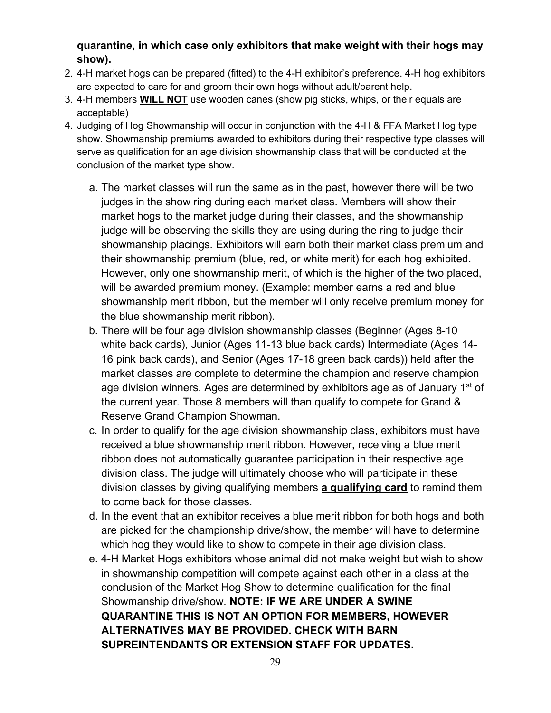# **quarantine, in which case only exhibitors that make weight with their hogs may show).**

- 2. 4-H market hogs can be prepared (fitted) to the 4-H exhibitor's preference. 4-H hog exhibitors are expected to care for and groom their own hogs without adult/parent help.
- 3. 4-H members **WILL NOT** use wooden canes (show pig sticks, whips, or their equals are acceptable)
- 4. Judging of Hog Showmanship will occur in conjunction with the 4-H & FFA Market Hog type show. Showmanship premiums awarded to exhibitors during their respective type classes will serve as qualification for an age division showmanship class that will be conducted at the conclusion of the market type show.
	- a. The market classes will run the same as in the past, however there will be two judges in the show ring during each market class. Members will show their market hogs to the market judge during their classes, and the showmanship judge will be observing the skills they are using during the ring to judge their showmanship placings. Exhibitors will earn both their market class premium and their showmanship premium (blue, red, or white merit) for each hog exhibited. However, only one showmanship merit, of which is the higher of the two placed, will be awarded premium money. (Example: member earns a red and blue showmanship merit ribbon, but the member will only receive premium money for the blue showmanship merit ribbon).
	- b. There will be four age division showmanship classes (Beginner (Ages 8-10 white back cards), Junior (Ages 11-13 blue back cards) Intermediate (Ages 14- 16 pink back cards), and Senior (Ages 17-18 green back cards)) held after the market classes are complete to determine the champion and reserve champion age division winners. Ages are determined by exhibitors age as of January  $1<sup>st</sup>$  of the current year. Those 8 members will than qualify to compete for Grand & Reserve Grand Champion Showman.
	- c. In order to qualify for the age division showmanship class, exhibitors must have received a blue showmanship merit ribbon. However, receiving a blue merit ribbon does not automatically guarantee participation in their respective age division class. The judge will ultimately choose who will participate in these division classes by giving qualifying members **a qualifying card** to remind them to come back for those classes.
	- d. In the event that an exhibitor receives a blue merit ribbon for both hogs and both are picked for the championship drive/show, the member will have to determine which hog they would like to show to compete in their age division class.
	- e. 4-H Market Hogs exhibitors whose animal did not make weight but wish to show in showmanship competition will compete against each other in a class at the conclusion of the Market Hog Show to determine qualification for the final Showmanship drive/show. **NOTE: IF WE ARE UNDER A SWINE QUARANTINE THIS IS NOT AN OPTION FOR MEMBERS, HOWEVER ALTERNATIVES MAY BE PROVIDED. CHECK WITH BARN SUPREINTENDANTS OR EXTENSION STAFF FOR UPDATES.**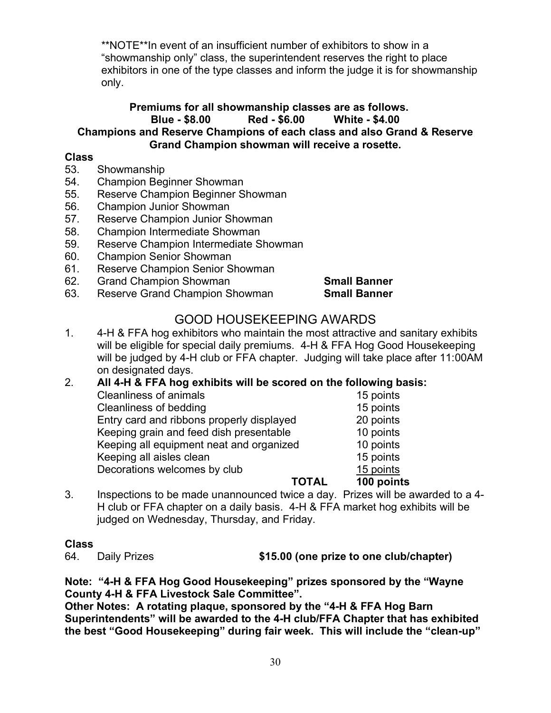\*\*NOTE\*\*In event of an insufficient number of exhibitors to show in a "showmanship only" class, the superintendent reserves the right to place exhibitors in one of the type classes and inform the judge it is for showmanship only.

#### **Premiums for all showmanship classes are as follows. Blue - \$8.00 Red - \$6.00 White - \$4.00 Champions and Reserve Champions of each class and also Grand & Reserve Grand Champion showman will receive a rosette.**

#### **Class**

- 53. Showmanship
- 54. Champion Beginner Showman
- 55. Reserve Champion Beginner Showman
- 56. Champion Junior Showman
- 57. Reserve Champion Junior Showman
- 58. Champion Intermediate Showman
- 59. Reserve Champion Intermediate Showman
- 60. Champion Senior Showman
- 61. Reserve Champion Senior Showman
- 62. Grand Champion Showman **Small Banner**
- 63. Reserve Grand Champion Showman **Small Banner**

# GOOD HOUSEKEEPING AWARDS

1. 4-H & FFA hog exhibitors who maintain the most attractive and sanitary exhibits will be eligible for special daily premiums. 4-H & FFA Hog Good Housekeeping will be judged by 4-H club or FFA chapter. Judging will take place after 11:00AM on designated days.

#### 2. **All 4-H & FFA hog exhibits will be scored on the following basis:**

| <b>Cleanliness of animals</b>             | 15 points  |
|-------------------------------------------|------------|
|                                           |            |
| Cleanliness of bedding                    | 15 points  |
| Entry card and ribbons properly displayed | 20 points  |
| Keeping grain and feed dish presentable   | 10 points  |
| Keeping all equipment neat and organized  | 10 points  |
| Keeping all aisles clean                  | 15 points  |
| Decorations welcomes by club              | 15 points  |
| ΤΟΤΑΙ                                     | 100 points |

#### 3. Inspections to be made unannounced twice a day. Prizes will be awarded to a 4- H club or FFA chapter on a daily basis. 4-H & FFA market hog exhibits will be judged on Wednesday, Thursday, and Friday.

# **Class**

64. Daily Prizes **\$15.00 (one prize to one club/chapter)**

**Note: "4-H & FFA Hog Good Housekeeping" prizes sponsored by the "Wayne County 4-H & FFA Livestock Sale Committee".**

**Other Notes: A rotating plaque, sponsored by the "4-H & FFA Hog Barn Superintendents" will be awarded to the 4-H club/FFA Chapter that has exhibited the best "Good Housekeeping" during fair week. This will include the "clean-up"**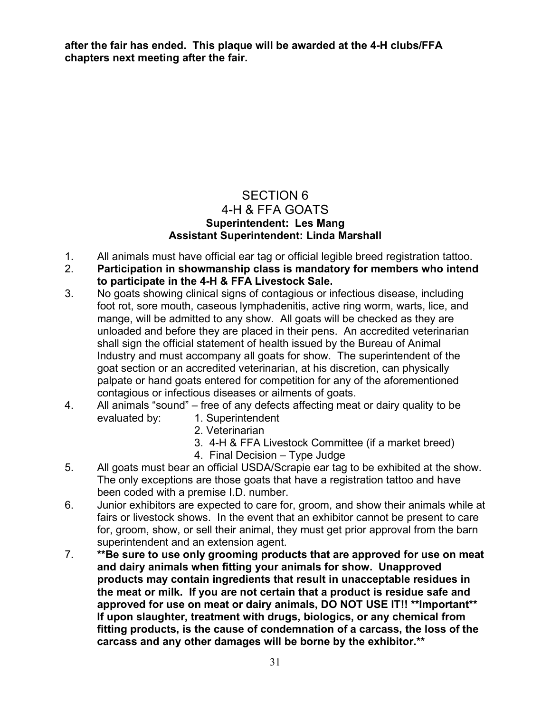**after the fair has ended. This plaque will be awarded at the 4-H clubs/FFA chapters next meeting after the fair.**

# SECTION 6 4-H & FFA GOATS **Superintendent: Les Mang Assistant Superintendent: Linda Marshall**

- 1. All animals must have official ear tag or official legible breed registration tattoo.
- 2. **Participation in showmanship class is mandatory for members who intend to participate in the 4-H & FFA Livestock Sale.**
- 3. No goats showing clinical signs of contagious or infectious disease, including foot rot, sore mouth, caseous lymphadenitis, active ring worm, warts, lice, and mange, will be admitted to any show. All goats will be checked as they are unloaded and before they are placed in their pens. An accredited veterinarian shall sign the official statement of health issued by the Bureau of Animal Industry and must accompany all goats for show. The superintendent of the goat section or an accredited veterinarian, at his discretion, can physically palpate or hand goats entered for competition for any of the aforementioned contagious or infectious diseases or ailments of goats.
- 4. All animals "sound" free of any defects affecting meat or dairy quality to be evaluated by: 1. Superintendent
	- 2. Veterinarian
	- 3. 4-H & FFA Livestock Committee (if a market breed)
	- 4. Final Decision Type Judge
- 5. All goats must bear an official USDA/Scrapie ear tag to be exhibited at the show. The only exceptions are those goats that have a registration tattoo and have been coded with a premise I.D. number.
- 6. Junior exhibitors are expected to care for, groom, and show their animals while at fairs or livestock shows. In the event that an exhibitor cannot be present to care for, groom, show, or sell their animal, they must get prior approval from the barn superintendent and an extension agent.
- 7. **\*\*Be sure to use only grooming products that are approved for use on meat and dairy animals when fitting your animals for show. Unapproved products may contain ingredients that result in unacceptable residues in the meat or milk. If you are not certain that a product is residue safe and approved for use on meat or dairy animals, DO NOT USE IT!! \*\*Important\*\* If upon slaughter, treatment with drugs, biologics, or any chemical from fitting products, is the cause of condemnation of a carcass, the loss of the carcass and any other damages will be borne by the exhibitor.\*\***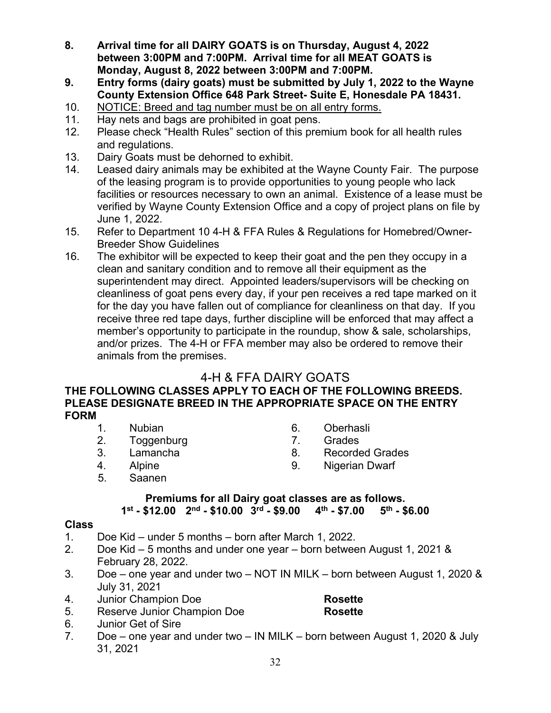- **8. Arrival time for all DAIRY GOATS is on Thursday, August 4, 2022 between 3:00PM and 7:00PM. Arrival time for all MEAT GOATS is Monday, August 8, 2022 between 3:00PM and 7:00PM.**
- **9. Entry forms (dairy goats) must be submitted by July 1, 2022 to the Wayne County Extension Office 648 Park Street- Suite E, Honesdale PA 18431.**
- 10. NOTICE: Breed and tag number must be on all entry forms.
- 11. Hay nets and bags are prohibited in goat pens.
- 12. Please check "Health Rules" section of this premium book for all health rules and regulations.
- 13. Dairy Goats must be dehorned to exhibit.
- 14. Leased dairy animals may be exhibited at the Wayne County Fair. The purpose of the leasing program is to provide opportunities to young people who lack facilities or resources necessary to own an animal. Existence of a lease must be verified by Wayne County Extension Office and a copy of project plans on file by June 1, 2022.
- 15. Refer to Department 10 4-H & FFA Rules & Regulations for Homebred/Owner-Breeder Show Guidelines
- 16. The exhibitor will be expected to keep their goat and the pen they occupy in a clean and sanitary condition and to remove all their equipment as the superintendent may direct. Appointed leaders/supervisors will be checking on cleanliness of goat pens every day, if your pen receives a red tape marked on it for the day you have fallen out of compliance for cleanliness on that day. If you receive three red tape days, further discipline will be enforced that may affect a member's opportunity to participate in the roundup, show & sale, scholarships, and/or prizes. The 4-H or FFA member may also be ordered to remove their animals from the premises.

# 4-H & FFA DAIRY GOATS

#### **THE FOLLOWING CLASSES APPLY TO EACH OF THE FOLLOWING BREEDS. PLEASE DESIGNATE BREED IN THE APPROPRIATE SPACE ON THE ENTRY FORM**

- 1. Nubian 6. Oberhasli
- 2. Toggenburg 7. Grades
- 
- 
- 
- 
- 3. Lamancha 8. Recorded Grades
- 4. Alpine 9. Nigerian Dwarf
- 5. Saanen

# **Premiums for all Dairy goat classes are as follows.**

# 1st - \$12.00 2<sup>nd</sup> - \$10.00 3<sup>rd</sup> - \$9.00 4<sup>th</sup> - \$7.00

# **Class**

- 1. Doe Kid under 5 months born after March 1, 2022.
- 2. Doe Kid 5 months and under one year born between August 1, 2021 & February 28, 2022.
- 3. Doe one year and under two NOT IN MILK born between August 1, 2020 & July 31, 2021
- 4. Junior Champion Doe **Rosette**<br>5. Reserve Junior Champion Doe **Rosette**
- 5. Reserve Junior Champion Doe **Rosette**
- 6. Junior Get of Sire
- 7. Doe one year and under two IN MILK born between August 1, 2020 & July 31, 2021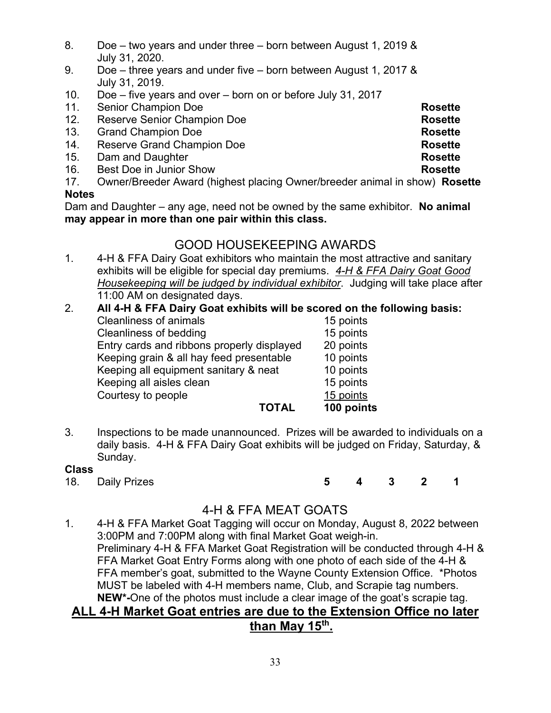- 8. Doe two years and under three born between August 1, 2019 & July 31, 2020.
- 9. Doe three years and under five born between August 1, 2017 & July 31, 2019.
- 10. Doe five years and over born on or before July 31, 2017
- 11. Senior Champion Doe **Rosette**
- 12. Reserve Senior Champion Doe **Rosette Rosette**<br>13. Grand Champion Doe **Rosette**
- 13. Grand Champion Doe
- 14. Reserve Grand Champion Doe **Rosette** Rosette
- 15. Dam and Daughter **Rosette**
- 16. Best Doe in Junior Show **Rosette**
- 17. Owner/Breeder Award (highest placing Owner/breeder animal in show) **Rosette**

#### **Notes**

Dam and Daughter – any age, need not be owned by the same exhibitor. **No animal may appear in more than one pair within this class.**

# GOOD HOUSEKEEPING AWARDS

1. 4-H & FFA Dairy Goat exhibitors who maintain the most attractive and sanitary exhibits will be eligible for special day premiums. *4-H & FFA Dairy Goat Good Housekeeping will be judged by individual exhibitor*. Judging will take place after 11:00 AM on designated days.

#### 2. **All 4-H & FFA Dairy Goat exhibits will be scored on the following basis:** Cleanliness of animals

| <b>TOTAL</b>                               | 100 points |
|--------------------------------------------|------------|
| Courtesy to people                         | 15 points  |
| Keeping all aisles clean                   | 15 points  |
| Keeping all equipment sanitary & neat      | 10 points  |
| Keeping grain & all hay feed presentable   | 10 points  |
| Entry cards and ribbons properly displayed | 20 points  |
| Cleanliness of bedding                     | 15 points  |
| Cical illicəs vi allılılalə                | בוווטע טו  |

3. Inspections to be made unannounced. Prizes will be awarded to individuals on a daily basis. 4-H & FFA Dairy Goat exhibits will be judged on Friday, Saturday, & Sunday.

# **Class**

18. Daily Prizes **5 4 3 2 1** 

# 4-H & FFA MEAT GOATS

1. 4-H & FFA Market Goat Tagging will occur on Monday, August 8, 2022 between 3:00PM and 7:00PM along with final Market Goat weigh-in. Preliminary 4-H & FFA Market Goat Registration will be conducted through 4-H & FFA Market Goat Entry Forms along with one photo of each side of the 4-H & FFA member's goat, submitted to the Wayne County Extension Office. \*Photos MUST be labeled with 4-H members name, Club, and Scrapie tag numbers. **NEW\*-**One of the photos must include a clear image of the goat's scrapie tag.

# **ALL 4-H Market Goat entries are due to the Extension Office no later than May 15th.**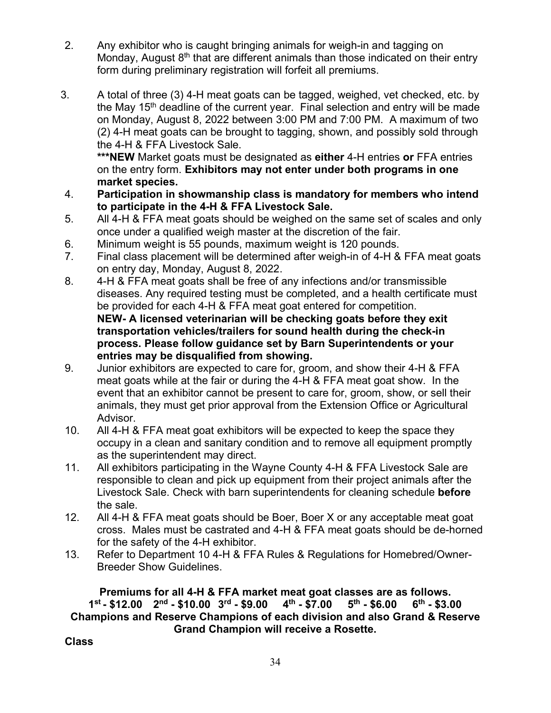- 2. Any exhibitor who is caught bringing animals for weigh-in and tagging on Monday, August  $8<sup>th</sup>$  that are different animals than those indicated on their entry form during preliminary registration will forfeit all premiums.
- 3. A total of three (3) 4-H meat goats can be tagged, weighed, vet checked, etc. by the May 15<sup>th</sup> deadline of the current year. Final selection and entry will be made on Monday, August 8, 2022 between 3:00 PM and 7:00 PM. A maximum of two (2) 4-H meat goats can be brought to tagging, shown, and possibly sold through the 4-H & FFA Livestock Sale.

**\*\*\*NEW** Market goats must be designated as **either** 4-H entries **or** FFA entries on the entry form. **Exhibitors may not enter under both programs in one market species.**

- 4. **Participation in showmanship class is mandatory for members who intend to participate in the 4-H & FFA Livestock Sale.**
- 5. All 4-H & FFA meat goats should be weighed on the same set of scales and only once under a qualified weigh master at the discretion of the fair.
- 6. Minimum weight is 55 pounds, maximum weight is 120 pounds.
- 7. Final class placement will be determined after weigh-in of 4-H & FFA meat goats on entry day, Monday, August 8, 2022.
- 8. 4-H & FFA meat goats shall be free of any infections and/or transmissible diseases. Any required testing must be completed, and a health certificate must be provided for each 4-H & FFA meat goat entered for competition. **NEW- A licensed veterinarian will be checking goats before they exit transportation vehicles/trailers for sound health during the check-in process. Please follow guidance set by Barn Superintendents or your entries may be disqualified from showing.**
- 9. Junior exhibitors are expected to care for, groom, and show their 4-H & FFA meat goats while at the fair or during the 4-H & FFA meat goat show. In the event that an exhibitor cannot be present to care for, groom, show, or sell their animals, they must get prior approval from the Extension Office or Agricultural Advisor.
- 10. All 4-H & FFA meat goat exhibitors will be expected to keep the space they occupy in a clean and sanitary condition and to remove all equipment promptly as the superintendent may direct.
- 11. All exhibitors participating in the Wayne County 4-H & FFA Livestock Sale are responsible to clean and pick up equipment from their project animals after the Livestock Sale. Check with barn superintendents for cleaning schedule **before** the sale.
- 12. All 4-H & FFA meat goats should be Boer, Boer X or any acceptable meat goat cross. Males must be castrated and 4-H & FFA meat goats should be de-horned for the safety of the 4-H exhibitor.
- 13. Refer to Department 10 4-H & FFA Rules & Regulations for Homebred/Owner-Breeder Show Guidelines.

**Premiums for all 4-H & FFA market meat goat classes are as follows. 1st - \$12.00 2nd - \$10.00 3rd - \$9.00 4th - \$7.00 5th - \$6.00 6th - \$3.00 Champions and Reserve Champions of each division and also Grand & Reserve Grand Champion will receive a Rosette.**

#### **Class**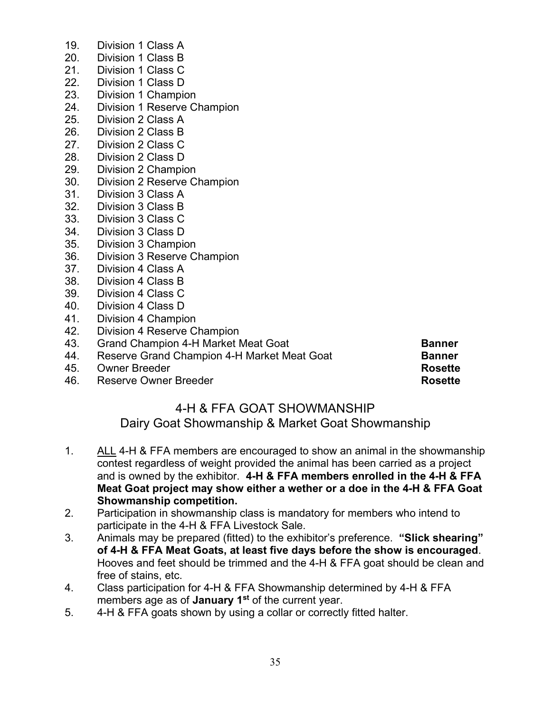- 19. Division 1 Class A
- 20. Division 1 Class B
- 21. Division 1 Class C<br>22. Division 1 Class D
- 22. Division 1 Class D<br>23. Division 1 Champio
- Division 1 Champion
- 24. Division 1 Reserve Champion
- 25. Division 2 Class A
- 26. Division 2 Class B<br>27. Division 2 Class C
- Division 2 Class C
- 28. Division 2 Class D
- 29. Division 2 Champion
- 30. Division 2 Reserve Champion
- 31. Division 3 Class A
- 32. Division 3 Class B
- 33. Division 3 Class C
- 34. Division 3 Class D
- 35. Division 3 Champion
- 36. Division 3 Reserve Champion
- 37. Division 4 Class A
- 38. Division 4 Class B
- 39. Division 4 Class C
- 40. Division 4 Class D
- 41. Division 4 Champion
- 42. Division 4 Reserve Champion
- 43. Grand Champion 4-H Market Meat Goat **Banner**
- 44. Reserve Grand Champion 4-H Market Meat Goat **Banner**
- 
- 45. Owner Breeder **Rosette** 46. Reserve Owner Breeder **Rosette**

# 4-H & FFA GOAT SHOWMANSHIP

Dairy Goat Showmanship & Market Goat Showmanship

- 1. ALL 4-H & FFA members are encouraged to show an animal in the showmanship contest regardless of weight provided the animal has been carried as a project and is owned by the exhibitor. **4-H & FFA members enrolled in the 4-H & FFA Meat Goat project may show either a wether or a doe in the 4-H & FFA Goat Showmanship competition.**
- 2. Participation in showmanship class is mandatory for members who intend to participate in the 4-H & FFA Livestock Sale.
- 3. Animals may be prepared (fitted) to the exhibitor's preference. **"Slick shearing" of 4-H & FFA Meat Goats, at least five days before the show is encouraged**. Hooves and feet should be trimmed and the 4-H & FFA goat should be clean and free of stains, etc.
- 4. Class participation for 4-H & FFA Showmanship determined by 4-H & FFA members age as of **January 1st** of the current year.
- 5. 4-H & FFA goats shown by using a collar or correctly fitted halter.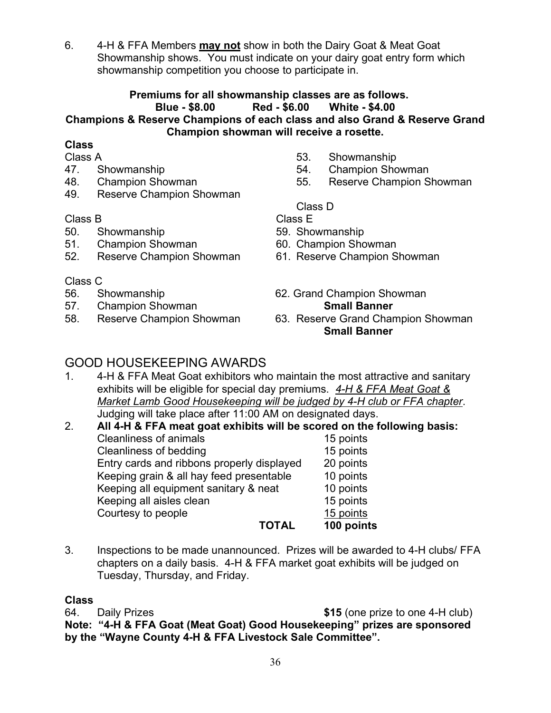6. 4-H & FFA Members **may not** show in both the Dairy Goat & Meat Goat Showmanship shows. You must indicate on your dairy goat entry form which showmanship competition you choose to participate in.

# **Premiums for all showmanship classes are as follows. Blue - \$8.00 Red - \$6.00 White - \$4.00 Champions & Reserve Champions of each class and also Grand & Reserve Grand Champion showman will receive a rosette.**

# **Class**

Class A

- 47. Showmanship
- 48. Champion Showman
- 49. Reserve Champion Showman

#### Class B

- 50. Showmanship
- 51. Champion Showman
- 52. Reserve Champion Showman

# Class C

- 56. Showmanship
- 57. Champion Showman
- 58. Reserve Champion Showman
- 53. Showmanship
- 54. Champion Showman
- 55. Reserve Champion Showman

# Class D

Class E

- 59. Showmanship
- 60. Champion Showman
- 61. Reserve Champion Showman
- 62. Grand Champion Showman **Small Banner**
- 63. Reserve Grand Champion Showman **Small Banner**

# GOOD HOUSEKEEPING AWARDS

- 1. 4-H & FFA Meat Goat exhibitors who maintain the most attractive and sanitary exhibits will be eligible for special day premiums. *4-H & FFA Meat Goat & Market Lamb Good Housekeeping will be judged by 4-H club or FFA chapter*. Judging will take place after 11:00 AM on designated days.
- 2. **All 4-H & FFA meat goat exhibits will be scored on the following basis:** Cleanliness of animals<br>Cleanliness of bedding in the cleanliness of bedding Cleanliness of bedding Entry cards and ribbons properly displayed 20 points Keeping grain & all hay feed presentable 10 points Keeping all equipment sanitary & neat 10 points Keeping all aisles clean 15 points Courtesy to people<br>
TOTAL
100 point **100 points**
- 3. Inspections to be made unannounced. Prizes will be awarded to 4-H clubs/ FFA chapters on a daily basis. 4-H & FFA market goat exhibits will be judged on Tuesday, Thursday, and Friday.

# **Class**

64. Daily Prizes **\$15** (one prize to one 4-H club) **Note: "4-H & FFA Goat (Meat Goat) Good Housekeeping" prizes are sponsored by the "Wayne County 4-H & FFA Livestock Sale Committee".**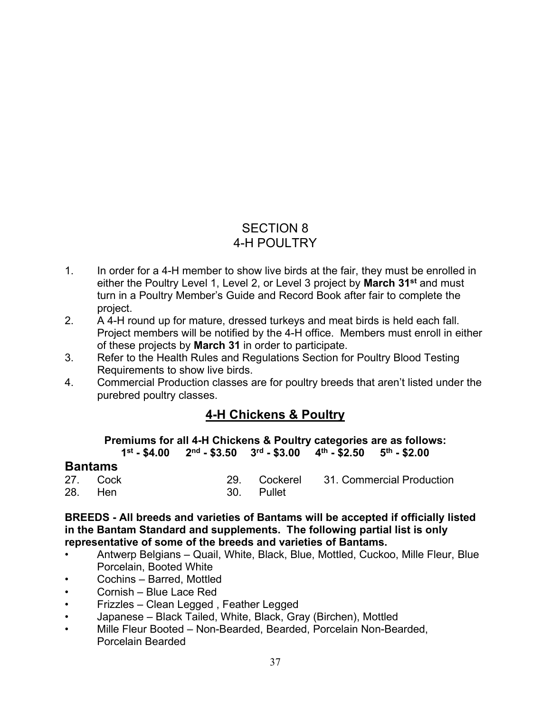## SECTION 8 4-H POULTRY

- 1. In order for a 4-H member to show live birds at the fair, they must be enrolled in either the Poultry Level 1, Level 2, or Level 3 project by **March 31st** and must turn in a Poultry Member's Guide and Record Book after fair to complete the project.
- 2. A 4-H round up for mature, dressed turkeys and meat birds is held each fall. Project members will be notified by the 4-H office. Members must enroll in either of these projects by **March 31** in order to participate.
- 3. Refer to the Health Rules and Regulations Section for Poultry Blood Testing Requirements to show live birds.
- 4. Commercial Production classes are for poultry breeds that aren't listed under the purebred poultry classes.

## **4-H Chickens & Poultry**

**Premiums for all 4-H Chickens & Poultry categories are as follows:**

 $1^{\text{st}}$  - \$4.00 2<sup>nd</sup> - \$3.50 3<sup>rd</sup> - \$3.00 4<sup>th</sup> - \$2.50

#### **Bantams**

| 27. Cock |  |            | 29. Cockerel 31. Commercial Production |
|----------|--|------------|----------------------------------------|
| 28. Hen  |  | 30. Pullet |                                        |

**BREEDS - All breeds and varieties of Bantams will be accepted if officially listed in the Bantam Standard and supplements. The following partial list is only representative of some of the breeds and varieties of Bantams.**

- Antwerp Belgians Quail, White, Black, Blue, Mottled, Cuckoo, Mille Fleur, Blue Porcelain, Booted White
- Cochins Barred, Mottled
- Cornish Blue Lace Red
- Frizzles Clean Legged , Feather Legged
- Japanese Black Tailed, White, Black, Gray (Birchen), Mottled
- Mille Fleur Booted Non-Bearded, Bearded, Porcelain Non-Bearded, Porcelain Bearded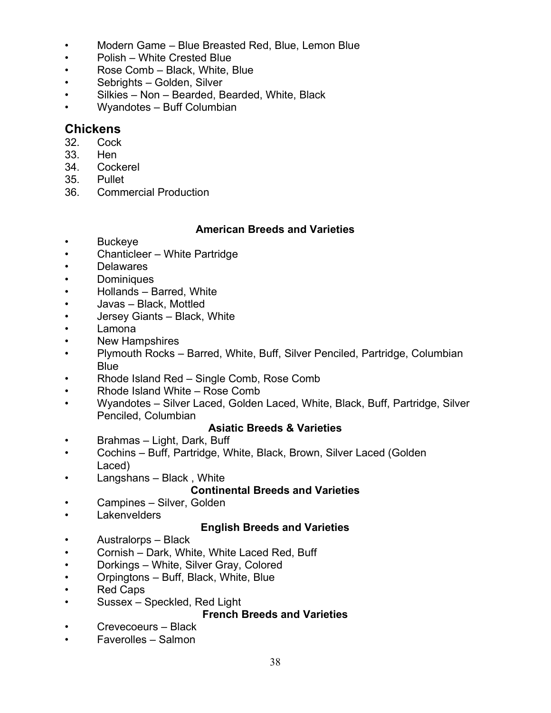- Modern Game Blue Breasted Red, Blue, Lemon Blue
- Polish White Crested Blue
- Rose Comb Black, White, Blue
- Sebrights Golden, Silver
- Silkies Non Bearded, Bearded, White, Black
- Wyandotes Buff Columbian

## **Chickens**

- 32. Cock
- 33. Hen
- 34. Cockerel
- 35. Pullet
- 36. Commercial Production

#### **American Breeds and Varieties**

- Buckeye
- Chanticleer White Partridge
- Delawares
- Dominiques
- Hollands Barred, White
- Javas Black, Mottled
- Jersey Giants Black, White
- Lamona
- New Hampshires
- Plymouth Rocks Barred, White, Buff, Silver Penciled, Partridge, Columbian **Blue**
- Rhode Island Red Single Comb, Rose Comb
- Rhode Island White Rose Comb
- Wyandotes Silver Laced, Golden Laced, White, Black, Buff, Partridge, Silver Penciled, Columbian

#### **Asiatic Breeds & Varieties**

- Brahmas Light, Dark, Buff
- Cochins Buff, Partridge, White, Black, Brown, Silver Laced (Golden Laced)
- Langshans Black , White

#### **Continental Breeds and Varieties**

- Campines Silver, Golden
- Lakenvelders

#### **English Breeds and Varieties**

- Australorps Black
- Cornish Dark, White, White Laced Red, Buff
- Dorkings White, Silver Gray, Colored
- Orpingtons Buff, Black, White, Blue
- Red Caps
- Sussex Speckled, Red Light

#### **French Breeds and Varieties**

- Crevecoeurs Black
- Faverolles Salmon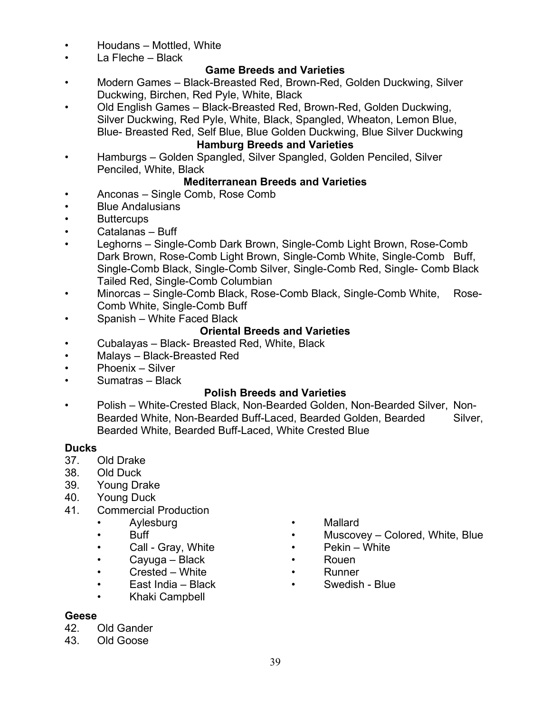- Houdans Mottled, White
- La Fleche Black

#### **Game Breeds and Varieties**

- Modern Games Black-Breasted Red, Brown-Red, Golden Duckwing, Silver Duckwing, Birchen, Red Pyle, White, Black
- Old English Games Black-Breasted Red, Brown-Red, Golden Duckwing, Silver Duckwing, Red Pyle, White, Black, Spangled, Wheaton, Lemon Blue, Blue- Breasted Red, Self Blue, Blue Golden Duckwing, Blue Silver Duckwing

#### **Hamburg Breeds and Varieties**

• Hamburgs – Golden Spangled, Silver Spangled, Golden Penciled, Silver Penciled, White, Black

#### **Mediterranean Breeds and Varieties**

- Anconas Single Comb, Rose Comb
- Blue Andalusians
- **Buttercups**
- Catalanas Buff
- Leghorns Single-Comb Dark Brown, Single-Comb Light Brown, Rose-Comb Dark Brown, Rose-Comb Light Brown, Single-Comb White, Single-Comb Buff, Single-Comb Black, Single-Comb Silver, Single-Comb Red, Single- Comb Black Tailed Red, Single-Comb Columbian
- Minorcas Single-Comb Black, Rose-Comb Black, Single-Comb White, Rose-Comb White, Single-Comb Buff
- Spanish White Faced Black

#### **Oriental Breeds and Varieties**

- Cubalayas Black- Breasted Red, White, Black
- Malays Black-Breasted Red
- Phoenix Silver
- Sumatras Black

#### **Polish Breeds and Varieties**

• Polish – White-Crested Black, Non-Bearded Golden, Non-Bearded Silver, Non-Bearded White, Non-Bearded Buff-Laced, Bearded Golden, Bearded Silver, Bearded White, Bearded Buff-Laced, White Crested Blue

- Ducks<br>37. Old Drake
- 38. Old Duck
- 39. Young Drake
- 40. Young Duck
- 41. Commercial Production
	-
	-
	- Call Gray, White Pekin White
	- Cayuga Black Rouen
	- Crested White **• Runner**
	- East India Black Swedish Blue
	- Khaki Campbell
- **Geese**
- 42. Old Gander
- 43. Old Goose
- Aylesburg Mallard
- Buff **buff •** Muscovey Colored, White, Blue
	-
	-
	-
	-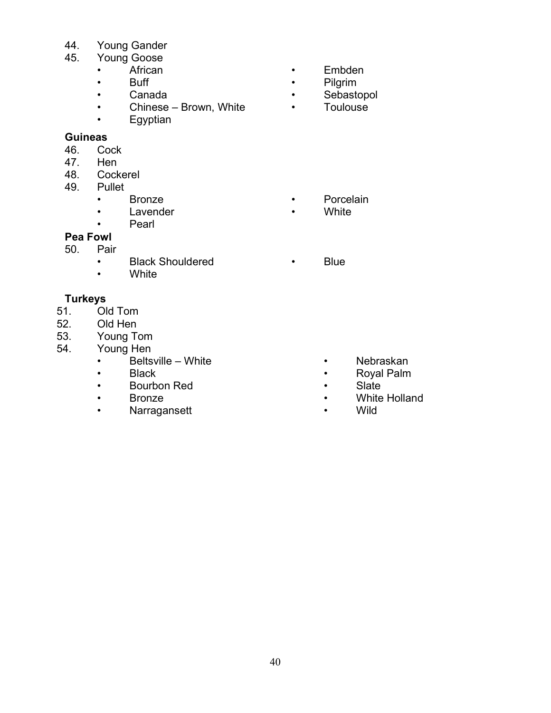- 44. Young Gander<br>45. Young Goose
	- Young Goose<br>• African
		- -
			-
		- Chinese Brown, White Toulouse<br>• Equotian
		- **Egyptian**

## **Guineas**<br>46. Co

- 46. Cock<br>47. Hen
- 47. Hen<br>48. Cock
- 48. Cockerel<br>49. Pullet
- Pullet
	-
	- Lavender White
		- **Pearl**

#### **Pea Fowl**<br>50. Pair Pair

- Black Shouldered<br>• White
- **White**

### **Turkeys**

- 51. Old Tom
- Old Hen
- 
- 53. Young Tom Young Hen
	- Beltsville White Nebraskan
	-
	- Bourbon Red Slate
	-
	- Narragansett **• Wilde**
- African Embden
- Buff Pilgrim
	- Sebastopol
	-

- Bronze Porcelain
	-
	- Blue

- 
- Black **•** Royal Palm
	-
	- Bronze White Holland
		-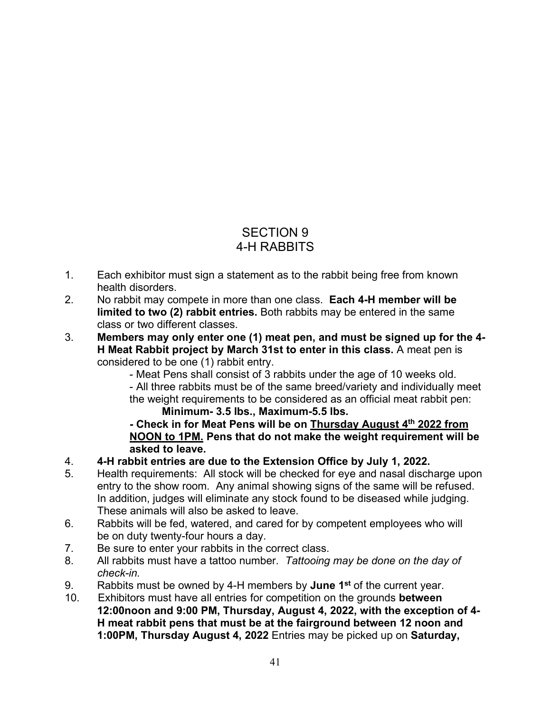## SECTION 9 4-H RABBITS

- 1. Each exhibitor must sign a statement as to the rabbit being free from known health disorders.
- 2. No rabbit may compete in more than one class. **Each 4-H member will be limited to two (2) rabbit entries.** Both rabbits may be entered in the same class or two different classes.
- 3. **Members may only enter one (1) meat pen, and must be signed up for the 4- H Meat Rabbit project by March 31st to enter in this class.** A meat pen is considered to be one (1) rabbit entry.

 - Meat Pens shall consist of 3 rabbits under the age of 10 weeks old. - All three rabbits must be of the same breed/variety and individually meet the weight requirements to be considered as an official meat rabbit pen: **Minimum- 3.5 lbs., Maximum-5.5 lbs.**

**- Check in for Meat Pens will be on Thursday August 4th 2022 from NOON to 1PM. Pens that do not make the weight requirement will be asked to leave.** 

- 4. **4-H rabbit entries are due to the Extension Office by July 1, 2022.**
- Health requirements: All stock will be checked for eye and nasal discharge upon entry to the show room. Any animal showing signs of the same will be refused. In addition, judges will eliminate any stock found to be diseased while judging. These animals will also be asked to leave.
- 6. Rabbits will be fed, watered, and cared for by competent employees who will be on duty twenty-four hours a day.
- 7. Be sure to enter your rabbits in the correct class.
- 8. All rabbits must have a tattoo number. *Tattooing may be done on the day of check-in.*
- 9. Rabbits must be owned by 4-H members by **June 1st** of the current year.
- 10. Exhibitors must have all entries for competition on the grounds **between 12:00noon and 9:00 PM, Thursday, August 4, 2022, with the exception of 4- H meat rabbit pens that must be at the fairground between 12 noon and 1:00PM, Thursday August 4, 2022** Entries may be picked up on **Saturday,**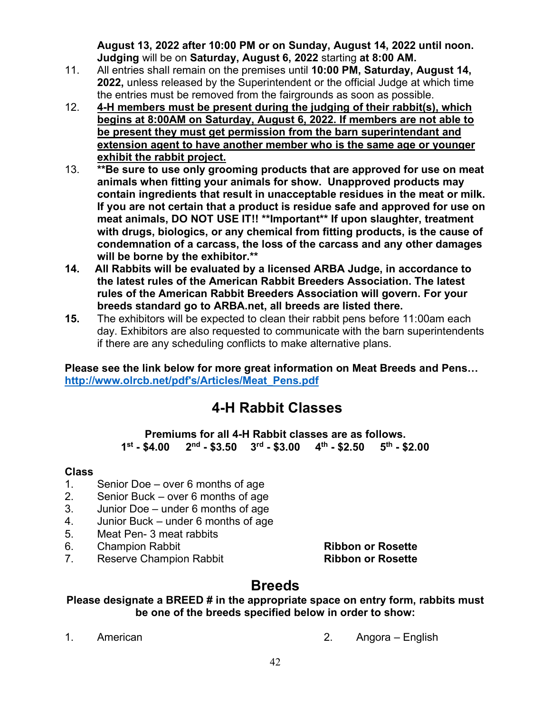**August 13, 2022 after 10:00 PM or on Sunday, August 14, 2022 until noon. Judging** will be on **Saturday, August 6, 2022** starting **at 8:00 AM.**

- 11. All entries shall remain on the premises until **10:00 PM, Saturday, August 14, 2022,** unless released by the Superintendent or the official Judge at which time the entries must be removed from the fairgrounds as soon as possible.
- 12. **4-H members must be present during the judging of their rabbit(s), which begins at 8:00AM on Saturday, August 6, 2022. If members are not able to be present they must get permission from the barn superintendant and extension agent to have another member who is the same age or younger exhibit the rabbit project.**
- 13. **\*\*Be sure to use only grooming products that are approved for use on meat animals when fitting your animals for show. Unapproved products may contain ingredients that result in unacceptable residues in the meat or milk. If you are not certain that a product is residue safe and approved for use on meat animals, DO NOT USE IT!! \*\*Important\*\* If upon slaughter, treatment with drugs, biologics, or any chemical from fitting products, is the cause of condemnation of a carcass, the loss of the carcass and any other damages will be borne by the exhibitor.\*\***
- **14. All Rabbits will be evaluated by a licensed ARBA Judge, in accordance to the latest rules of the American Rabbit Breeders Association. The latest rules of the American Rabbit Breeders Association will govern. For your breeds standard go to ARBA.net, all breeds are listed there.**
- **15.** The exhibitors will be expected to clean their rabbit pens before 11:00am each day. Exhibitors are also requested to communicate with the barn superintendents if there are any scheduling conflicts to make alternative plans.

**Please see the link below for more great information on Meat Breeds and Pens… [http://www.olrcb.net/pdf's/Articles/Meat\\_Pens.pdf](http://www.olrcb.net/pdf)** 

## **4-H Rabbit Classes**

**Premiums for all 4-H Rabbit classes are as follows. 1st - \$4.00 2nd - \$3.50 3rd - \$3.00 4th - \$2.50 5th - \$2.00**

#### **Class**

- 1. Senior Doe over 6 months of age
- 2. Senior Buck over 6 months of age
- 3. Junior Doe under 6 months of age
- 4. Junior Buck under 6 months of age
- 5. Meat Pen- 3 meat rabbits
- 6. Champion Rabbit **Ribbon or Rosette**
- 7. Reserve Champion Rabbit **Ribbon or Rosette**

## **Breeds**

#### **Please designate a BREED # in the appropriate space on entry form, rabbits must be one of the breeds specified below in order to show:**

- 
- 1. American 2. Angora English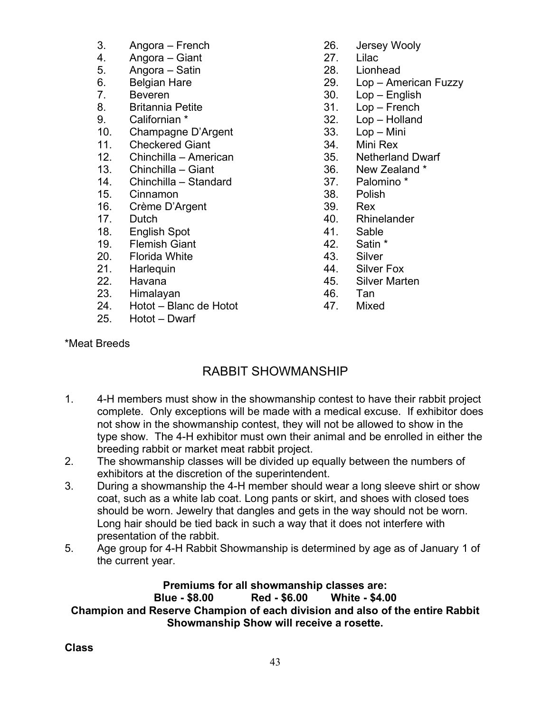- 3. Angora French
- 4. Angora Giant<br>5. Angora Satin
- Angora Satin
- 6. Belgian Hare<br>7. Beveren
- **Beveren**
- 8. Britannia Petite
- 9. Californian \*
- 10. Champagne D'Argent<br>11. Checkered Giant
- **Checkered Giant**
- 12. Chinchilla American
- 13. Chinchilla Giant
- 14. Chinchilla Standard
- 15. Cinnamon
- 16. Crème D'Argent
- 17. Dutch
- 18. English Spot
- 19. Flemish Giant
- 20. Florida White<br>21. Harleguin
- Harlequin
- 22. Havana
- 23. Himalayan
- 24. Hotot Blanc de Hotot<br>25. Hotot Dwarf
- Hotot Dwarf
- 26. Jersey Wooly
- 27. Lilac
- 28. Lionhead
- 29. Lop American Fuzzy
- 30. Lop English
- 31. Lop French
- 32. Lop Holland
- 33. Lop Mini
- 34. Mini Rex
- 35. Netherland Dwarf
- 36. New Zealand \*
- 37. Palomino \*
- 38. Polish
- 39. Rex
- 40. Rhinelander
- 41. Sable
- 42. Satin \*
- 43. Silver
- 44. Silver Fox
- 45. Silver Marten
- 46. Tan
- 47. Mixed

#### \*Meat Breeds

## RABBIT SHOWMANSHIP

- 1. 4-H members must show in the showmanship contest to have their rabbit project complete. Only exceptions will be made with a medical excuse. If exhibitor does not show in the showmanship contest, they will not be allowed to show in the type show. The 4-H exhibitor must own their animal and be enrolled in either the breeding rabbit or market meat rabbit project.
- 2. The showmanship classes will be divided up equally between the numbers of exhibitors at the discretion of the superintendent.
- 3. During a showmanship the 4-H member should wear a long sleeve shirt or show coat, such as a white lab coat. Long pants or skirt, and shoes with closed toes should be worn. Jewelry that dangles and gets in the way should not be worn. Long hair should be tied back in such a way that it does not interfere with presentation of the rabbit.
- 5. Age group for 4-H Rabbit Showmanship is determined by age as of January 1 of the current year.

#### **Premiums for all showmanship classes are: Blue - \$8.00 Red - \$6.00 White - \$4.00 Champion and Reserve Champion of each division and also of the entire Rabbit Showmanship Show will receive a rosette.**

**Class**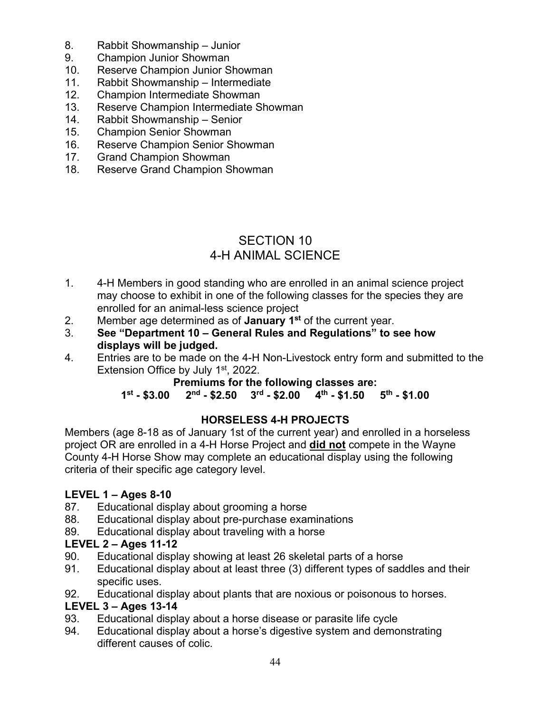- 8. Rabbit Showmanship Junior
- 9. Champion Junior Showman
- 10. Reserve Champion Junior Showman
- 11. Rabbit Showmanship Intermediate<br>12. Champion Intermediate Showman
- 12. Champion Intermediate Showman
- 13. Reserve Champion Intermediate Showman
- 14. Rabbit Showmanship Senior
- 15. Champion Senior Showman
- 16. Reserve Champion Senior Showman
- 17. Grand Champion Showman
- 18. Reserve Grand Champion Showman

## SECTION 10 4-H ANIMAL SCIENCE

- 1. 4-H Members in good standing who are enrolled in an animal science project may choose to exhibit in one of the following classes for the species they are enrolled for an animal-less science project
- 2. Member age determined as of **January 1st** of the current year.
- 3. **See "Department 10 General Rules and Regulations" to see how displays will be judged.**<br>4. Entries are to be made on
- 4. Entries are to be made on the 4-H Non-Livestock entry form and submitted to the Extension Office by July  $1<sup>st</sup>$ , 2022.

## **Premiums for the following classes are:**<br>1<sup>st</sup> - \$3.00 2<sup>nd</sup> - \$2.50 3<sup>rd</sup> - \$2.00 4<sup>th</sup> - \$1.50

**1st - \$3.00 2nd - \$2.50 3rd - \$2.00 4th - \$1.50 5th - \$1.00**

#### **HORSELESS 4-H PROJECTS**

Members (age 8-18 as of January 1st of the current year) and enrolled in a horseless project OR are enrolled in a 4-H Horse Project and **did not** compete in the Wayne County 4-H Horse Show may complete an educational display using the following criteria of their specific age category level.

#### **LEVEL 1 – Ages 8-10**

- 87. Educational display about grooming a horse<br>88. Educational display about pre-purchase exare
- Educational display about pre-purchase examinations
- 89. Educational display about traveling with a horse

#### **LEVEL 2 – Ages 11-12**

- 90. Educational display showing at least 26 skeletal parts of a horse
- 91. Educational display about at least three (3) different types of saddles and their specific uses.
- 92. Educational display about plants that are noxious or poisonous to horses.

#### **LEVEL 3 – Ages 13-14**

- 93. Educational display about a horse disease or parasite life cycle
- 94. Educational display about a horse's digestive system and demonstrating different causes of colic.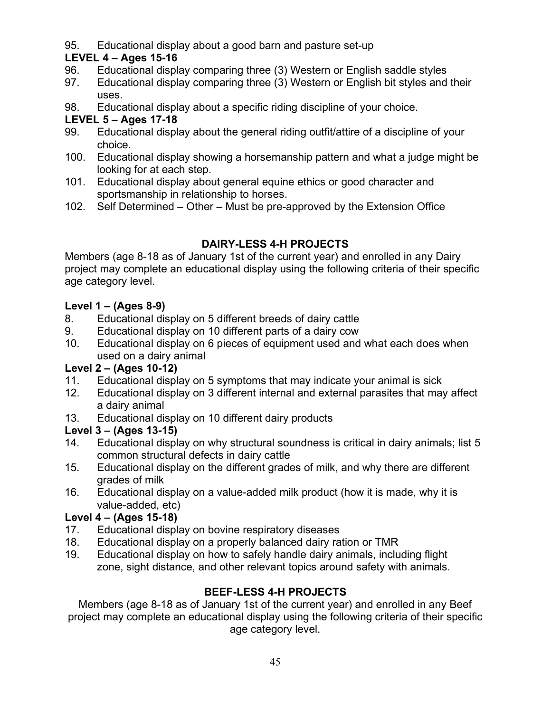95. Educational display about a good barn and pasture set-up

## **LEVEL 4 – Ages 15-16**

- 96. Educational display comparing three (3) Western or English saddle styles
- 97. Educational display comparing three (3) Western or English bit styles and their uses.
- 98. Educational display about a specific riding discipline of your choice.

## **LEVEL 5 – Ages 17-18**

- 99. Educational display about the general riding outfit/attire of a discipline of your choice.
- 100. Educational display showing a horsemanship pattern and what a judge might be looking for at each step.
- 101. Educational display about general equine ethics or good character and sportsmanship in relationship to horses.
- 102. Self Determined Other Must be pre-approved by the Extension Office

## **DAIRY-LESS 4-H PROJECTS**

Members (age 8-18 as of January 1st of the current year) and enrolled in any Dairy project may complete an educational display using the following criteria of their specific age category level.

## **Level 1 – (Ages 8-9)**

- 8. Educational display on 5 different breeds of dairy cattle
- 9. Educational display on 10 different parts of a dairy cow
- 10. Educational display on 6 pieces of equipment used and what each does when used on a dairy animal

## **Level 2 – (Ages 10-12)**

- 11. Educational display on 5 symptoms that may indicate your animal is sick
- 12. Educational display on 3 different internal and external parasites that may affect a dairy animal
- 13. Educational display on 10 different dairy products

## **Level 3 – (Ages 13-15)**

- 14. Educational display on why structural soundness is critical in dairy animals; list 5 common structural defects in dairy cattle
- 15. Educational display on the different grades of milk, and why there are different grades of milk
- 16. Educational display on a value-added milk product (how it is made, why it is value-added, etc)

## **Level 4 – (Ages 15-18)**

- 17. Educational display on bovine respiratory diseases
- 18. Educational display on a properly balanced dairy ration or TMR
- 19. Educational display on how to safely handle dairy animals, including flight zone, sight distance, and other relevant topics around safety with animals.

## **BEEF-LESS 4-H PROJECTS**

Members (age 8-18 as of January 1st of the current year) and enrolled in any Beef project may complete an educational display using the following criteria of their specific age category level.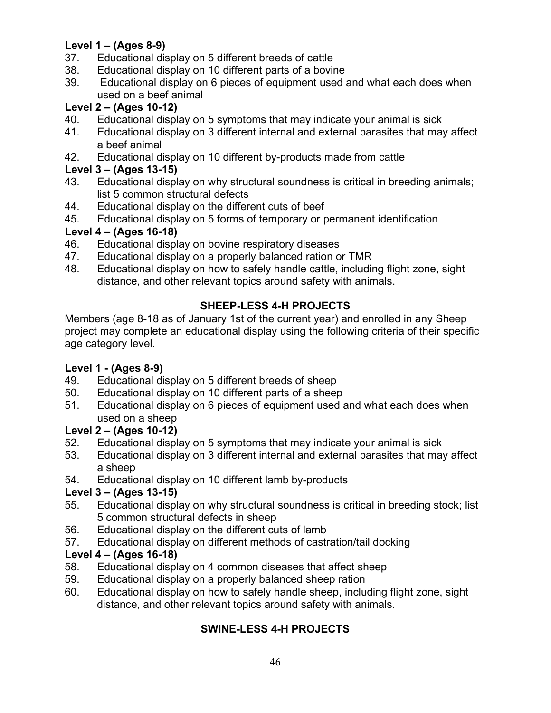## **Level 1 – (Ages 8-9)**

- 37. Educational display on 5 different breeds of cattle
- 38. Educational display on 10 different parts of a bovine
- 39. Educational display on 6 pieces of equipment used and what each does when used on a beef animal

### **Level 2 – (Ages 10-12)**

- 40. Educational display on 5 symptoms that may indicate your animal is sick
- 41. Educational display on 3 different internal and external parasites that may affect a beef animal
- 42. Educational display on 10 different by-products made from cattle

#### **Level 3 – (Ages 13-15)**

- 43. Educational display on why structural soundness is critical in breeding animals; list 5 common structural defects
- 44. Educational display on the different cuts of beef
- 45. Educational display on 5 forms of temporary or permanent identification

#### **Level 4 – (Ages 16-18)**

- 46. Educational display on bovine respiratory diseases
- 47. Educational display on a properly balanced ration or TMR<br>48. Educational display on how to safely handle cattle, includir
- Educational display on how to safely handle cattle, including flight zone, sight distance, and other relevant topics around safety with animals.

### **SHEEP-LESS 4-H PROJECTS**

Members (age 8-18 as of January 1st of the current year) and enrolled in any Sheep project may complete an educational display using the following criteria of their specific age category level.

#### **Level 1 - (Ages 8-9)**

- 49. Educational display on 5 different breeds of sheep
- 50. Educational display on 10 different parts of a sheep
- 51. Educational display on 6 pieces of equipment used and what each does when used on a sheep

#### **Level 2 – (Ages 10-12)**

- 52. Educational display on 5 symptoms that may indicate your animal is sick
- 53. Educational display on 3 different internal and external parasites that may affect a sheep
- 54. Educational display on 10 different lamb by-products

#### **Level 3 – (Ages 13-15)**

- 55. Educational display on why structural soundness is critical in breeding stock; list 5 common structural defects in sheep
- 56. Educational display on the different cuts of lamb
- 57. Educational display on different methods of castration/tail docking

#### **Level 4 – (Ages 16-18)**

- 58. Educational display on 4 common diseases that affect sheep
- 59. Educational display on a properly balanced sheep ration
- 60. Educational display on how to safely handle sheep, including flight zone, sight distance, and other relevant topics around safety with animals.

## **SWINE-LESS 4-H PROJECTS**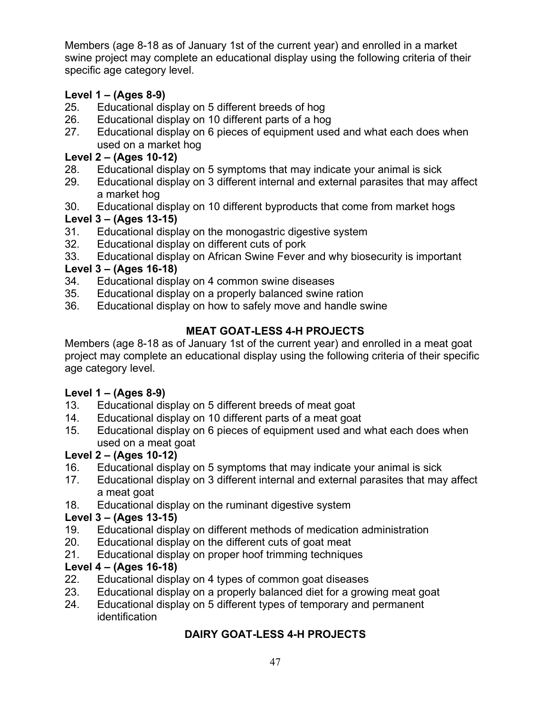Members (age 8-18 as of January 1st of the current year) and enrolled in a market swine project may complete an educational display using the following criteria of their specific age category level.

## **Level 1 – (Ages 8-9)**

- 25. Educational display on 5 different breeds of hog
- 26. Educational display on 10 different parts of a hog
- 27. Educational display on 6 pieces of equipment used and what each does when used on a market hog

## **Level 2 – (Ages 10-12)**

- 28. Educational display on 5 symptoms that may indicate your animal is sick
- 29. Educational display on 3 different internal and external parasites that may affect a market hog
- 30. Educational display on 10 different byproducts that come from market hogs

## **Level 3 – (Ages 13-15)**

- 31. Educational display on the monogastric digestive system
- 32. Educational display on different cuts of pork
- 33. Educational display on African Swine Fever and why biosecurity is important

## **Level 3 – (Ages 16-18)**

- 34. Educational display on 4 common swine diseases
- 35. Educational display on a properly balanced swine ration
- 36. Educational display on how to safely move and handle swine

## **MEAT GOAT-LESS 4-H PROJECTS**

Members (age 8-18 as of January 1st of the current year) and enrolled in a meat goat project may complete an educational display using the following criteria of their specific age category level.

## **Level 1 – (Ages 8-9)**

- 13. Educational display on 5 different breeds of meat goat
- 14. Educational display on 10 different parts of a meat goat
- 15. Educational display on 6 pieces of equipment used and what each does when used on a meat goat

## **Level 2 – (Ages 10-12)**

- 16. Educational display on 5 symptoms that may indicate your animal is sick
- 17. Educational display on 3 different internal and external parasites that may affect a meat goat
- 18. Educational display on the ruminant digestive system

## **Level 3 – (Ages 13-15)**

- 19. Educational display on different methods of medication administration
- 20. Educational display on the different cuts of goat meat
- 21. Educational display on proper hoof trimming techniques

## **Level 4 – (Ages 16-18)**

- 22. Educational display on 4 types of common goat diseases
- 23. Educational display on a properly balanced diet for a growing meat goat
- 24. Educational display on 5 different types of temporary and permanent identification

## **DAIRY GOAT-LESS 4-H PROJECTS**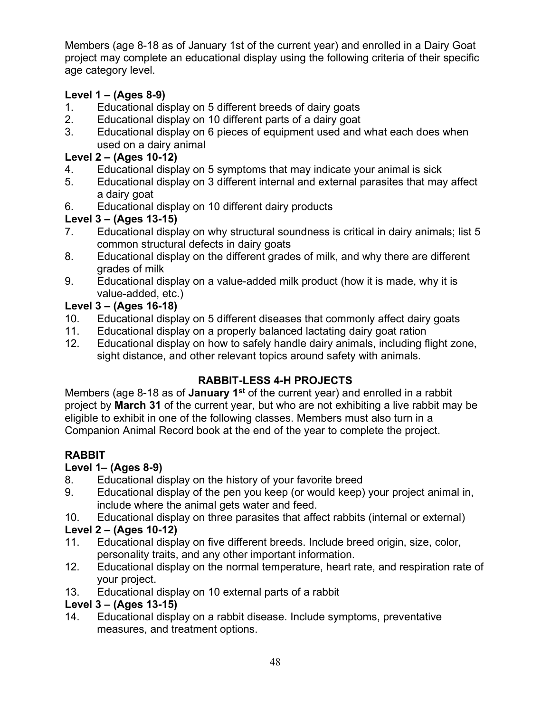Members (age 8-18 as of January 1st of the current year) and enrolled in a Dairy Goat project may complete an educational display using the following criteria of their specific age category level.

## **Level 1 – (Ages 8-9)**

- 1. Educational display on 5 different breeds of dairy goats
- 2. Educational display on 10 different parts of a dairy goat
- 3. Educational display on 6 pieces of equipment used and what each does when used on a dairy animal

## **Level 2 – (Ages 10-12)**

- 4. Educational display on 5 symptoms that may indicate your animal is sick
- 5. Educational display on 3 different internal and external parasites that may affect a dairy goat
- 6. Educational display on 10 different dairy products

## **Level 3 – (Ages 13-15)**

- 7. Educational display on why structural soundness is critical in dairy animals; list 5 common structural defects in dairy goats
- 8. Educational display on the different grades of milk, and why there are different grades of milk
- 9. Educational display on a value-added milk product (how it is made, why it is value-added, etc.)

## **Level 3 – (Ages 16-18)**

- 10. Educational display on 5 different diseases that commonly affect dairy goats<br>11. Educational display on a properly balanced lactating dairy goat ration
- Educational display on a properly balanced lactating dairy goat ration
- 12. Educational display on how to safely handle dairy animals, including flight zone, sight distance, and other relevant topics around safety with animals.

## **RABBIT-LESS 4-H PROJECTS**

Members (age 8-18 as of **January 1st** of the current year) and enrolled in a rabbit project by **March 31** of the current year, but who are not exhibiting a live rabbit may be eligible to exhibit in one of the following classes. Members must also turn in a Companion Animal Record book at the end of the year to complete the project.

## **RABBIT**

## **Level 1– (Ages 8-9)**

- 8. Educational display on the history of your favorite breed
- 9. Educational display of the pen you keep (or would keep) your project animal in, include where the animal gets water and feed.
- 10. Educational display on three parasites that affect rabbits (internal or external)

## **Level 2 – (Ages 10-12)**

- 11. Educational display on five different breeds. Include breed origin, size, color, personality traits, and any other important information.
- 12. Educational display on the normal temperature, heart rate, and respiration rate of your project.
- 13. Educational display on 10 external parts of a rabbit

## **Level 3 – (Ages 13-15)**

14. Educational display on a rabbit disease. Include symptoms, preventative measures, and treatment options.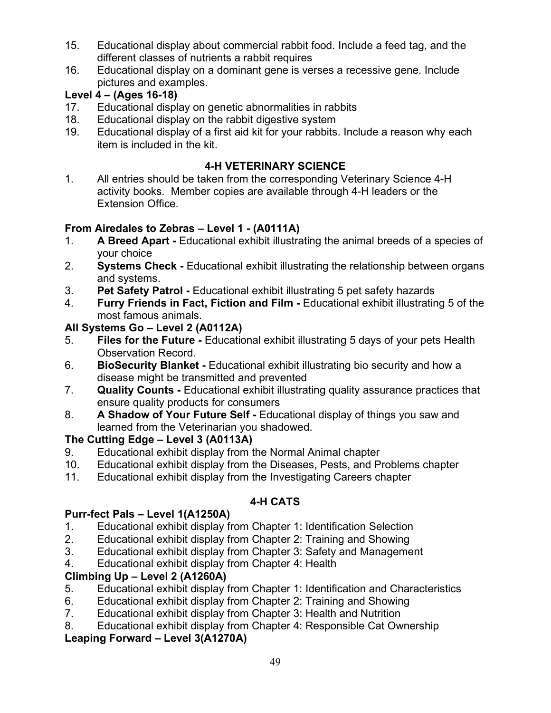- 15. Educational display about commercial rabbit food. Include a feed tag, and the different classes of nutrients a rabbit requires
- 16. Educational display on a dominant gene is verses a recessive gene. Include pictures and examples.

## **Level 4 – (Ages 16-18)**

- 17. Educational display on genetic abnormalities in rabbits
- 18. Educational display on the rabbit digestive system
- 19. Educational display of a first aid kit for your rabbits. Include a reason why each item is included in the kit.

## **4-H VETERINARY SCIENCE**

1. All entries should be taken from the corresponding Veterinary Science 4-H activity books. Member copies are available through 4-H leaders or the Extension Office.

## **From Airedales to Zebras – Level 1 - (A0111A)**

- 1. **A Breed Apart -** Educational exhibit illustrating the animal breeds of a species of your choice
- 2. **Systems Check -** Educational exhibit illustrating the relationship between organs and systems.
- 3. **Pet Safety Patrol -** Educational exhibit illustrating 5 pet safety hazards
- 4. **Furry Friends in Fact, Fiction and Film -** Educational exhibit illustrating 5 of the most famous animals.

## **All Systems Go – Level 2 (A0112A)**

- 5. **Files for the Future -** Educational exhibit illustrating 5 days of your pets Health Observation Record.
- 6. **BioSecurity Blanket -** Educational exhibit illustrating bio security and how a disease might be transmitted and prevented
- 7. **Quality Counts -** Educational exhibit illustrating quality assurance practices that ensure quality products for consumers
- 8. **A Shadow of Your Future Self -** Educational display of things you saw and learned from the Veterinarian you shadowed.

## **The Cutting Edge – Level 3 (A0113A)**

- 9. Educational exhibit display from the Normal Animal chapter
- 10. Educational exhibit display from the Diseases, Pests, and Problems chapter
- 11. Educational exhibit display from the Investigating Careers chapter

## **4-H CATS**

## **Purr-fect Pals – Level 1(A1250A)**

- 1. Educational exhibit display from Chapter 1: Identification Selection
- 2. Educational exhibit display from Chapter 2: Training and Showing
- 3. Educational exhibit display from Chapter 3: Safety and Management<br>4. Educational exhibit display from Chapter 4: Health
- Educational exhibit display from Chapter 4: Health

## **Climbing Up – Level 2 (A1260A)**

- 5. Educational exhibit display from Chapter 1: Identification and Characteristics
- 6. Educational exhibit display from Chapter 2: Training and Showing
- 7. Educational exhibit display from Chapter 3: Health and Nutrition
- 8. Educational exhibit display from Chapter 4: Responsible Cat Ownership

## **Leaping Forward – Level 3(A1270A)**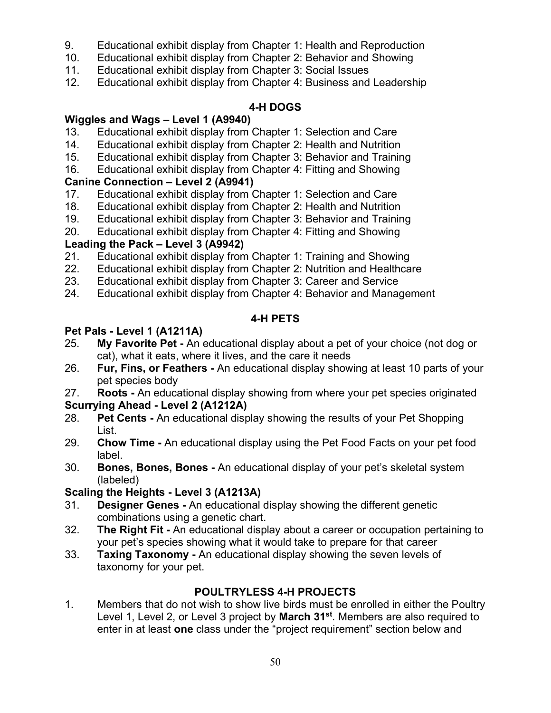- 9. Educational exhibit display from Chapter 1: Health and Reproduction
- 10. Educational exhibit display from Chapter 2: Behavior and Showing
- 11. Educational exhibit display from Chapter 3: Social Issues
- 12. Educational exhibit display from Chapter 4: Business and Leadership

## **4-H DOGS**

### **Wiggles and Wags – Level 1 (A9940)**

- 13. Educational exhibit display from Chapter 1: Selection and Care
- 14. Educational exhibit display from Chapter 2: Health and Nutrition
- 15. Educational exhibit display from Chapter 3: Behavior and Training
- 16. Educational exhibit display from Chapter 4: Fitting and Showing

# **Canine Connection – Level 2 (A9941)**

- Educational exhibit display from Chapter 1: Selection and Care
- 18. Educational exhibit display from Chapter 2: Health and Nutrition
- 19. Educational exhibit display from Chapter 3: Behavior and Training
- 20. Educational exhibit display from Chapter 4: Fitting and Showing

## **Leading the Pack – Level 3 (A9942)**

- 21. Educational exhibit display from Chapter 1: Training and Showing
- 22. Educational exhibit display from Chapter 2: Nutrition and Healthcare
- 23. Educational exhibit display from Chapter 3: Career and Service
- 24. Educational exhibit display from Chapter 4: Behavior and Management

## **4-H PETS**

## **Pet Pals - Level 1 (A1211A)**

- 25. **My Favorite Pet -** An educational display about a pet of your choice (not dog or cat), what it eats, where it lives, and the care it needs
- 26. **Fur, Fins, or Feathers -** An educational display showing at least 10 parts of your pet species body
- 27. **Roots -** An educational display showing from where your pet species originated

## **Scurrying Ahead - Level 2 (A1212A)**

- 28. **Pet Cents -** An educational display showing the results of your Pet Shopping List.
- 29. **Chow Time -** An educational display using the Pet Food Facts on your pet food label.
- 30. **Bones, Bones, Bones -** An educational display of your pet's skeletal system (labeled)

## **Scaling the Heights - Level 3 (A1213A)**

- 31. **Designer Genes -** An educational display showing the different genetic combinations using a genetic chart.
- 32. **The Right Fit -** An educational display about a career or occupation pertaining to your pet's species showing what it would take to prepare for that career
- 33. **Taxing Taxonomy -** An educational display showing the seven levels of taxonomy for your pet.

## **POULTRYLESS 4-H PROJECTS**

1. Members that do not wish to show live birds must be enrolled in either the Poultry Level 1, Level 2, or Level 3 project by **March 31st**. Members are also required to enter in at least **one** class under the "project requirement" section below and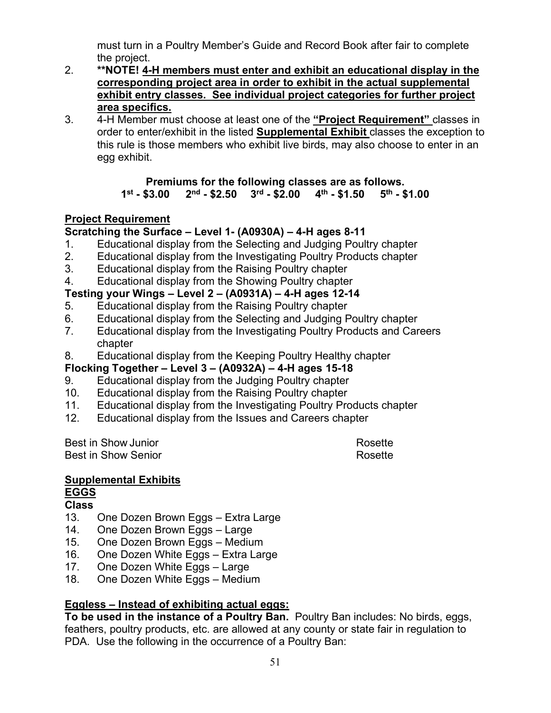must turn in a Poultry Member's Guide and Record Book after fair to complete the project.

- 2. **\*\*NOTE! 4-H members must enter and exhibit an educational display in the corresponding project area in order to exhibit in the actual supplemental exhibit entry classes. See individual project categories for further project area specifics.**
- 3. 4-H Member must choose at least one of the **"Project Requirement"** classes in order to enter/exhibit in the listed **Supplemental Exhibit** classes the exception to this rule is those members who exhibit live birds, may also choose to enter in an egg exhibit.

#### **Premiums for the following classes are as follows.**<br>1<sup>st</sup> - \$3.00 2<sup>nd</sup> - \$2.50 3<sup>rd</sup> - \$2.00 4<sup>th</sup> - \$1.50 5<sup>th</sup> - \$1.00  $2<sup>nd</sup>$  - \$2.50  $3<sup>rd</sup>$  - \$2.00

## **Project Requirement**

### **Scratching the Surface – Level 1- (A0930A) – 4-H ages 8-11**

- 1. Educational display from the Selecting and Judging Poultry chapter
- 2. Educational display from the Investigating Poultry Products chapter
- 3. Educational display from the Raising Poultry chapter
- 4. Educational display from the Showing Poultry chapter

## **Testing your Wings – Level 2 – (A0931A) – 4-H ages 12-14**

- 5. Educational display from the Raising Poultry chapter
- 6. Educational display from the Selecting and Judging Poultry chapter
- 7. Educational display from the Investigating Poultry Products and Careers chapter
- 8. Educational display from the Keeping Poultry Healthy chapter

## **Flocking Together – Level 3 – (A0932A) – 4-H ages 15-18**

- 9. Educational display from the Judging Poultry chapter
- 10. Educational display from the Raising Poultry chapter
- 11. Educational display from the Investigating Poultry Products chapter
- 12. Educational display from the Issues and Careers chapter

Best in Show Junior **Rosette** Rosette Best in Show Senior **Rosette** Rosette

#### **Supplemental Exhibits EGGS**

## **Class**

- 13. One Dozen Brown Eggs Extra Large
- 14. One Dozen Brown Eggs Large
- 15. One Dozen Brown Eggs Medium
- 16. One Dozen White Eggs Extra Large
- 17. One Dozen White Eggs Large<br>18. One Dozen White Eggs Mediur
- One Dozen White Eggs Medium

## **Eggless – Instead of exhibiting actual eggs:**

**To be used in the instance of a Poultry Ban.** Poultry Ban includes: No birds, eggs, feathers, poultry products, etc. are allowed at any county or state fair in regulation to PDA. Use the following in the occurrence of a Poultry Ban: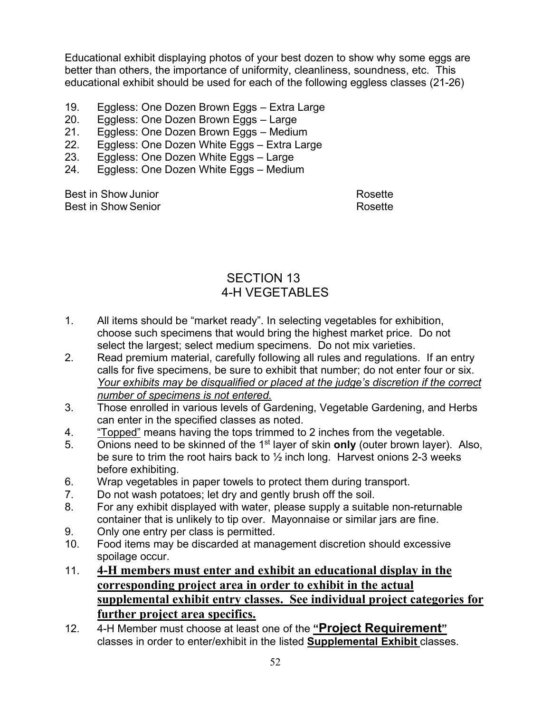Educational exhibit displaying photos of your best dozen to show why some eggs are better than others, the importance of uniformity, cleanliness, soundness, etc. This educational exhibit should be used for each of the following eggless classes (21-26)

- 19. Eggless: One Dozen Brown Eggs Extra Large
- 20. Eggless: One Dozen Brown Eggs Large
- 21. Eggless: One Dozen Brown Eggs Medium<br>22. Eggless: One Dozen White Eggs Extra Lar
- 22. Eggless: One Dozen White Eggs Extra Large<br>23. Eggless: One Dozen White Eggs Large
- Eggless: One Dozen White Eggs Large
- 24. Eggless: One Dozen White Eggs Medium

Best in Show Junior **Rosette** Rosette Best in Show Senior **Rosette Rosette Rosette** 

## SECTION 13 4-H VEGETABLES

- 1. All items should be "market ready". In selecting vegetables for exhibition, choose such specimens that would bring the highest market price. Do not select the largest; select medium specimens. Do not mix varieties.
- 2. Read premium material, carefully following all rules and regulations. If an entry calls for five specimens, be sure to exhibit that number; do not enter four or six. *Your exhibits may be disqualified or placed at the judge's discretion if the correct number of specimens is not entered.*
- 3. Those enrolled in various levels of Gardening, Vegetable Gardening, and Herbs can enter in the specified classes as noted.
- 4. "Topped" means having the tops trimmed to 2 inches from the vegetable.
- 5. Onions need to be skinned of the 1st layer of skin **only** (outer brown layer). Also, be sure to trim the root hairs back to  $\frac{1}{2}$  inch long. Harvest onions 2-3 weeks before exhibiting.
- 6. Wrap vegetables in paper towels to protect them during transport.
- 7. Do not wash potatoes; let dry and gently brush off the soil.
- 8. For any exhibit displayed with water, please supply a suitable non-returnable container that is unlikely to tip over. Mayonnaise or similar jars are fine.
- 9. Only one entry per class is permitted.
- 10. Food items may be discarded at management discretion should excessive spoilage occur.
- 11. **4-H members must enter and exhibit an educational display in the corresponding project area in order to exhibit in the actual supplemental exhibit entry classes. See individual project categories for further project area specifics.**
- 12. 4-H Member must choose at least one of the **"Project Requirement"**  classes in order to enter/exhibit in the listed **Supplemental Exhibit** classes.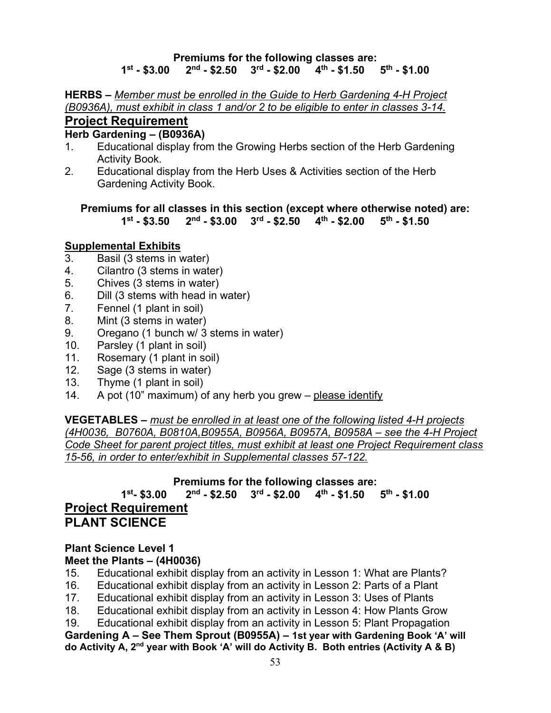## **Premiums for the following classes are:**

## **1st - \$3.00 2nd - \$2.50 3rd - \$2.00 4th - \$1.50 5th - \$1.00**

**HERBS –** *Member must be enrolled in the Guide to Herb Gardening 4-H Project (B0936A), must exhibit in class 1 and/or 2 to be eligible to enter in classes 3-14.* **Project Requirement** 

#### **Herb Gardening – (B0936A)**

- 1. Educational display from the Growing Herbs section of the Herb Gardening Activity Book.
- 2. Educational display from the Herb Uses & Activities section of the Herb Gardening Activity Book.

**Premiums for all classes in this section (except where otherwise noted) are: 1st - \$3.50 2nd - \$3.00 3rd - \$2.50 4th - \$2.00 5th - \$1.50**

#### **Supplemental Exhibits**

- 3. Basil (3 stems in water)
- 4. Cilantro (3 stems in water)
- 5. Chives (3 stems in water)
- 6. Dill (3 stems with head in water)
- 7. Fennel (1 plant in soil)
- 8. Mint (3 stems in water)
- 9. Oregano (1 bunch w/ 3 stems in water)
- 10. Parsley (1 plant in soil)
- 11. Rosemary (1 plant in soil)
- 12. Sage (3 stems in water)
- 13. Thyme (1 plant in soil)
- 14. A pot (10" maximum) of any herb you grew please identify

**VEGETABLES –** *must be enrolled in at least one of the following listed 4-H projects (4H0036, B0760A, B0810A,B0955A, B0956A, B0957A, B0958A – see the 4-H Project Code Sheet for parent project titles, must exhibit at least one Project Requirement class 15-56, in order to enter/exhibit in Supplemental classes 57-122.*

#### **Premiums for the following classes are:**

**1st- \$3.00 2nd - \$2.50 3rd - \$2.00 4th - \$1.50 5th - \$1.00 Project Requirement PLANT SCIENCE** 

## **Plant Science Level 1**

**Meet the Plants – (4H0036)**

- 15. Educational exhibit display from an activity in Lesson 1: What are Plants?
- 16. Educational exhibit display from an activity in Lesson 2: Parts of a Plant
- 17. Educational exhibit display from an activity in Lesson 3: Uses of Plants
- 18. Educational exhibit display from an activity in Lesson 4: How Plants Grow
- 19. Educational exhibit display from an activity in Lesson 5: Plant Propagation

**Gardening A – See Them Sprout (B0955A) – 1st year with Gardening Book 'A' will do Activity A, 2nd year with Book 'A' will do Activity B. Both entries (Activity A & B)**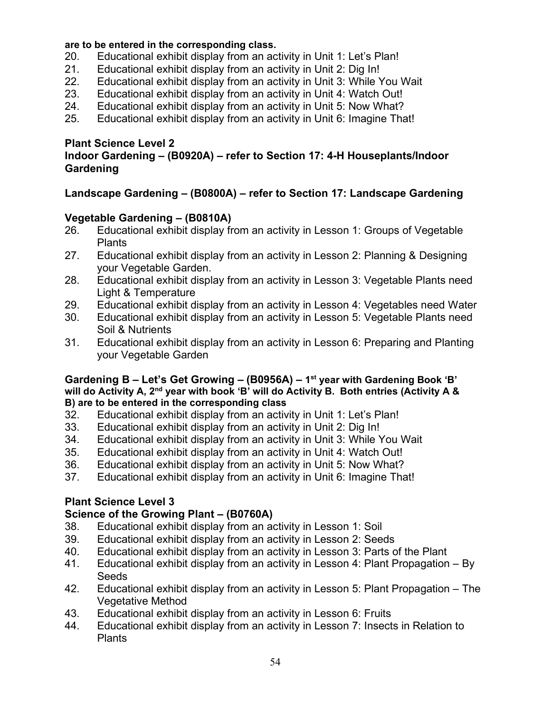#### **are to be entered in the corresponding class.**

- 20. Educational exhibit display from an activity in Unit 1: Let's Plan!
- 21. Educational exhibit display from an activity in Unit 2: Dig In!
- 22. Educational exhibit display from an activity in Unit 3: While You Wait
- 23. Educational exhibit display from an activity in Unit 4: Watch Out!
- 24. Educational exhibit display from an activity in Unit 5: Now What?
- 25. Educational exhibit display from an activity in Unit 6: Imagine That!

#### **Plant Science Level 2**

#### **Indoor Gardening – (B0920A) – refer to Section 17: 4-H Houseplants/Indoor Gardening**

### **Landscape Gardening – (B0800A) – refer to Section 17: Landscape Gardening**

#### **Vegetable Gardening – (B0810A)**

- 26. Educational exhibit display from an activity in Lesson 1: Groups of Vegetable **Plants**
- 27. Educational exhibit display from an activity in Lesson 2: Planning & Designing your Vegetable Garden.
- 28. Educational exhibit display from an activity in Lesson 3: Vegetable Plants need Light & Temperature
- 29. Educational exhibit display from an activity in Lesson 4: Vegetables need Water
- 30. Educational exhibit display from an activity in Lesson 5: Vegetable Plants need Soil & Nutrients
- 31. Educational exhibit display from an activity in Lesson 6: Preparing and Planting your Vegetable Garden

#### **Gardening B – Let's Get Growing – (B0956A) – 1st year with Gardening Book 'B' will do Activity A, 2nd year with book 'B' will do Activity B. Both entries (Activity A & B) are to be entered in the corresponding class**

- 32. Educational exhibit display from an activity in Unit 1: Let's Plan!
- 33. Educational exhibit display from an activity in Unit 2: Dig In!
- 34. Educational exhibit display from an activity in Unit 3: While You Wait
- 35. Educational exhibit display from an activity in Unit 4: Watch Out!
- 36. Educational exhibit display from an activity in Unit 5: Now What?
- 37. Educational exhibit display from an activity in Unit 6: Imagine That!

## **Plant Science Level 3**

#### **Science of the Growing Plant – (B0760A)**

- 38. Educational exhibit display from an activity in Lesson 1: Soil
- 39. Educational exhibit display from an activity in Lesson 2: Seeds
- 40. Educational exhibit display from an activity in Lesson 3: Parts of the Plant
- 41. Educational exhibit display from an activity in Lesson 4: Plant Propagation By Seeds
- 42. Educational exhibit display from an activity in Lesson 5: Plant Propagation The Vegetative Method
- 43. Educational exhibit display from an activity in Lesson 6: Fruits
- 44. Educational exhibit display from an activity in Lesson 7: Insects in Relation to **Plants**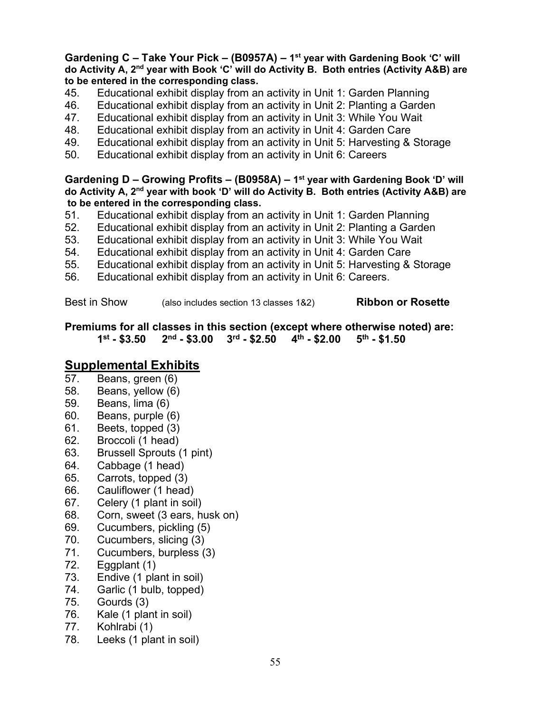#### **Gardening C – Take Your Pick – (B0957A) – 1st year with Gardening Book 'C' will do Activity A, 2nd year with Book 'C' will do Activity B. Both entries (Activity A&B) are to be entered in the corresponding class.**

- 45. Educational exhibit display from an activity in Unit 1: Garden Planning
- 46. Educational exhibit display from an activity in Unit 2: Planting a Garden
- 47. Educational exhibit display from an activity in Unit 3: While You Wait
- 48. Educational exhibit display from an activity in Unit 4: Garden Care
- 49. Educational exhibit display from an activity in Unit 5: Harvesting & Storage
- 50. Educational exhibit display from an activity in Unit 6: Careers

**Gardening D – Growing Profits – (B0958A) – 1st year with Gardening Book 'D' will do Activity A, 2nd year with book 'D' will do Activity B. Both entries (Activity A&B) are to be entered in the corresponding class.**

- 51. Educational exhibit display from an activity in Unit 1: Garden Planning
- 52. Educational exhibit display from an activity in Unit 2: Planting a Garden
- 53. Educational exhibit display from an activity in Unit 3: While You Wait
- 54. Educational exhibit display from an activity in Unit 4: Garden Care
- 55. Educational exhibit display from an activity in Unit 5: Harvesting & Storage
- 56. Educational exhibit display from an activity in Unit 6: Careers.

Best in Show (also includes section 13 classes 1&2) **Ribbon or Rosette**

**Premiums for all classes in this section (except where otherwise noted) are: 1st - \$3.50 2nd - \$3.00 3rd - \$2.50 4th - \$2.00 5th - \$1.50**

# **Supplemental Exhibits**<br>57. Beans. green (6)

- Beans, green (6)
- 58. Beans, yellow (6)
- 59. Beans, lima (6)<br>60. Beans, purple (6)
- Beans, purple (6)
- 61. Beets, topped (3)
- 62. Broccoli (1 head)
- 63. Brussell Sprouts (1 pint)
- 64. Cabbage (1 head)
- 65. Carrots, topped (3)
- 66. Cauliflower (1 head)
- 67. Celery (1 plant in soil)
- 68. Corn, sweet (3 ears, husk on)
- 69. Cucumbers, pickling (5)
- 70. Cucumbers, slicing (3)
- 71. Cucumbers, burpless (3)
- 72. Eggplant (1)
- 73. Endive (1 plant in soil)
- 74. Garlic (1 bulb, topped)
- 75. Gourds (3)
- 76. Kale (1 plant in soil)
- 77. Kohlrabi (1)
- 78. Leeks (1 plant in soil)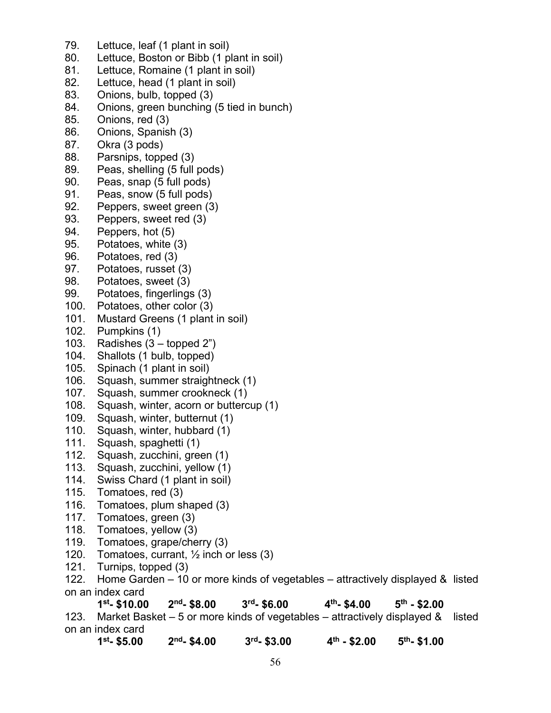- 79. Lettuce, leaf (1 plant in soil)
- 80. Lettuce, Boston or Bibb (1 plant in soil)
- 81. Lettuce, Romaine (1 plant in soil)
- 82. Lettuce, head (1 plant in soil)
- 83. Onions, bulb, topped (3)
- 84. Onions, green bunching (5 tied in bunch)
- 85. Onions, red (3)
- 86. Onions, Spanish (3)
- 87. Okra (3 pods)
- 88. Parsnips, topped (3)
- 89. Peas, shelling (5 full pods)
- 90. Peas, snap (5 full pods)
- 91. Peas, snow (5 full pods)
- 92. Peppers, sweet green (3)
- 93. Peppers, sweet red (3)
- 94. Peppers, hot (5)
- 95. Potatoes, white (3)
- 96. Potatoes, red (3)
- 97. Potatoes, russet (3)
- 98. Potatoes, sweet (3)
- 99. Potatoes, fingerlings (3)
- 100. Potatoes, other color (3)
- 101. Mustard Greens (1 plant in soil)
- 102. Pumpkins (1)
- 103. Radishes (3 topped 2")
- 104. Shallots (1 bulb, topped)
- 105. Spinach (1 plant in soil)
- 106. Squash, summer straightneck (1)
- 107. Squash, summer crookneck (1)
- 108. Squash, winter, acorn or buttercup (1)
- 109. Squash, winter, butternut (1)
- 110. Squash, winter, hubbard (1)
- 111. Squash, spaghetti (1)
- 112. Squash, zucchini, green (1)
- 113. Squash, zucchini, yellow (1)
- 114. Swiss Chard (1 plant in soil)
- 115. Tomatoes, red (3)
- 116. Tomatoes, plum shaped (3)
- 117. Tomatoes, green (3)
- 118. Tomatoes, yellow (3)
- 119. Tomatoes, grape/cherry (3)
- 120. Tomatoes, currant, ½ inch or less (3)
- 121. Turnips, topped (3)
- 122. Home Garden 10 or more kinds of vegetables attractively displayed & listed on an index card

**1st - \$10.00 2nd- \$8.00 3rd- \$6.00 4th- \$4.00 5th - \$2.00** 123. Market Basket – 5 or more kinds of vegetables – attractively displayed & listed

- on an index card
	- **1st- \$5.00 2nd- \$4.00 3rd- \$3.00 4th - \$2.00 5th- \$1.00**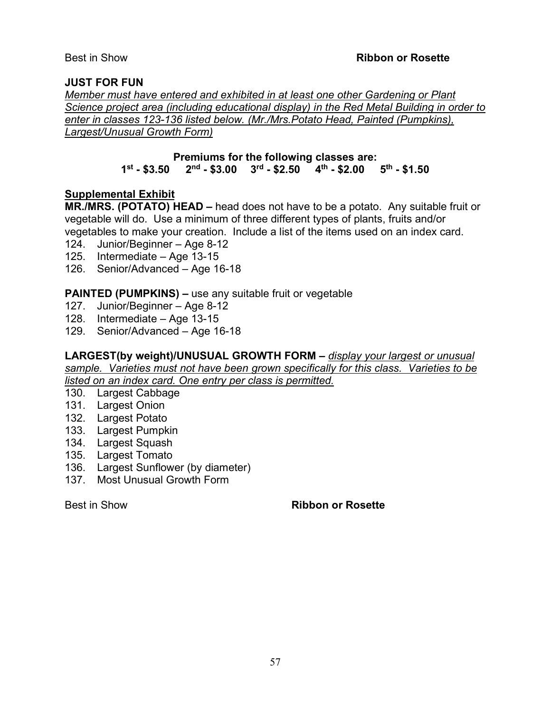#### **JUST FOR FUN**

*Member must have entered and exhibited in at least one other Gardening or Plant Science project area (including educational display) in the Red Metal Building in order to enter in classes 123-136 listed below. (Mr./Mrs.Potato Head, Painted (Pumpkins), Largest/Unusual Growth Form)*

#### **Premiums for the following classes are:**<br>1<sup>st</sup> - \$3.50 2<sup>nd</sup> - \$3.00 3<sup>rd</sup> - \$2.50 4<sup>th</sup> - \$2.00  $2<sup>nd</sup>$  - \$3.00 3<sup>rd</sup> - \$2.50 4<sup>th</sup> - \$2.00 5<sup>th</sup> - \$1.50

#### **Supplemental Exhibit**

**MR./MRS. (POTATO) HEAD –** head does not have to be a potato. Any suitable fruit or vegetable will do. Use a minimum of three different types of plants, fruits and/or vegetables to make your creation. Include a list of the items used on an index card.

- 124. Junior/Beginner Age 8-12
- 125. Intermediate Age 13-15
- 126. Senior/Advanced Age 16-18

**PAINTED (PUMPKINS) –** use any suitable fruit or vegetable

- 127. Junior/Beginner Age 8-12
- 128. Intermediate Age 13-15
- 129. Senior/Advanced Age 16-18

**LARGEST(by weight)/UNUSUAL GROWTH FORM –** *display your largest or unusual sample. Varieties must not have been grown specifically for this class. Varieties to be listed on an index card. One entry per class is permitted.*

130. Largest Cabbage

- 131. Largest Onion
- 132. Largest Potato
- 133. Largest Pumpkin
- 134. Largest Squash
- 135. Largest Tomato
- 136. Largest Sunflower (by diameter)
- 137. Most Unusual Growth Form

Best in Show **Ribbon or Rosette**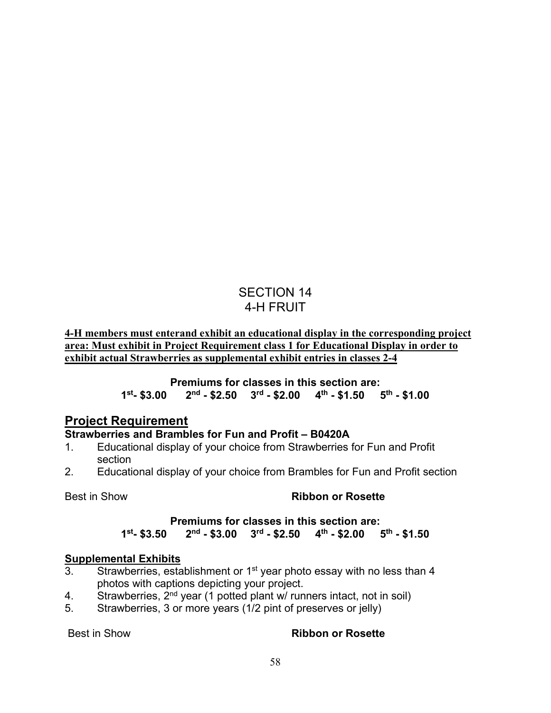## SECTION 14 4-H FRUIT

**4-H members must enterand exhibit an educational display in the corresponding project area: Must exhibit in Project Requirement class 1 for Educational Display in order to exhibit actual Strawberries as supplemental exhibit entries in classes 2-4**

> **Premiums for classes in this section are: 1st- \$3.00 2nd - \$2.50 3rd - \$2.00 4th - \$1.50 5th - \$1.00**

## **Project Requirement**

## **Strawberries and Brambles for Fun and Profit – B0420A**

- 1. Educational display of your choice from Strawberries for Fun and Profit section
- 2. Educational display of your choice from Brambles for Fun and Profit section

## Best in Show **Ribbon or Rosette**

#### **Premiums for classes in this section are: 1st- \$3.50 2nd - \$3.00 3rd - \$2.50 4th - \$2.00 5th - \$1.50**

#### **Supplemental Exhibits**

- 3. Strawberries, establishment or  $1<sup>st</sup>$  year photo essay with no less than 4 photos with captions depicting your project.
- 4. Strawberries,  $2^{nd}$  year (1 potted plant w/ runners intact, not in soil)
- 5. Strawberries, 3 or more years (1/2 pint of preserves or jelly)

#### Best in Show **Ribbon or Rosette**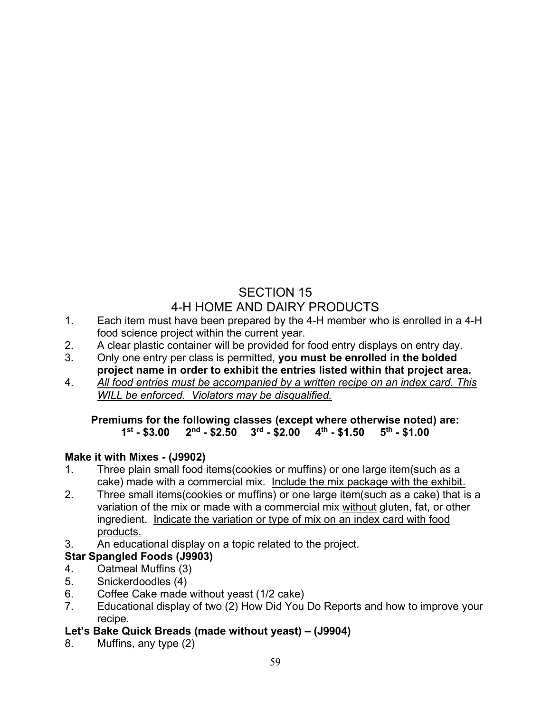## SECTION 15 4-H HOME AND DAIRY PRODUCTS

- 1. Each item must have been prepared by the 4-H member who is enrolled in a 4-H food science project within the current year.
- 2. A clear plastic container will be provided for food entry displays on entry day.
- 3. Only one entry per class is permitted, **you must be enrolled in the bolded project name in order to exhibit the entries listed within that project area.**
- 4. *All food entries must be accompanied by a written recipe on an index card. This WILL be enforced. Violators may be disqualified.*

#### **Premiums for the following classes (except where otherwise noted) are:**  $2<sup>nd</sup>$  - \$2.50  $3<sup>rd</sup>$  - \$2.00  $4<sup>th</sup>$  - \$1.50

## **Make it with Mixes - (J9902)**

- 1. Three plain small food items(cookies or muffins) or one large item(such as a cake) made with a commercial mix. Include the mix package with the exhibit.
- 2. Three small items(cookies or muffins) or one large item(such as a cake) that is a variation of the mix or made with a commercial mix without gluten, fat, or other ingredient. Indicate the variation or type of mix on an index card with food products.
- 3. An educational display on a topic related to the project.

## **Star Spangled Foods (J9903)**

- 4. Oatmeal Muffins (3)
- 5. Snickerdoodles (4)
- 6. Coffee Cake made without yeast (1/2 cake)
- 7. Educational display of two (2) How Did You Do Reports and how to improve your recipe.

## **Let's Bake Quick Breads (made without yeast) – (J9904)**

8. Muffins, any type (2)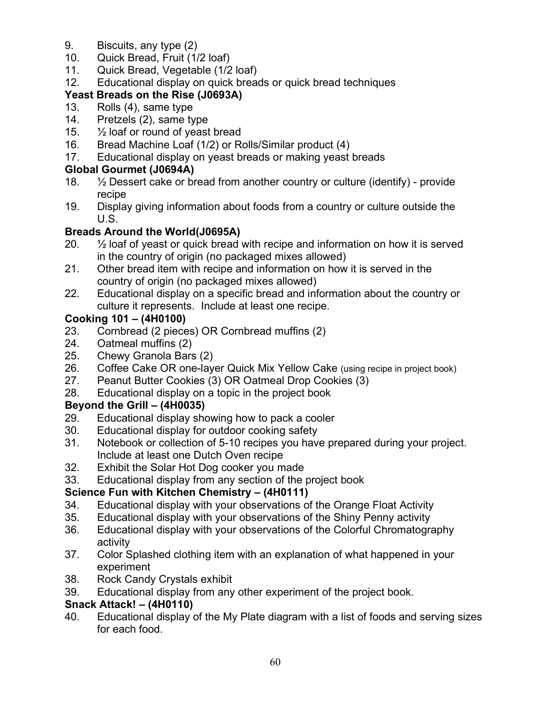- 9. Biscuits, any type (2)
- 10. Quick Bread, Fruit (1/2 loaf)
- 11. Quick Bread, Vegetable (1/2 loaf)
- 12. Educational display on quick breads or quick bread techniques

## **Yeast Breads on the Rise (J0693A)**

- 13. Rolls (4), same type
- 14. Pretzels (2), same type
- 15.  $\frac{1}{2}$  loaf or round of yeast bread
- 16. Bread Machine Loaf (1/2) or Rolls/Similar product (4)
- 17. Educational display on yeast breads or making yeast breads

## **Global Gourmet (J0694A)**

- 18.  $\frac{1}{2}$  Dessert cake or bread from another country or culture (identify) provide recipe
- 19. Display giving information about foods from a country or culture outside the U.S.

## **Breads Around the World(J0695A)**

- 20. ½ loaf of yeast or quick bread with recipe and information on how it is served in the country of origin (no packaged mixes allowed)
- 21. Other bread item with recipe and information on how it is served in the country of origin (no packaged mixes allowed)
- 22. Educational display on a specific bread and information about the country or culture it represents. Include at least one recipe.

## **Cooking 101 – (4H0100)**

- 23. Cornbread (2 pieces) OR Cornbread muffins (2)
- 24. Oatmeal muffins (2)
- 25. Chewy Granola Bars (2)
- 26. Coffee Cake OR one-layer Quick Mix Yellow Cake (using recipe in project book)
- 27. Peanut Butter Cookies (3) OR Oatmeal Drop Cookies (3)
- 28. Educational display on a topic in the project book

## **Beyond the Grill – (4H0035)**

- 29. Educational display showing how to pack a cooler
- 30. Educational display for outdoor cooking safety
- 31. Notebook or collection of 5-10 recipes you have prepared during your project. Include at least one Dutch Oven recipe
- 32. Exhibit the Solar Hot Dog cooker you made
- 33. Educational display from any section of the project book

## **Science Fun with Kitchen Chemistry – (4H0111)**

- 34. Educational display with your observations of the Orange Float Activity
- 35. Educational display with your observations of the Shiny Penny activity
- 36. Educational display with your observations of the Colorful Chromatography activity
- 37. Color Splashed clothing item with an explanation of what happened in your experiment
- 38. Rock Candy Crystals exhibit
- 39. Educational display from any other experiment of the project book.

## **Snack Attack! – (4H0110)**

40. Educational display of the My Plate diagram with a list of foods and serving sizes for each food.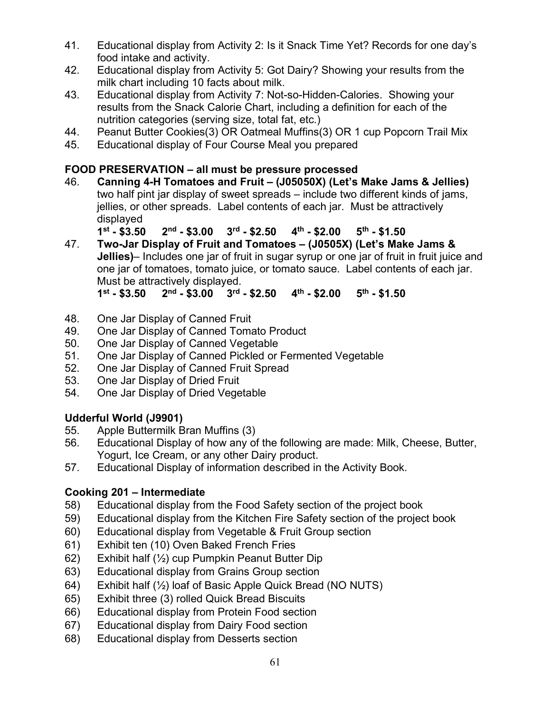- 41. Educational display from Activity 2: Is it Snack Time Yet? Records for one day's food intake and activity.
- 42. Educational display from Activity 5: Got Dairy? Showing your results from the milk chart including 10 facts about milk.
- 43. Educational display from Activity 7: Not-so-Hidden-Calories. Showing your results from the Snack Calorie Chart, including a definition for each of the nutrition categories (serving size, total fat, etc.)
- 44. Peanut Butter Cookies(3) OR Oatmeal Muffins(3) OR 1 cup Popcorn Trail Mix
- 45. Educational display of Four Course Meal you prepared

## **FOOD PRESERVATION – all must be pressure processed**

46. **Canning 4-H Tomatoes and Fruit – (J05050X) (Let's Make Jams & Jellies)**  two half pint jar display of sweet spreads – include two different kinds of jams, jellies, or other spreads. Label contents of each jar. Must be attractively displayed

**1st - \$3.50 2nd - \$3.00 3rd - \$2.50 4th - \$2.00 5th - \$1.50**

47. **Two-Jar Display of Fruit and Tomatoes – (J0505X) (Let's Make Jams & Jellies)**– Includes one jar of fruit in sugar syrup or one jar of fruit in fruit juice and one jar of tomatoes, tomato juice, or tomato sauce. Label contents of each jar. Must be attractively displayed.

**1st - \$3.50 2nd - \$3.00 3rd - \$2.50 4th - \$2.00 5th - \$1.50**

- 48. One Jar Display of Canned Fruit
- 49. One Jar Display of Canned Tomato Product
- 50. One Jar Display of Canned Vegetable
- 51. One Jar Display of Canned Pickled or Fermented Vegetable
- 52. One Jar Display of Canned Fruit Spread
- 53. One Jar Display of Dried Fruit
- 54. One Jar Display of Dried Vegetable

## **Udderful World (J9901)**

- 55. Apple Buttermilk Bran Muffins (3)
- 56. Educational Display of how any of the following are made: Milk, Cheese, Butter, Yogurt, Ice Cream, or any other Dairy product.
- 57. Educational Display of information described in the Activity Book.

## **Cooking 201 – Intermediate**

- 58) Educational display from the Food Safety section of the project book
- 59) Educational display from the Kitchen Fire Safety section of the project book
- 60) Educational display from Vegetable & Fruit Group section
- 61) Exhibit ten (10) Oven Baked French Fries
- 62) Exhibit half (½) cup Pumpkin Peanut Butter Dip
- 63) Educational display from Grains Group section
- 64) Exhibit half (½) loaf of Basic Apple Quick Bread (NO NUTS)
- 65) Exhibit three (3) rolled Quick Bread Biscuits
- 66) Educational display from Protein Food section
- 67) Educational display from Dairy Food section
- 68) Educational display from Desserts section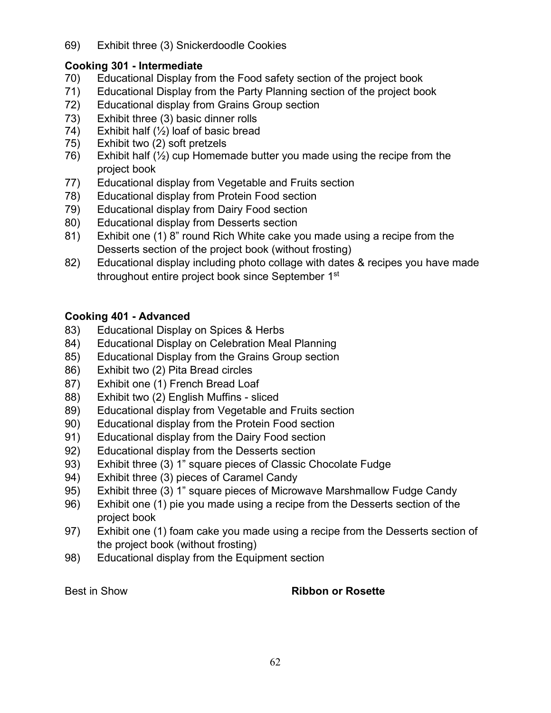69) Exhibit three (3) Snickerdoodle Cookies

### **Cooking 301 - Intermediate**

- 70) Educational Display from the Food safety section of the project book
- 71) Educational Display from the Party Planning section of the project book
- 72) Educational display from Grains Group section
- 73) Exhibit three (3) basic dinner rolls
- 74) Exhibit half  $(\frac{1}{2})$  loaf of basic bread
- 75) Exhibit two (2) soft pretzels
- 76) Exhibit half  $(\frac{1}{2})$  cup Homemade butter you made using the recipe from the project book
- 77) Educational display from Vegetable and Fruits section
- 78) Educational display from Protein Food section
- 79) Educational display from Dairy Food section
- 80) Educational display from Desserts section
- 81) Exhibit one (1) 8" round Rich White cake you made using a recipe from the Desserts section of the project book (without frosting)
- 82) Educational display including photo collage with dates & recipes you have made throughout entire project book since September 1<sup>st</sup>

## **Cooking 401 - Advanced**

- 83) Educational Display on Spices & Herbs
- 84) Educational Display on Celebration Meal Planning
- 85) Educational Display from the Grains Group section
- 86) Exhibit two (2) Pita Bread circles
- 87) Exhibit one (1) French Bread Loaf
- 88) Exhibit two (2) English Muffins sliced
- 89) Educational display from Vegetable and Fruits section
- 90) Educational display from the Protein Food section
- 91) Educational display from the Dairy Food section
- 92) Educational display from the Desserts section
- 93) Exhibit three (3) 1" square pieces of Classic Chocolate Fudge
- 94) Exhibit three (3) pieces of Caramel Candy
- 95) Exhibit three (3) 1" square pieces of Microwave Marshmallow Fudge Candy
- 96) Exhibit one (1) pie you made using a recipe from the Desserts section of the project book
- 97) Exhibit one (1) foam cake you made using a recipe from the Desserts section of the project book (without frosting)
- 98) Educational display from the Equipment section

#### Best in Show **Ribbon or Rosette**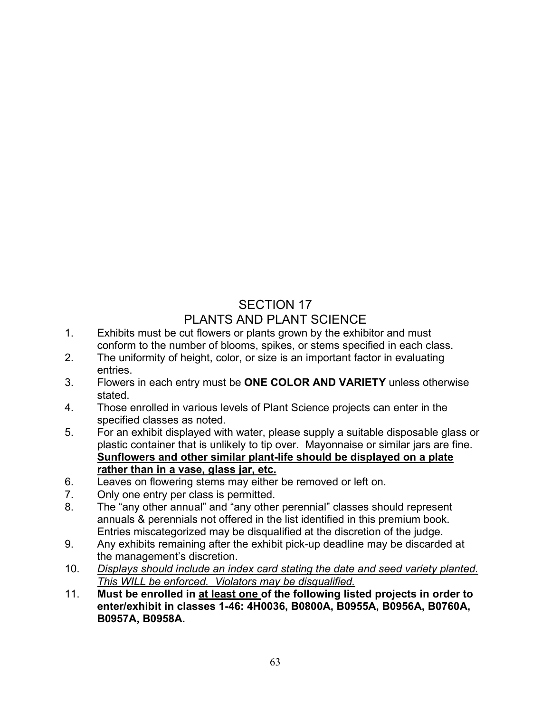## SECTION 17 PLANTS AND PLANT SCIENCE

- 1. Exhibits must be cut flowers or plants grown by the exhibitor and must conform to the number of blooms, spikes, or stems specified in each class.
- 2. The uniformity of height, color, or size is an important factor in evaluating entries.
- 3. Flowers in each entry must be **ONE COLOR AND VARIETY** unless otherwise stated.
- 4. Those enrolled in various levels of Plant Science projects can enter in the specified classes as noted.
- 5. For an exhibit displayed with water, please supply a suitable disposable glass or plastic container that is unlikely to tip over. Mayonnaise or similar jars are fine. **Sunflowers and other similar plant-life should be displayed on a plate rather than in a vase, glass jar, etc.**
- 6. Leaves on flowering stems may either be removed or left on.
- 7. Only one entry per class is permitted.
- 8. The "any other annual" and "any other perennial" classes should represent annuals & perennials not offered in the list identified in this premium book. Entries miscategorized may be disqualified at the discretion of the judge.
- 9. Any exhibits remaining after the exhibit pick-up deadline may be discarded at the management's discretion.
- 10. *Displays should include an index card stating the date and seed variety planted. This WILL be enforced. Violators may be disqualified.*
- 11. **Must be enrolled in at least one of the following listed projects in order to enter/exhibit in classes 1-46: 4H0036, B0800A, B0955A, B0956A, B0760A, B0957A, B0958A.**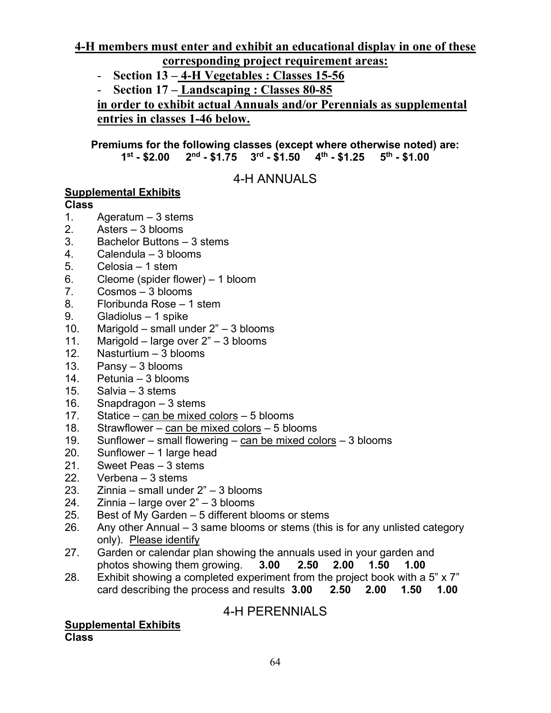**4-H members must enter and exhibit an educational display in one of these corresponding project requirement areas:**

- **Section 13 4-H Vegetables : Classes 15-56**
- **Section 17 Landscaping : Classes 80-85**

**in order to exhibit actual Annuals and/or Perennials as supplemental entries in classes 1-46 below.**

**Premiums for the following classes (except where otherwise noted) are: 1st - \$2.00 2nd - \$1.75 3rd - \$1.50 4th - \$1.25 5th - \$1.00**

4-H ANNUALS

### **Supplemental Exhibits**

#### **Class**

- 1. Ageratum 3 stems
- 2. Asters 3 blooms
- 3. Bachelor Buttons 3 stems
- 4. Calendula 3 blooms
- 5. Celosia 1 stem
- 6. Cleome (spider flower) 1 bloom
- 7. Cosmos 3 blooms
- 8. Floribunda Rose 1 stem
- 9. Gladiolus 1 spike
- 10. Marigold small under 2" 3 blooms
- 11. Marigold large over 2" 3 blooms
- 12. Nasturtium 3 blooms
- 13. Pansy 3 blooms
- 14. Petunia 3 blooms
- 15. Salvia 3 stems
- 16. Snapdragon 3 stems
- 17. Statice can be mixed colors 5 blooms
- 18. Strawflower can be mixed colors 5 blooms
- 19. Sunflower small flowering  $c$ an be mixed colors 3 blooms
- 20. Sunflower 1 large head
- 21. Sweet Peas 3 stems
- 22. Verbena 3 stems<br>23. Zinnia small unde
- $Zinnia small under  $2" 3$  blooms$
- 24. Zinnia large over 2" 3 blooms
- 25. Best of My Garden 5 different blooms or stems
- 26. Any other Annual 3 same blooms or stems (this is for any unlisted category only). Please identify
- 27. Garden or calendar plan showing the annuals used in your garden and photos showing them growing. **3.00 2.50 2.00 1.50 1.00**
- 28. Exhibit showing a completed experiment from the project book with a 5" x 7" card describing the process and results **3.00 2.50 2.00 1.50 1.00**

4-H PERENNIALS

**Supplemental Exhibits Class**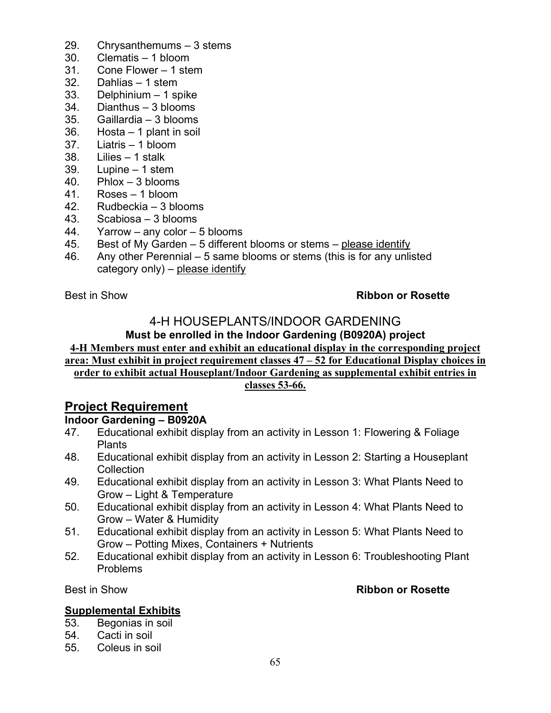- 29. Chrysanthemums 3 stems
- 30. Clematis 1 bloom
- 31. Cone Flower 1 stem
- 32. Dahlias 1 stem
- 33. Delphinium 1 spike
- 34. Dianthus 3 blooms
- 35. Gaillardia 3 blooms
- 36. Hosta 1 plant in soil
- 37. Liatris 1 bloom
- 38. Lilies 1 stalk
- 39. Lupine 1 stem
- 40. Phlox 3 blooms
- 41. Roses 1 bloom
- 42. Rudbeckia 3 blooms
- 43. Scabiosa 3 blooms
- 44. Yarrow any color 5 blooms
- 45. Best of My Garden 5 different blooms or stems please identify
- 46. Any other Perennial 5 same blooms or stems (this is for any unlisted category only) – please identify

#### Best in Show **Ribbon or Rosette**

## 4-H HOUSEPLANTS/INDOOR GARDENING

### **Must be enrolled in the Indoor Gardening (B0920A) project**

#### **4-H Members must enter and exhibit an educational display in the corresponding project area: Must exhibit in project requirement classes 47 – 52 for Educational Display choices in order to exhibit actual Houseplant/Indoor Gardening as supplemental exhibit entries in classes 53-66.**

## **Project Requirement**

#### **Indoor Gardening – B0920A**

- 47. Educational exhibit display from an activity in Lesson 1: Flowering & Foliage Plants
- 48. Educational exhibit display from an activity in Lesson 2: Starting a Houseplant Collection
- 49. Educational exhibit display from an activity in Lesson 3: What Plants Need to Grow – Light & Temperature
- 50. Educational exhibit display from an activity in Lesson 4: What Plants Need to Grow – Water & Humidity
- 51. Educational exhibit display from an activity in Lesson 5: What Plants Need to Grow – Potting Mixes, Containers + Nutrients
- 52. Educational exhibit display from an activity in Lesson 6: Troubleshooting Plant Problems

#### Best in Show **Ribbon or Rosette**

#### **Supplemental Exhibits**

- 53. Begonias in soil
- 54. Cacti in soil
- 55. Coleus in soil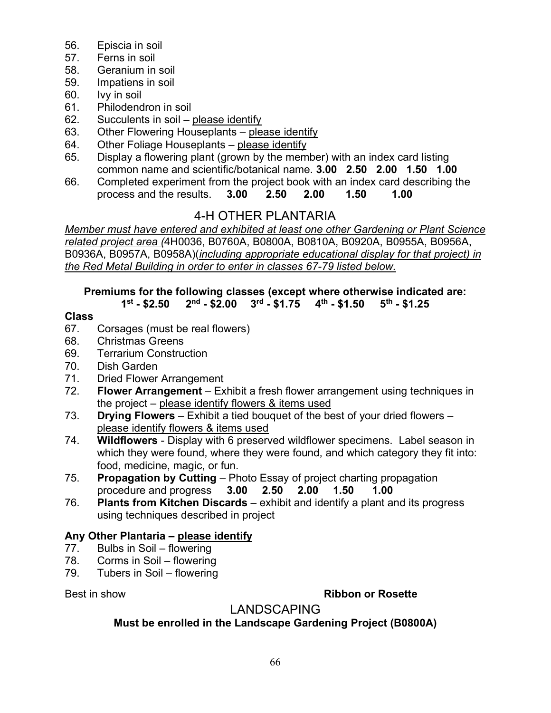- 56. Episcia in soil
- 57. Ferns in soil
- 58. Geranium in soil
- 59. Impatiens in soil
- 60. Ivy in soil
- 61. Philodendron in soil
- 62. Succulents in soil please identify
- 63. Other Flowering Houseplants please identify
- 64. Other Foliage Houseplants please identify
- 65. Display a flowering plant (grown by the member) with an index card listing common name and scientific/botanical name. **3.00 2.50 2.00 1.50 1.00**
- 66. Completed experiment from the project book with an index card describing the process and the results. **3.00 2.50 2.00 1.50 1.00**

## 4-H OTHER PLANTARIA

*Member must have entered and exhibited at least one other Gardening or Plant Science related project area (*4H0036, B0760A, B0800A, B0810A, B0920A, B0955A, B0956A, B0936A, B0957A, B0958A)(*including appropriate educational display for that project) in the Red Metal Building in order to enter in classes 67-79 listed below.*

# **Premiums for the following classes (except where otherwise indicated are:**

### $2<sup>nd</sup>$  - \$2.00  $3<sup>rd</sup>$  - \$1.75  $4<sup>th</sup>$  - \$1.50

### **Class**

- 67. Corsages (must be real flowers)
- 68. Christmas Greens
- 69. Terrarium Construction
- 70. Dish Garden
- 71. Dried Flower Arrangement
- 72. **Flower Arrangement** Exhibit a fresh flower arrangement using techniques in the project – please identify flowers & items used
- 73. **Drying Flowers** Exhibit a tied bouquet of the best of your dried flowers please identify flowers & items used
- 74. **Wildflowers** Display with 6 preserved wildflower specimens. Label season in which they were found, where they were found, and which category they fit into: food, medicine, magic, or fun.
- 75. **Propagation by Cutting** Photo Essay of project charting propagation procedure and progress **3.00 2.50 2.00 1.50 1.00** procedure and progress **3.00 2.50 2.00 1.50 1.00**
- 76. **Plants from Kitchen Discards** exhibit and identify a plant and its progress using techniques described in project

## **Any Other Plantaria – please identify**

- 77. Bulbs in Soil flowering
- 78. Corms in Soil flowering
- 79. Tubers in Soil flowering

#### Best in show **Ribbon or Rosette**

## LANDSCAPING

## **Must be enrolled in the Landscape Gardening Project (B0800A)**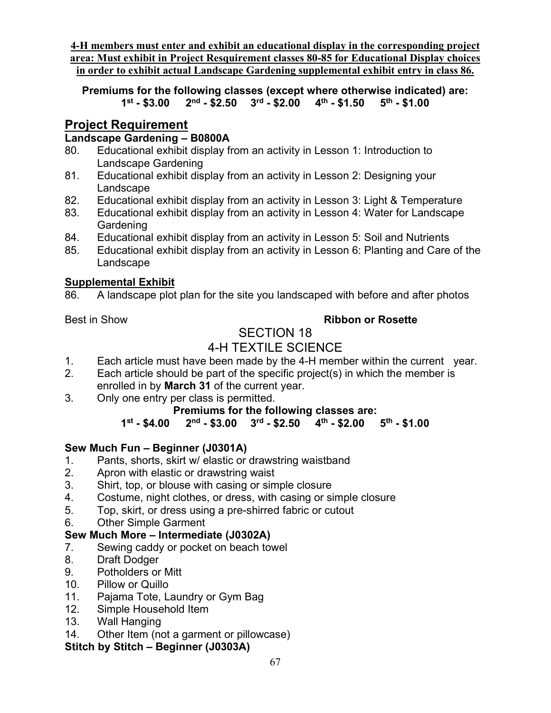**4-H members must enter and exhibit an educational display in the corresponding project area: Must exhibit in Project Resquirement classes 80-85 for Educational Display choices in order to exhibit actual Landscape Gardening supplemental exhibit entry in class 86.** 

**Premiums for the following classes (except where otherwise indicated) are: 1st - \$3.00 2nd - \$2.50 3rd - \$2.00 4th - \$1.50 5th - \$1.00** 

## **Project Requirement**

### **Landscape Gardening – B0800A**

- 80. Educational exhibit display from an activity in Lesson 1: Introduction to Landscape Gardening
- 81. Educational exhibit display from an activity in Lesson 2: Designing your Landscape
- 82. Educational exhibit display from an activity in Lesson 3: Light & Temperature
- 83. Educational exhibit display from an activity in Lesson 4: Water for Landscape Gardening
- 84. Educational exhibit display from an activity in Lesson 5: Soil and Nutrients
- 85. Educational exhibit display from an activity in Lesson 6: Planting and Care of the Landscape

#### **Supplemental Exhibit**

86. A landscape plot plan for the site you landscaped with before and after photos

## Best in Show **Ribbon or Rosette**

#### SECTION 18 4-H TEXTILE SCIENCE

- 1. Each article must have been made by the 4-H member within the current year.
- 2. Each article should be part of the specific project(s) in which the member is enrolled in by **March 31** of the current year.
- 3. Only one entry per class is permitted.

## **Premiums for the following classes are:**<br>1<sup>st</sup> - \$4.00 2<sup>nd</sup> - \$3.00 3<sup>rd</sup> - \$2.50 4<sup>th</sup> - \$2.00

**1st - \$4.00 2nd - \$3.00 3rd - \$2.50 4th - \$2.00 5th - \$1.00** 

# **Sew Much Fun – Beginner (J0301A)**

- Pants, shorts, skirt w/ elastic or drawstring waistband
- 2. Apron with elastic or drawstring waist
- 3. Shirt, top, or blouse with casing or simple closure
- 4. Costume, night clothes, or dress, with casing or simple closure
- 5. Top, skirt, or dress using a pre-shirred fabric or cutout
- 6. Other Simple Garment

## **Sew Much More – Intermediate (J0302A)**

- 7. Sewing caddy or pocket on beach towel
- 8. Draft Dodger
- 9. Potholders or Mitt
- 10. Pillow or Quillo
- 11. Pajama Tote, Laundry or Gym Bag
- 12. Simple Household Item
- 13. Wall Hanging
- 14. Other Item (not a garment or pillowcase)

## **Stitch by Stitch – Beginner (J0303A)**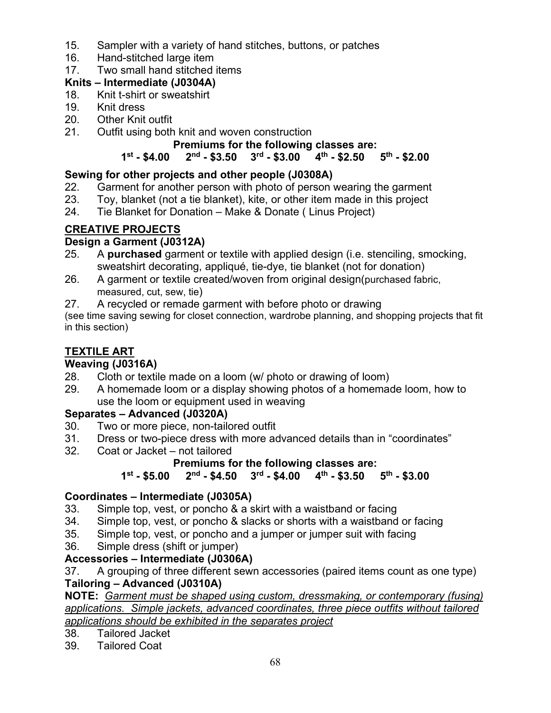- 15. Sampler with a variety of hand stitches, buttons, or patches
- 16. Hand-stitched large item
- 17. Two small hand stitched items

## **Knits – Intermediate (J0304A)**

- 18. Knit t-shirt or sweatshirt
- 19. Knit dress<br>20. Other Knit
- **Other Knit outfit**
- 21. Outfit using both knit and woven construction

# **Premiums for the following classes are:**<br>1<sup>st</sup> - \$4.00 2<sup>nd</sup> - \$3.50 3<sup>rd</sup> - \$3.00 4<sup>th</sup> - \$2.50

## **1st - \$4.00 2nd - \$3.50 3rd - \$3.00 4th - \$2.50 5th - \$2.00**

## **Sewing for other projects and other people (J0308A)**

- 22. Garment for another person with photo of person wearing the garment<br>23. Toy, blanket (not a tie blanket), kite, or other item made in this project
- Toy, blanket (not a tie blanket), kite, or other item made in this project
- 24. Tie Blanket for Donation Make & Donate ( Linus Project)

## **CREATIVE PROJECTS**

## **Design a Garment (J0312A)**

- 25. A **purchased** garment or textile with applied design (i.e. stenciling, smocking, sweatshirt decorating, appliqué, tie-dye, tie blanket (not for donation)
- 26. A garment or textile created/woven from original design(purchased fabric, measured, cut, sew, tie)
- 27. A recycled or remade garment with before photo or drawing

(see time saving sewing for closet connection, wardrobe planning, and shopping projects that fit in this section)

## **TEXTILE ART**

# **Weaving (J0316A)**

- Cloth or textile made on a loom (w/ photo or drawing of loom)
- 29. A homemade loom or a display showing photos of a homemade loom, how to use the loom or equipment used in weaving

## **Separates – Advanced (J0320A)**

- 30. Two or more piece, non-tailored outfit
- 31. Dress or two-piece dress with more advanced details than in "coordinates"
- Coat or Jacket not tailored

#### **Premiums for the following classes are:**<br>1<sup>st</sup> - \$5.00 2<sup>nd</sup> - \$4.50 3<sup>rd</sup> - \$4.00 4<sup>th</sup> - \$3.50 **1st - \$5.00 2nd - \$4.50 3rd - \$4.00 4th - \$3.50 5th - \$3.00**

## **Coordinates – Intermediate (J0305A)**

- 33. Simple top, vest, or poncho & a skirt with a waistband or facing
- 34. Simple top, vest, or poncho & slacks or shorts with a waistband or facing
- 35. Simple top, vest, or poncho and a jumper or jumper suit with facing
- 36. Simple dress (shift or jumper)

## **Accessories – Intermediate (J0306A)**

37. A grouping of three different sewn accessories (paired items count as one type) **Tailoring – Advanced (J0310A)**

**NOTE:** *Garment must be shaped using custom, dressmaking, or contemporary (fusing) applications. Simple jackets, advanced coordinates, three piece outfits without tailored applications should be exhibited in the separates project*

38. Tailored Jacket

39. Tailored Coat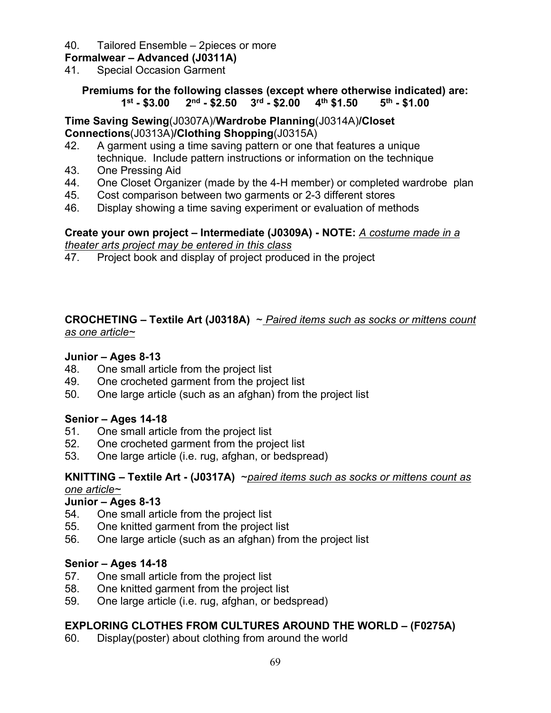#### 40. Tailored Ensemble – 2pieces or more

#### **Formalwear – Advanced (J0311A)**

41. Special Occasion Garment

**Premiums for the following classes (except where otherwise indicated) are: 1st - \$3.00 2nd - \$2.50 3rd - \$2.00 4th \$1.50 5th - \$1.00**

**Time Saving Sewing**(J0307A)/**Wardrobe Planning**(J0314A)**/Closet Connections**(J0313A)**/Clothing Shopping**(J0315A)

- 42. A garment using a time saving pattern or one that features a unique technique. Include pattern instructions or information on the technique
- 43. One Pressing Aid
- 44. One Closet Organizer (made by the 4-H member) or completed wardrobe plan
- 45. Cost comparison between two garments or 2-3 different stores
- 46. Display showing a time saving experiment or evaluation of methods

#### **Create your own project – Intermediate (J0309A) - NOTE:** *A costume made in a theater arts project may be entered in this class*

47. Project book and display of project produced in the project

#### **CROCHETING – Textile Art (J0318A)** ~ *Paired items such as socks or mittens count as one article~*

#### **Junior – Ages 8-13**

- 48. One small article from the project list
- 49. One crocheted garment from the project list
- 50. One large article (such as an afghan) from the project list

#### **Senior – Ages 14-18**

- 51. One small article from the project list
- 52. One crocheted garment from the project list
- 53. One large article (i.e. rug, afghan, or bedspread)

#### **KNITTING – Textile Art - (J0317A)** ~*paired items such as socks or mittens count as one article~*

#### **Junior – Ages 8-13**

- 54. One small article from the project list
- 55. One knitted garment from the project list
- 56. One large article (such as an afghan) from the project list

#### **Senior – Ages 14-18**

- 57. One small article from the project list
- 58. One knitted garment from the project list
- 59. One large article (i.e. rug, afghan, or bedspread)

#### **EXPLORING CLOTHES FROM CULTURES AROUND THE WORLD – (F0275A)**

60. Display(poster) about clothing from around the world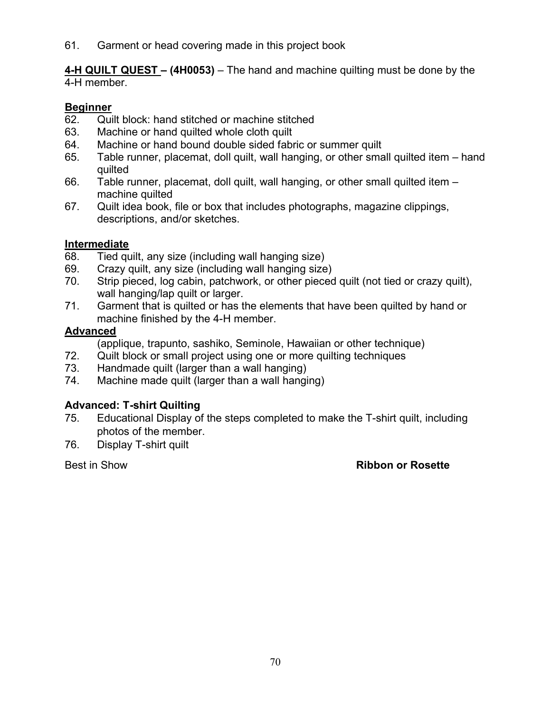61. Garment or head covering made in this project book

**4-H QUILT QUEST – (4H0053)** – The hand and machine quilting must be done by the 4-H member.

#### **Beginner**

- 62. Quilt block: hand stitched or machine stitched
- 63. Machine or hand quilted whole cloth quilt
- 64. Machine or hand bound double sided fabric or summer quilt
- 65. Table runner, placemat, doll quilt, wall hanging, or other small quilted item hand quilted
- 66. Table runner, placemat, doll quilt, wall hanging, or other small quilted item machine quilted
- 67. Quilt idea book, file or box that includes photographs, magazine clippings, descriptions, and/or sketches.

#### **Intermediate**

- 68. Tied quilt, any size (including wall hanging size)
- 69. Crazy quilt, any size (including wall hanging size)
- 70. Strip pieced, log cabin, patchwork, or other pieced quilt (not tied or crazy quilt), wall hanging/lap quilt or larger.
- 71. Garment that is quilted or has the elements that have been quilted by hand or machine finished by the 4-H member.

#### **Advanced**

(applique, trapunto, sashiko, Seminole, Hawaiian or other technique)

- 72. Quilt block or small project using one or more quilting techniques
- 73. Handmade quilt (larger than a wall hanging)
- 74. Machine made quilt (larger than a wall hanging)

#### **Advanced: T-shirt Quilting**

- 75. Educational Display of the steps completed to make the T-shirt quilt, including photos of the member.
- 76. Display T-shirt quilt

#### Best in Show **Ribbon or Rosette**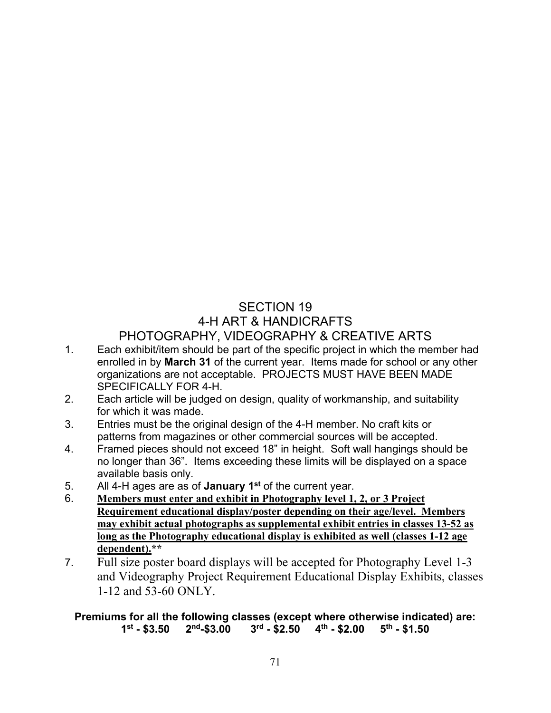## SECTION 19 4-H ART & HANDICRAFTS PHOTOGRAPHY, VIDEOGRAPHY & CREATIVE ARTS

- 1. Each exhibit/item should be part of the specific project in which the member had enrolled in by **March 31** of the current year. Items made for school or any other organizations are not acceptable. PROJECTS MUST HAVE BEEN MADE SPECIFICALLY FOR 4-H.
- 2. Each article will be judged on design, quality of workmanship, and suitability for which it was made.
- 3. Entries must be the original design of the 4-H member. No craft kits or patterns from magazines or other commercial sources will be accepted.
- 4. Framed pieces should not exceed 18" in height. Soft wall hangings should be no longer than 36". Items exceeding these limits will be displayed on a space available basis only.
- 5. All 4-H ages are as of **January 1st** of the current year.
- 6. **Members must enter and exhibit in Photography level 1, 2, or 3 Project Requirement educational display/poster depending on their age/level. Members may exhibit actual photographs as supplemental exhibit entries in classes 13-52 as long as the Photography educational display is exhibited as well (classes 1-12 age dependent).\*\***
- 7. Full size poster board displays will be accepted for Photography Level 1-3 and Videography Project Requirement Educational Display Exhibits, classes 1-12 and 53-60 ONLY.

#### **Premiums for all the following classes (except where otherwise indicated) are:**  $3^{\text{rd}}$  - \$2.50  $4^{\text{th}}$  - \$2.00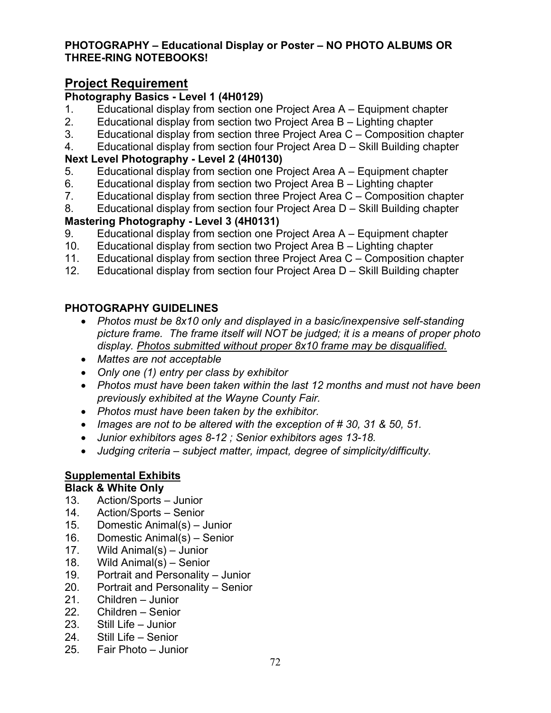#### **PHOTOGRAPHY – Educational Display or Poster – NO PHOTO ALBUMS OR THREE-RING NOTEBOOKS!**

## **Project Requirement**

### **Photography Basics - Level 1 (4H0129)**

- 1. Educational display from section one Project Area A Equipment chapter
- 2. Educational display from section two Project Area B Lighting chapter
- 3. Educational display from section three Project Area C Composition chapter
- 4. Educational display from section four Project Area D Skill Building chapter

#### **Next Level Photography - Level 2 (4H0130)**

- 5. Educational display from section one Project Area A Equipment chapter
- 6. Educational display from section two Project Area B Lighting chapter
- 7. Educational display from section three Project Area C Composition chapter
- 8. Educational display from section four Project Area D Skill Building chapter

### **Mastering Photography - Level 3 (4H0131)**

- 9. Educational display from section one Project Area A Equipment chapter
- 10. Educational display from section two Project Area B Lighting chapter
- 11. Educational display from section three Project Area C Composition chapter
- 12. Educational display from section four Project Area D Skill Building chapter

## **PHOTOGRAPHY GUIDELINES**

- *Photos must be 8x10 only and displayed in a basic/inexpensive self-standing picture frame. The frame itself will NOT be judged; it is a means of proper photo display. Photos submitted without proper 8x10 frame may be disqualified.*
- *Mattes are not acceptable*
- *Only one (1) entry per class by exhibitor*
- *Photos must have been taken within the last 12 months and must not have been previously exhibited at the Wayne County Fair.*
- *Photos must have been taken by the exhibitor.*
- *Images are not to be altered with the exception of # 30, 31 & 50, 51.*
- *Junior exhibitors ages 8-12 ; Senior exhibitors ages 13-18.*
- *Judging criteria subject matter, impact, degree of simplicity/difficulty.*

## **Supplemental Exhibits**

## **Black & White Only**

- 13. Action/Sports Junior
- 14. Action/Sports Senior
- 15. Domestic Animal(s) Junior
- 16. Domestic Animal(s) Senior
- 17. Wild Animal(s) Junior
- 18. Wild Animal(s) Senior
- 19. Portrait and Personality Junior
- 20. Portrait and Personality Senior
- 21. Children Junior
- 22. Children Senior
- 23. Still Life Junior
- 24. Still Life Senior
- 25. Fair Photo Junior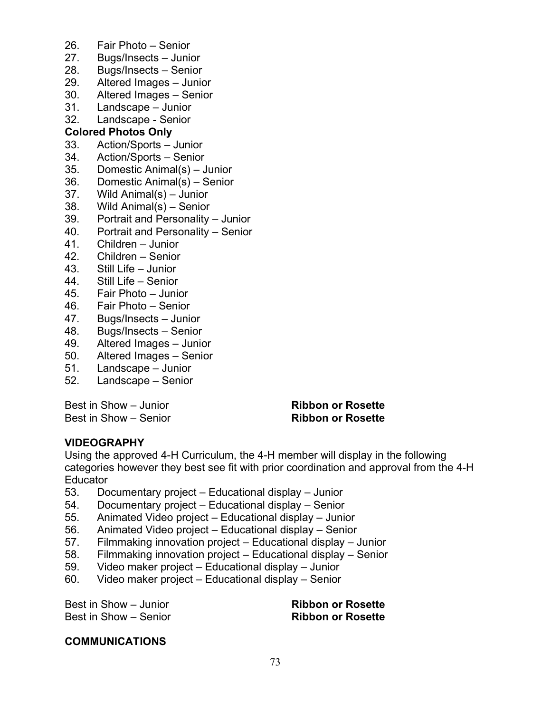- 26. Fair Photo Senior
- 27. Bugs/Insects Junior
- 28. Bugs/Insects Senior
- 29. Altered Images Junior
- 30. Altered Images Senior
- 31. Landscape Junior
- 32. Landscape Senior

#### **Colored Photos Only**

- 33. Action/Sports Junior
- 34. Action/Sports Senior
- 35. Domestic Animal(s) Junior
- 36. Domestic Animal(s) Senior
- 37. Wild Animal(s) Junior
- 38. Wild Animal(s) Senior
- 39. Portrait and Personality Junior
- 40. Portrait and Personality Senior
- 41. Children Junior
- 42. Children Senior
- 43. Still Life Junior
- 44. Still Life Senior
- 45. Fair Photo Junior
- 
- 46. Fair Photo Senior Bugs/Insects – Junior
- 48. Bugs/Insects Senior
- 49. Altered Images Junior
- 50. Altered Images Senior
- 51. Landscape Junior
- 52. Landscape Senior

Best in Show – Junior **Ribbon or Rosette** Best in Show – Senior **Ribbon or Rosette**

#### **VIDEOGRAPHY**

Using the approved 4-H Curriculum, the 4-H member will display in the following categories however they best see fit with prior coordination and approval from the 4-H **Educator** 

- 53. Documentary project Educational display Junior
- 54. Documentary project Educational display Senior
- 55. Animated Video project Educational display Junior
- 56. Animated Video project Educational display Senior
- 57. Filmmaking innovation project Educational display Junior
- 58. Filmmaking innovation project Educational display Senior
- 59. Video maker project Educational display Junior
- 60. Video maker project Educational display Senior

Best in Show – Junior **Ribbon or Rosette** Best in Show – Senior **Ribbon or Rosette**

#### **COMMUNICATIONS**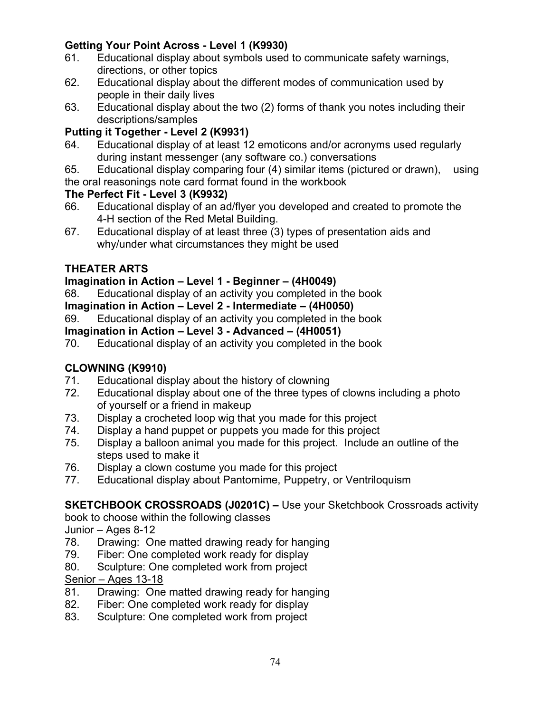# **Getting Your Point Across - Level 1 (K9930)**

- 61. Educational display about symbols used to communicate safety warnings, directions, or other topics
- 62. Educational display about the different modes of communication used by people in their daily lives
- 63. Educational display about the two (2) forms of thank you notes including their descriptions/samples

# **Putting it Together - Level 2 (K9931)**

- 64. Educational display of at least 12 emoticons and/or acronyms used regularly during instant messenger (any software co.) conversations
- 65. Educational display comparing four (4) similar items (pictured or drawn), using the oral reasonings note card format found in the workbook

# **The Perfect Fit - Level 3 (K9932)**

- 66. Educational display of an ad/flyer you developed and created to promote the 4-H section of the Red Metal Building.
- 67. Educational display of at least three (3) types of presentation aids and why/under what circumstances they might be used

# **THEATER ARTS**

# **Imagination in Action – Level 1 - Beginner – (4H0049)**

68. Educational display of an activity you completed in the book

### **Imagination in Action – Level 2 - Intermediate – (4H0050)**

69. Educational display of an activity you completed in the book

# **Imagination in Action – Level 3 - Advanced – (4H0051)**

70. Educational display of an activity you completed in the book

# **CLOWNING (K9910)**

- 71. Educational display about the history of clowning
- 72. Educational display about one of the three types of clowns including a photo of yourself or a friend in makeup
- 73. Display a crocheted loop wig that you made for this project
- 74. Display a hand puppet or puppets you made for this project
- 75. Display a balloon animal you made for this project. Include an outline of the steps used to make it
- 76. Display a clown costume you made for this project
- 77. Educational display about Pantomime, Puppetry, or Ventriloquism

# **SKETCHBOOK CROSSROADS (J0201C) –** Use your Sketchbook Crossroads activity

book to choose within the following classes

Junior – Ages 8-12

- 78. Drawing: One matted drawing ready for hanging
- 79. Fiber: One completed work ready for display
- 80. Sculpture: One completed work from project

Senior – Ages 13-18

- 81. Drawing: One matted drawing ready for hanging
- 82. Fiber: One completed work ready for display
- 83. Sculpture: One completed work from project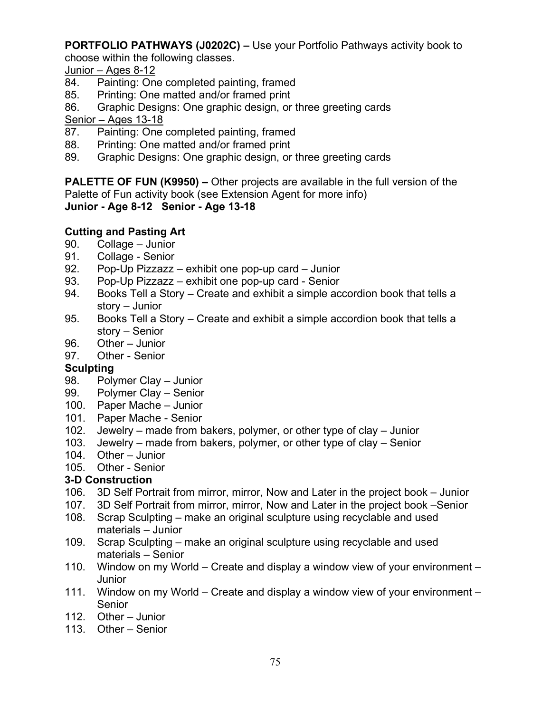**PORTFOLIO PATHWAYS (J0202C) –** Use your Portfolio Pathways activity book to

choose within the following classes.

Junior – Ages 8-12

- 84. Painting: One completed painting, framed
- 85. Printing: One matted and/or framed print
- 86. Graphic Designs: One graphic design, or three greeting cards Senior – Ages 13-18
- 87. Painting: One completed painting, framed
- 88. Printing: One matted and/or framed print
- 89. Graphic Designs: One graphic design, or three greeting cards

**PALETTE OF FUN (K9950) –** Other projects are available in the full version of the Palette of Fun activity book (see Extension Agent for more info) **Junior - Age 8-12 Senior - Age 13-18**

# **Cutting and Pasting Art**

- 90. Collage Junior
- 91. Collage Senior
- 92. Pop-Up Pizzazz exhibit one pop-up card Junior
- 93. Pop-Up Pizzazz exhibit one pop-up card Senior
- 94. Books Tell a Story Create and exhibit a simple accordion book that tells a story – Junior
- 95. Books Tell a Story Create and exhibit a simple accordion book that tells a story – Senior
- 96. Other Junior
- 97. Other Senior

### **Sculpting**

- 98. Polymer Clay Junior
- 99. Polymer Clay Senior
- 100. Paper Mache Junior
- 101. Paper Mache Senior
- 102. Jewelry made from bakers, polymer, or other type of clay Junior
- 103. Jewelry made from bakers, polymer, or other type of clay Senior
- 104. Other Junior
- 105. Other Senior

# **3-D Construction**

- 106. 3D Self Portrait from mirror, mirror, Now and Later in the project book Junior
- 107. 3D Self Portrait from mirror, mirror, Now and Later in the project book –Senior
- 108. Scrap Sculpting make an original sculpture using recyclable and used materials – Junior
- 109. Scrap Sculpting make an original sculpture using recyclable and used materials – Senior
- 110. Window on my World Create and display a window view of your environment Junior
- 111. Window on my World Create and display a window view of your environment Senior
- 112. Other Junior
- 113. Other Senior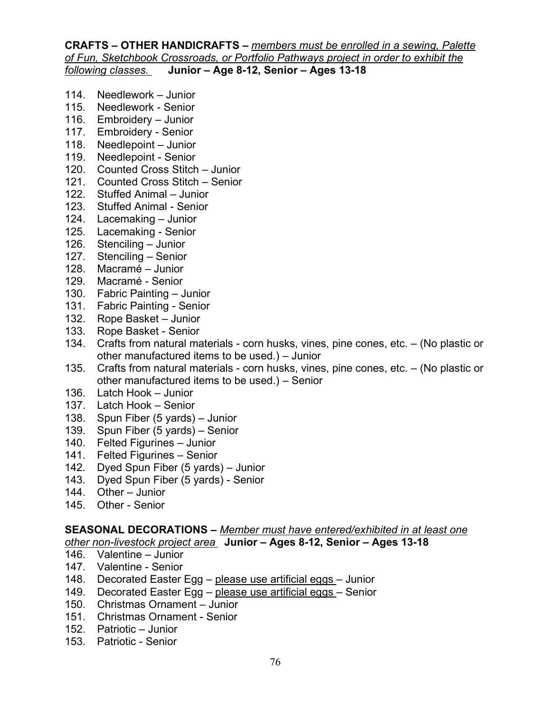#### **CRAFTS – OTHER HANDICRAFTS –** *members must be enrolled in a sewing, Palette of Fun, Sketchbook Crossroads, or Portfolio Pathways project in order to exhibit the following classes.* **Junior – Age 8-12, Senior – Ages 13-18**

- 114. Needlework Junior
- 115. Needlework Senior
- 116. Embroidery Junior
- 117. Embroidery Senior
- 118. Needlepoint Junior
- 119. Needlepoint Senior
- 120. Counted Cross Stitch Junior
- 121. Counted Cross Stitch Senior
- 122. Stuffed Animal Junior
- 123. Stuffed Animal Senior
- 124. Lacemaking Junior
- 125. Lacemaking Senior
- 126. Stenciling Junior
- 127. Stenciling Senior
- 128. Macramé Junior
- 129. Macramé Senior
- 130. Fabric Painting Junior
- 131. Fabric Painting Senior
- 132. Rope Basket Junior
- 133. Rope Basket Senior
- 134. Crafts from natural materials corn husks, vines, pine cones, etc. (No plastic or other manufactured items to be used.) – Junior
- 135. Crafts from natural materials corn husks, vines, pine cones, etc. (No plastic or other manufactured items to be used.) – Senior
- 136. Latch Hook Junior
- 137. Latch Hook Senior
- 138. Spun Fiber (5 yards) Junior
- 139. Spun Fiber (5 yards) Senior
- 140. Felted Figurines Junior
- 141. Felted Figurines Senior
- 142. Dyed Spun Fiber (5 yards) Junior
- 143. Dyed Spun Fiber (5 yards) Senior
- 144. Other Junior
- 145. Other Senior

#### **SEASONAL DECORATIONS –** *Member must have entered/exhibited in at least one other non-livestock project area* **Junior – Ages 8-12, Senior – Ages 13-18**

- 146. Valentine Junior
- 147. Valentine Senior
- 148. Decorated Easter Egg please use artificial eggs Junior
- 149. Decorated Easter Egg please use artificial eggs Senior
- 150. Christmas Ornament Junior
- 151. Christmas Ornament Senior
- 152. Patriotic Junior
- 153. Patriotic Senior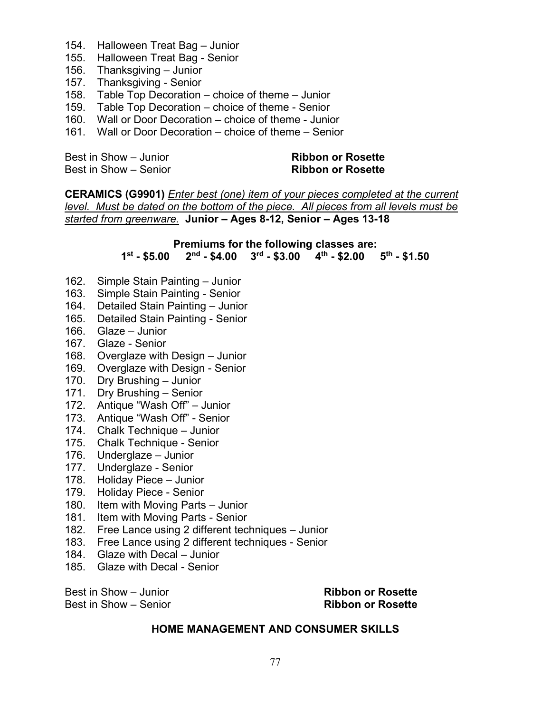- 154. Halloween Treat Bag Junior
- 155. Halloween Treat Bag Senior
- 156. Thanksgiving Junior
- 157. Thanksgiving Senior
- 158. Table Top Decoration choice of theme Junior
- 159. Table Top Decoration choice of theme Senior
- 160. Wall or Door Decoration choice of theme Junior
- 161. Wall or Door Decoration choice of theme Senior

Best in Show – Junior **Ribbon or Rosette**  Best in Show – Senior **Ribbon or Rosette**

**CERAMICS (G9901)** *Enter best (one) item of your pieces completed at the current level. Must be dated on the bottom of the piece. All pieces from all levels must be started from greenware.* **Junior – Ages 8-12, Senior – Ages 13-18**

#### **Premiums for the following classes are: 1st - \$5.00 2nd - \$4.00 3rd - \$3.00 4th - \$2.00 5th - \$1.50**

- 162. Simple Stain Painting Junior
- 163. Simple Stain Painting Senior
- 164. Detailed Stain Painting Junior
- 165. Detailed Stain Painting Senior
- 166. Glaze Junior
- 167. Glaze Senior
- 168. Overglaze with Design Junior
- 169. Overglaze with Design Senior
- 170. Dry Brushing Junior
- 171. Dry Brushing Senior
- 172. Antique "Wash Off" Junior
- 173. Antique "Wash Off" Senior
- 174. Chalk Technique Junior
- 175. Chalk Technique Senior
- 176. Underglaze Junior
- 177. Underglaze Senior
- 178. Holiday Piece Junior
- 179. Holiday Piece Senior
- 180. Item with Moving Parts Junior
- 181. Item with Moving Parts Senior
- 182. Free Lance using 2 different techniques Junior
- 183. Free Lance using 2 different techniques Senior
- 184. Glaze with Decal Junior
- 185. Glaze with Decal Senior

Best in Show – Senior **Ribbon or Rosette**

Best in Show – Junior **Ribbon or Rosette** 

#### **HOME MANAGEMENT AND CONSUMER SKILLS**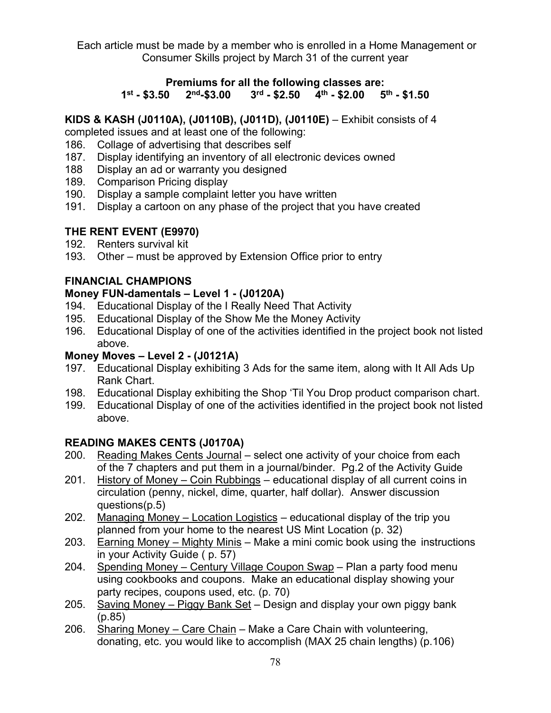Each article must be made by a member who is enrolled in a Home Management or Consumer Skills project by March 31 of the current year

#### **Premiums for all the following classes are:**<br>1<sup>st</sup> - \$3.50 2<sup>nd</sup>-\$3.00 3<sup>rd</sup> - \$2.50 4<sup>th</sup> - \$2.00 5<sup>th</sup> - \$1.50 2<sup>nd</sup>-\$3.00 3<sup>rd</sup> - \$2.50 4<sup>th</sup> - \$2.00

#### **KIDS & KASH (J0110A), (J0110B), (J011D), (J0110E)** – Exhibit consists of 4

completed issues and at least one of the following:

- 186. Collage of advertising that describes self
- 187. Display identifying an inventory of all electronic devices owned
- 188 Display an ad or warranty you designed
- 189. Comparison Pricing display
- 190. Display a sample complaint letter you have written
- 191. Display a cartoon on any phase of the project that you have created

# **THE RENT EVENT (E9970)**

- 192. Renters survival kit
- 193. Other must be approved by Extension Office prior to entry

# **FINANCIAL CHAMPIONS**

#### **Money FUN-damentals – Level 1 - (J0120A)**

- 194. Educational Display of the I Really Need That Activity
- 195. Educational Display of the Show Me the Money Activity
- 196. Educational Display of one of the activities identified in the project book not listed above.

### **Money Moves – Level 2 - (J0121A)**

- 197. Educational Display exhibiting 3 Ads for the same item, along with It All Ads Up Rank Chart.
- 198. Educational Display exhibiting the Shop 'Til You Drop product comparison chart.
- 199. Educational Display of one of the activities identified in the project book not listed above.

### **READING MAKES CENTS (J0170A)**

- 200. Reading Makes Cents Journal select one activity of your choice from each of the 7 chapters and put them in a journal/binder. Pg.2 of the Activity Guide
- 201. History of Money Coin Rubbings educational display of all current coins in circulation (penny, nickel, dime, quarter, half dollar). Answer discussion questions(p.5)
- 202. Managing Money Location Logistics educational display of the trip you planned from your home to the nearest US Mint Location (p. 32)
- 203. Earning Money Mighty Minis Make a mini comic book using the instructions in your Activity Guide ( p. 57)
- 204. Spending Money Century Village Coupon Swap Plan a party food menu using cookbooks and coupons. Make an educational display showing your party recipes, coupons used, etc. (p. 70)
- 205. Saving Money Piggy Bank Set Design and display your own piggy bank (p.85)
- 206. Sharing Money Care Chain Make a Care Chain with volunteering, donating, etc. you would like to accomplish (MAX 25 chain lengths) (p.106)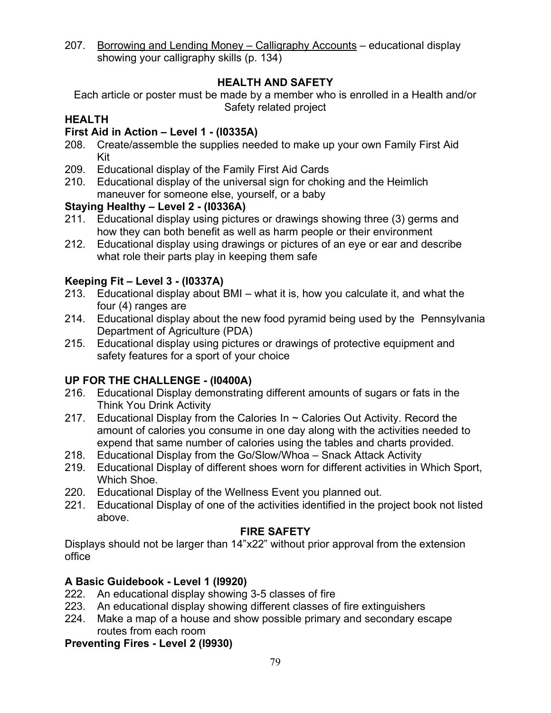207. Borrowing and Lending Money – Calligraphy Accounts – educational display showing your calligraphy skills (p. 134)

### **HEALTH AND SAFETY**

Each article or poster must be made by a member who is enrolled in a Health and/or Safety related project

# **HEALTH**

### **First Aid in Action – Level 1 - (I0335A)**

- 208. Create/assemble the supplies needed to make up your own Family First Aid Kit
- 209. Educational display of the Family First Aid Cards
- 210. Educational display of the universal sign for choking and the Heimlich maneuver for someone else, yourself, or a baby

# **Staying Healthy – Level 2 - (I0336A)**

- 211. Educational display using pictures or drawings showing three (3) germs and how they can both benefit as well as harm people or their environment
- 212. Educational display using drawings or pictures of an eye or ear and describe what role their parts play in keeping them safe

# **Keeping Fit – Level 3 - (I0337A)**

- 213. Educational display about BMI what it is, how you calculate it, and what the four (4) ranges are
- 214. Educational display about the new food pyramid being used by the Pennsylvania Department of Agriculture (PDA)
- 215. Educational display using pictures or drawings of protective equipment and safety features for a sport of your choice

# **UP FOR THE CHALLENGE - (I0400A)**

- 216. Educational Display demonstrating different amounts of sugars or fats in the Think You Drink Activity
- 217. Educational Display from the Calories In  $\sim$  Calories Out Activity. Record the amount of calories you consume in one day along with the activities needed to expend that same number of calories using the tables and charts provided.
- 218. Educational Display from the Go/Slow/Whoa Snack Attack Activity
- 219. Educational Display of different shoes worn for different activities in Which Sport, Which Shoe.
- 220. Educational Display of the Wellness Event you planned out.
- 221. Educational Display of one of the activities identified in the project book not listed above.

### **FIRE SAFETY**

Displays should not be larger than 14"x22" without prior approval from the extension office

# **A Basic Guidebook - Level 1 (I9920)**

- 222. An educational display showing 3-5 classes of fire
- 223. An educational display showing different classes of fire extinguishers
- 224. Make a map of a house and show possible primary and secondary escape routes from each room

### **Preventing Fires - Level 2 (I9930)**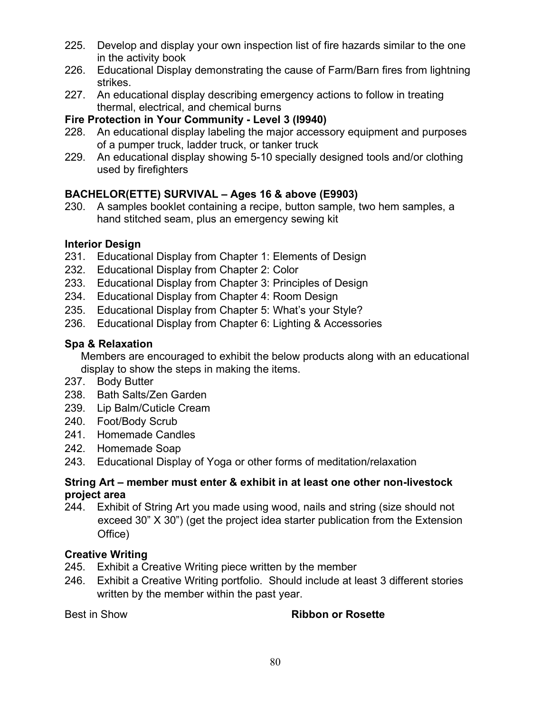- 225. Develop and display your own inspection list of fire hazards similar to the one in the activity book
- 226. Educational Display demonstrating the cause of Farm/Barn fires from lightning strikes.
- 227. An educational display describing emergency actions to follow in treating thermal, electrical, and chemical burns

# **Fire Protection in Your Community - Level 3 (I9940)**

- 228. An educational display labeling the major accessory equipment and purposes of a pumper truck, ladder truck, or tanker truck
- 229. An educational display showing 5-10 specially designed tools and/or clothing used by firefighters

# **BACHELOR(ETTE) SURVIVAL – Ages 16 & above (E9903)**

230. A samples booklet containing a recipe, button sample, two hem samples, a hand stitched seam, plus an emergency sewing kit

# **Interior Design**

- 231. Educational Display from Chapter 1: Elements of Design
- 232. Educational Display from Chapter 2: Color
- 233. Educational Display from Chapter 3: Principles of Design
- 234. Educational Display from Chapter 4: Room Design
- 235. Educational Display from Chapter 5: What's your Style?
- 236. Educational Display from Chapter 6: Lighting & Accessories

# **Spa & Relaxation**

Members are encouraged to exhibit the below products along with an educational display to show the steps in making the items.

- 237. Body Butter
- 238. Bath Salts/Zen Garden
- 239. Lip Balm/Cuticle Cream
- 240. Foot/Body Scrub
- 241. Homemade Candles
- 242. Homemade Soap
- 243. Educational Display of Yoga or other forms of meditation/relaxation

### **String Art – member must enter & exhibit in at least one other non-livestock project area**

244. Exhibit of String Art you made using wood, nails and string (size should not exceed 30" X 30") (get the project idea starter publication from the Extension Office)

# **Creative Writing**

- 245. Exhibit a Creative Writing piece written by the member
- 246. Exhibit a Creative Writing portfolio. Should include at least 3 different stories written by the member within the past year.

# **Best in Show <b>Ribbon or Rosette**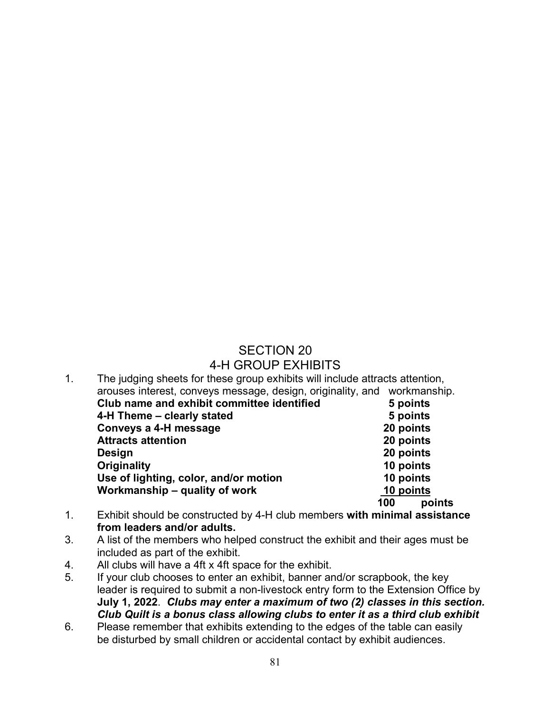#### SECTION 20 4-H GROUP EXHIBITS

| $\mathbf 1$ . | The judging sheets for these group exhibits will include attracts attention, |           |          |
|---------------|------------------------------------------------------------------------------|-----------|----------|
|               | arouses interest, conveys message, design, originality, and workmanship.     |           |          |
|               | Club name and exhibit committee identified                                   |           | 5 points |
|               | 4-H Theme – clearly stated                                                   |           | 5 points |
|               | Conveys a 4-H message                                                        | 20 points |          |
|               | <b>Attracts attention</b>                                                    | 20 points |          |
|               | Design                                                                       | 20 points |          |
|               | Originality                                                                  | 10 points |          |
|               | Use of lighting, color, and/or motion                                        | 10 points |          |
|               | Workmanship – quality of work                                                | 10 points |          |
|               |                                                                              | 100       | points   |

- 1. Exhibit should be constructed by 4-H club members **with minimal assistance from leaders and/or adults.**
- 3. A list of the members who helped construct the exhibit and their ages must be included as part of the exhibit.
- 4. All clubs will have a 4ft x 4ft space for the exhibit.
- 5. If your club chooses to enter an exhibit, banner and/or scrapbook, the key leader is required to submit a non-livestock entry form to the Extension Office by **July 1, 2022**. *Clubs may enter a maximum of two (2) classes in this section. Club Quilt is a bonus class allowing clubs to enter it as a third club exhibit*
- 6. Please remember that exhibits extending to the edges of the table can easily be disturbed by small children or accidental contact by exhibit audiences.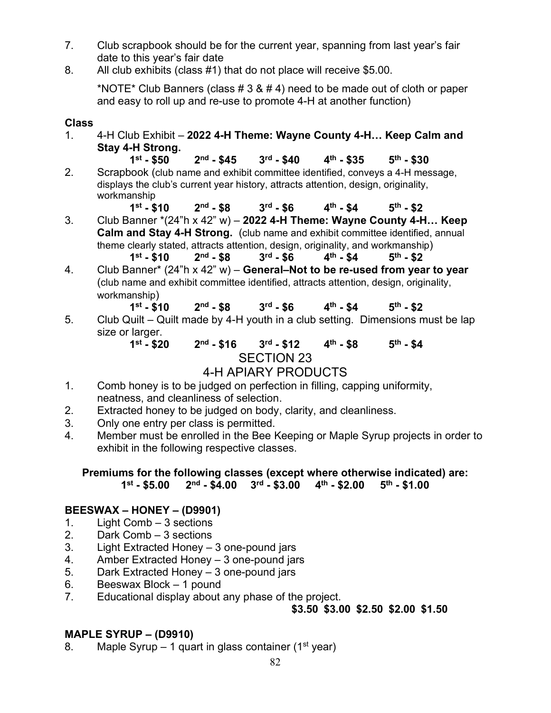- 7. Club scrapbook should be for the current year, spanning from last year's fair date to this year's fair date
- 8. All club exhibits (class #1) that do not place will receive \$5.00.

\*NOTE\* Club Banners (class  $# 3 8 4 4$ ) need to be made out of cloth or paper and easy to roll up and re-use to promote 4-H at another function)

#### **Class**

- 1. 4-H Club Exhibit **2022 4-H Theme: Wayne County 4-H… Keep Calm and Stay 4-H Strong.**
- **1st - \$50 2nd - \$45 3rd - \$40 4th - \$35 5th - \$30** 2. Scrapbook (club name and exhibit committee identified, conveys a 4-H message, displays the club's current year history, attracts attention, design, originality, workmanship
- **1st - \$10 2nd - \$8 3rd - \$6 4th - \$4 5th - \$2** 3. Club Banner \*(24"h x 42" w) – **2022 4-H Theme: Wayne County 4-H… Keep Calm and Stay 4-H Strong.** (club name and exhibit committee identified, annual theme clearly stated, attracts attention, design, originality, and workmanship) **1st - \$10 2nd - \$8 3rd - \$6 4th - \$4 5th - \$2**
- 4. Club Banner\* (24"h x 42" w) **General–Not to be re-used from year to year** (club name and exhibit committee identified, attracts attention, design, originality, workmanship)
- **1st - \$10 2nd - \$8 3rd - \$6 4th - \$4 5th - \$2** 5. Club Quilt – Quilt made by 4-H youth in a club setting. Dimensions must be lap size or larger.<br> $1<sup>st</sup> - $20$

**1st - \$20 2nd - \$16 3rd - \$12 4th - \$8 5th - \$4** SECTION 23

### 4-H APIARY PRODUCTS

- 1. Comb honey is to be judged on perfection in filling, capping uniformity, neatness, and cleanliness of selection.
- 2. Extracted honey to be judged on body, clarity, and cleanliness.
- 3. Only one entry per class is permitted.
- 4. Member must be enrolled in the Bee Keeping or Maple Syrup projects in order to exhibit in the following respective classes.

**Premiums for the following classes (except where otherwise indicated) are: 1st - \$5.00 2nd - \$4.00 3rd - \$3.00 4th - \$2.00 5th - \$1.00**

### **BEESWAX – HONEY – (D9901)**

- 1. Light Comb 3 sections
- 2. Dark Comb 3 sections
- 3. Light Extracted Honey 3 one-pound jars
- 4. Amber Extracted Honey 3 one-pound jars
- 5. Dark Extracted Honey 3 one-pound jars
- 6. Beeswax Block 1 pound
- 7. Educational display about any phase of the project.

**\$3.50 \$3.00 \$2.50 \$2.00 \$1.50**

#### **MAPLE SYRUP – (D9910)**

8. Maple Syrup – 1 quart in glass container (1<sup>st</sup> year)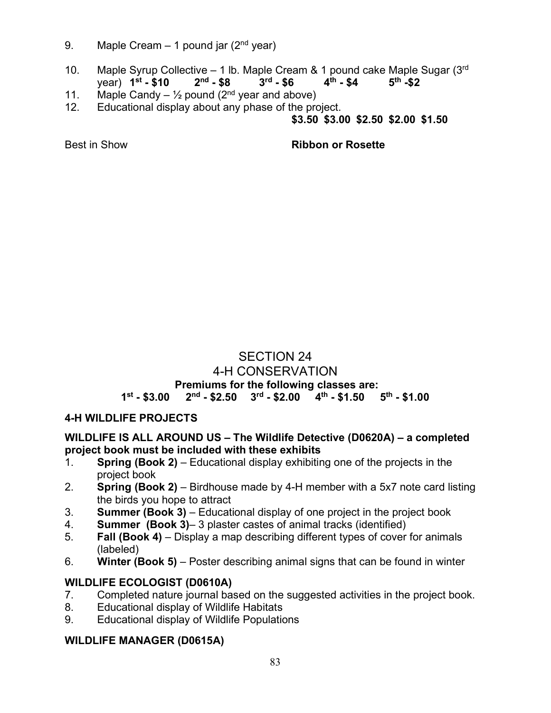- 9. Maple Cream  $-1$  pound jar ( $2<sup>nd</sup>$  year)
- 10. Maple Syrup Collective 1 lb. Maple Cream & 1 pound cake Maple Sugar  $(3^{rd} \cdot 5^{rd} \cdot 5^{rd} \cdot 5^{rd})$ <br>vear)  $1^{st} \cdot 5^{40}$   $2^{nd} \cdot 5^{rd} \cdot 5^{rd} \cdot 5^{rd} \cdot 5^{rd} \cdot 5^{rd} \cdot 5^{rd} \cdot 5^{rd} \cdot 5^{rd} \cdot 5^{rd} \cdot 5^{rd} \cdot 5^{rd} \cdot 5^{rd} \cdot 5^{rd} \$ year) **1st - \$10 2nd - \$8 3rd - \$6 4th - \$4 5th -\$2**
- 11. Maple Candy  $\frac{1}{2}$  pound (2<sup>nd</sup> year and above)
- 12. Educational display about any phase of the project.

### **\$3.50 \$3.00 \$2.50 \$2.00 \$1.50**

Best in Show **Ribbon or Rosette**

#### SECTION 24 4-H CONSERVATION **Premiums for the following classes are: 1st - \$3.00 2nd - \$2.50 3rd - \$2.00 4th - \$1.50 5th - \$1.00**

### **4-H WILDLIFE PROJECTS**

#### **WILDLIFE IS ALL AROUND US – The Wildlife Detective (D0620A) – a completed project book must be included with these exhibits**

- 1. **Spring (Book 2)** Educational display exhibiting one of the projects in the project book
- 2. **Spring (Book 2)** Birdhouse made by 4-H member with a 5x7 note card listing the birds you hope to attract
- 3. **Summer (Book 3)** Educational display of one project in the project book
- 4. **Summer (Book 3)** 3 plaster castes of animal tracks (identified)
- 5. **Fall (Book 4)** Display a map describing different types of cover for animals (labeled)
- 6. **Winter (Book 5)** Poster describing animal signs that can be found in winter

### **WILDLIFE ECOLOGIST (D0610A)**

- 7. Completed nature journal based on the suggested activities in the project book.
- 8. Educational display of Wildlife Habitats
- 9. Educational display of Wildlife Populations

### **WILDLIFE MANAGER (D0615A)**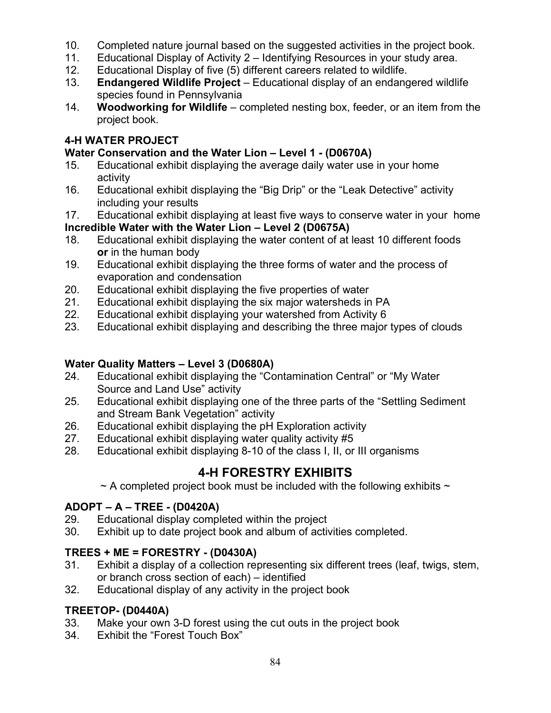- 10. Completed nature journal based on the suggested activities in the project book.
- 11. Educational Display of Activity 2 Identifying Resources in your study area.
- 12. Educational Display of five (5) different careers related to wildlife.
- 13. **Endangered Wildlife Project**  Educational display of an endangered wildlife species found in Pennsylvania
- 14. **Woodworking for Wildlife**  completed nesting box, feeder, or an item from the project book.

# **4-H WATER PROJECT**

# **Water Conservation and the Water Lion – Level 1 - (D0670A)**

- 15. Educational exhibit displaying the average daily water use in your home activity
- 16. Educational exhibit displaying the "Big Drip" or the "Leak Detective" activity including your results
- 17. Educational exhibit displaying at least five ways to conserve water in your home **Incredible Water with the Water Lion – Level 2 (D0675A)**
- 18. Educational exhibit displaying the water content of at least 10 different foods **or** in the human body
- 19. Educational exhibit displaying the three forms of water and the process of evaporation and condensation
- 20. Educational exhibit displaying the five properties of water
- 21. Educational exhibit displaying the six major watersheds in PA
- 22. Educational exhibit displaying your watershed from Activity 6<br>23. Educational exhibit displaying and describing the three major
- Educational exhibit displaying and describing the three major types of clouds

# **Water Quality Matters – Level 3 (D0680A)**

- Educational exhibit displaying the "Contamination Central" or "My Water Source and Land Use" activity
- 25. Educational exhibit displaying one of the three parts of the "Settling Sediment and Stream Bank Vegetation" activity
- 26. Educational exhibit displaying the pH Exploration activity
- 27. Educational exhibit displaying water quality activity #5<br>28. Educational exhibit displaying 8-10 of the class I, II, or
- Educational exhibit displaying 8-10 of the class I, II, or III organisms

# **4-H FORESTRY EXHIBITS**

 $\sim$  A completed project book must be included with the following exhibits  $\sim$ 

# **ADOPT – A – TREE - (D0420A)**

- 29. Educational display completed within the project
- 30. Exhibit up to date project book and album of activities completed.

# **TREES + ME = FORESTRY - (D0430A)**

- 31. Exhibit a display of a collection representing six different trees (leaf, twigs, stem, or branch cross section of each) – identified
- 32. Educational display of any activity in the project book

# **TREETOP- (D0440A)**

- 33. Make your own 3-D forest using the cut outs in the project book
- 34. Exhibit the "Forest Touch Box"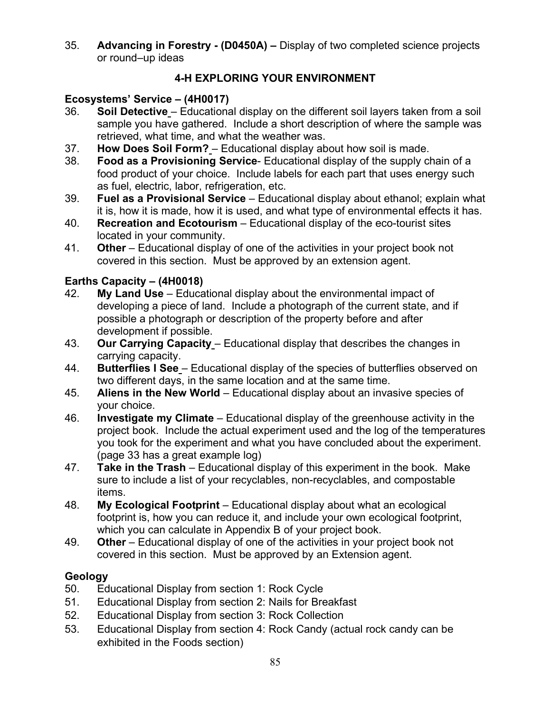35. **Advancing in Forestry - (D0450A) –** Display of two completed science projects or round–up ideas

# **4-H EXPLORING YOUR ENVIRONMENT**

### **Ecosystems' Service – (4H0017)**

- 36. **Soil Detective** Educational display on the different soil layers taken from a soil sample you have gathered. Include a short description of where the sample was retrieved, what time, and what the weather was.
- 37. **How Does Soil Form?** Educational display about how soil is made.
- **Food as a Provisioning Service-** Educational display of the supply chain of a food product of your choice. Include labels for each part that uses energy such as fuel, electric, labor, refrigeration, etc.
- 39. **Fuel as a Provisional Service** Educational display about ethanol; explain what it is, how it is made, how it is used, and what type of environmental effects it has.
- 40. **Recreation and Ecotourism** Educational display of the eco-tourist sites located in your community.
- 41. **Other**  Educational display of one of the activities in your project book not covered in this section. Must be approved by an extension agent.

# **Earths Capacity – (4H0018)**

- 42. **My Land Use** Educational display about the environmental impact of developing a piece of land. Include a photograph of the current state, and if possible a photograph or description of the property before and after development if possible.
- 43. **Our Carrying Capacity** Educational display that describes the changes in carrying capacity.
- 44. **Butterflies I See** Educational display of the species of butterflies observed on two different days, in the same location and at the same time.
- 45. **Aliens in the New World** Educational display about an invasive species of your choice.
- 46. **Investigate my Climate** Educational display of the greenhouse activity in the project book. Include the actual experiment used and the log of the temperatures you took for the experiment and what you have concluded about the experiment. (page 33 has a great example log)
- 47. **Take in the Trash** Educational display of this experiment in the book. Make sure to include a list of your recyclables, non-recyclables, and compostable items.
- 48. **My Ecological Footprint** Educational display about what an ecological footprint is, how you can reduce it, and include your own ecological footprint, which you can calculate in Appendix B of your project book.
- 49. **Other**  Educational display of one of the activities in your project book not covered in this section. Must be approved by an Extension agent.

### **Geology**

- 50. Educational Display from section 1: Rock Cycle
- 51. Educational Display from section 2: Nails for Breakfast
- 52. Educational Display from section 3: Rock Collection
- 53. Educational Display from section 4: Rock Candy (actual rock candy can be exhibited in the Foods section)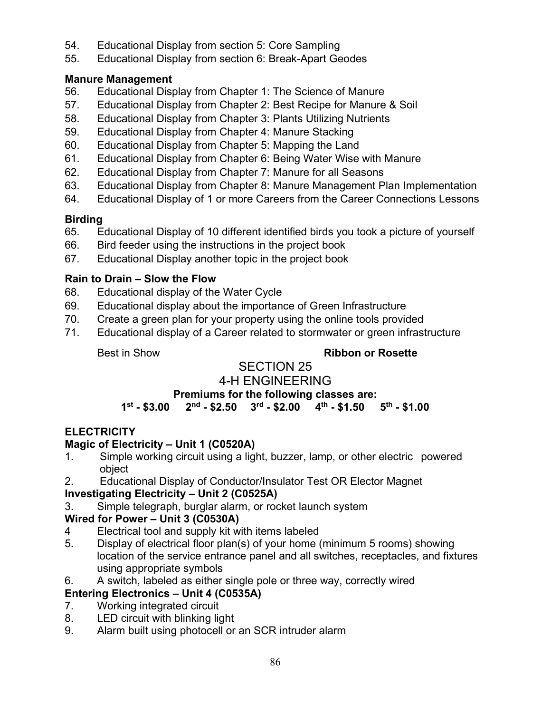- 54. Educational Display from section 5: Core Sampling
- 55. Educational Display from section 6: Break-Apart Geodes

#### **Manure Management**

- 56. Educational Display from Chapter 1: The Science of Manure
- 57. Educational Display from Chapter 2: Best Recipe for Manure & Soil
- 58. Educational Display from Chapter 3: Plants Utilizing Nutrients
- 59. Educational Display from Chapter 4: Manure Stacking
- 60. Educational Display from Chapter 5: Mapping the Land
- 61. Educational Display from Chapter 6: Being Water Wise with Manure
- 62. Educational Display from Chapter 7: Manure for all Seasons
- 63. Educational Display from Chapter 8: Manure Management Plan Implementation
- 64. Educational Display of 1 or more Careers from the Career Connections Lessons

# **Birding**

- 65. Educational Display of 10 different identified birds you took a picture of yourself
- 66. Bird feeder using the instructions in the project book
- 67. Educational Display another topic in the project book

### **Rain to Drain – Slow the Flow**

- 68. Educational display of the Water Cycle
- 69. Educational display about the importance of Green Infrastructure
- 70. Create a green plan for your property using the online tools provided
- 71. Educational display of a Career related to stormwater or green infrastructure

#### Best in Show **Ribbon or Rosette**

#### SECTION 25 4-H ENGINEERING

**Premiums for the following classes are:**<br>1<sup>st</sup> - \$3.00 2<sup>nd</sup> - \$2.50 3<sup>rd</sup> - \$2.00 4<sup>th</sup> - \$1.50 5<sup>th</sup> - \$1.00 **1st - \$3.00 2nd - \$2.50 3rd - \$2.00 4th - \$1.50 5th - \$1.00**

# **ELECTRICITY**

### **Magic of Electricity – Unit 1 (C0520A)**

- 1. Simple working circuit using a light, buzzer, lamp, or other electric powered object
- 2. Educational Display of Conductor/Insulator Test OR Elector Magnet

### **Investigating Electricity – Unit 2 (C0525A)**

3. Simple telegraph, burglar alarm, or rocket launch system

### **Wired for Power – Unit 3 (C0530A)**

- 4 Electrical tool and supply kit with items labeled
- 5. Display of electrical floor plan(s) of your home (minimum 5 rooms) showing location of the service entrance panel and all switches, receptacles, and fixtures using appropriate symbols
- 6. A switch, labeled as either single pole or three way, correctly wired

### **Entering Electronics – Unit 4 (C0535A)**

- 7. Working integrated circuit
- 8. LED circuit with blinking light
- 9. Alarm built using photocell or an SCR intruder alarm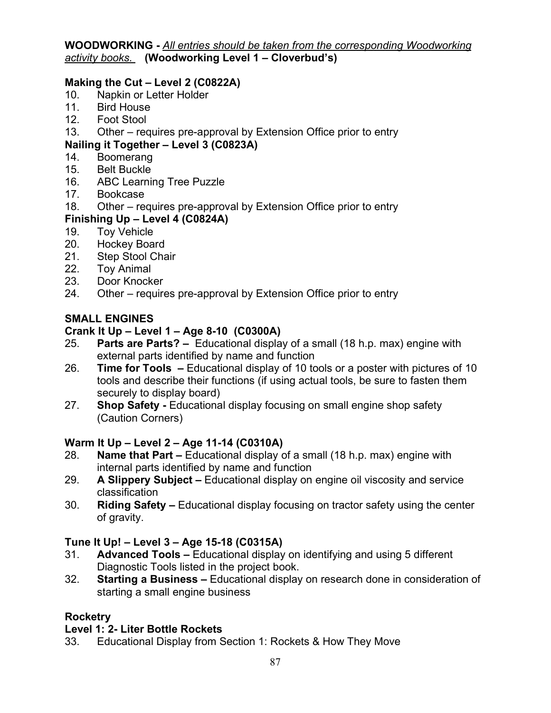**WOODWORKING -** *All entries should be taken from the corresponding Woodworking activity books.* **(Woodworking Level 1 – Cloverbud's)**

### **Making the Cut – Level 2 (C0822A)**

- 10. Napkin or Letter Holder
- 11. Bird House<br>12. Foot Stool
- Foot Stool
- 13. Other requires pre-approval by Extension Office prior to entry

# **Nailing it Together – Level 3 (C0823A)**

- 14. Boomerang
- 15. Belt Buckle
- 16. ABC Learning Tree Puzzle
- 17. Bookcase
- 18. Other requires pre-approval by Extension Office prior to entry

# **Finishing Up – Level 4 (C0824A)**

- 19. Toy Vehicle
- 20. Hockey Board
- 21. Step Stool Chair<br>22. Tov Animal
- **Toy Animal**
- 23. Door Knocker
- 24. Other requires pre-approval by Extension Office prior to entry

# **SMALL ENGINES**

# **Crank It Up – Level 1 – Age 8-10 (C0300A)**

- 25. **Parts are Parts?** Educational display of a small (18 h.p. max) engine with external parts identified by name and function
- 26. **Time for Tools** Educational display of 10 tools or a poster with pictures of 10 tools and describe their functions (if using actual tools, be sure to fasten them securely to display board)
- 27. **Shop Safety** Educational display focusing on small engine shop safety (Caution Corners)

# **Warm It Up – Level 2 – Age 11-14 (C0310A)**

- 28. **Name that Part** Educational display of a small (18 h.p. max) engine with internal parts identified by name and function
- 29. **A Slippery Subject** Educational display on engine oil viscosity and service classification
- 30. **Riding Safety** Educational display focusing on tractor safety using the center of gravity.

# **Tune It Up! – Level 3 – Age 15-18 (C0315A)**

- 31. **Advanced Tools** Educational display on identifying and using 5 different Diagnostic Tools listed in the project book.
- 32. **Starting a Business** Educational display on research done in consideration of starting a small engine business

# **Rocketry**

# **Level 1: 2- Liter Bottle Rockets**

33. Educational Display from Section 1: Rockets & How They Move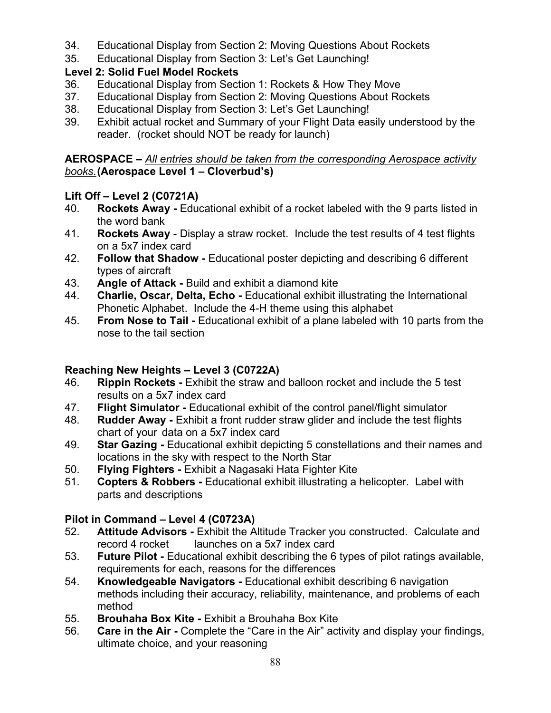- 34. Educational Display from Section 2: Moving Questions About Rockets
- 35. Educational Display from Section 3: Let's Get Launching!

# **Level 2: Solid Fuel Model Rockets**

- 36. Educational Display from Section 1: Rockets & How They Move
- 37. Educational Display from Section 2: Moving Questions About Rockets
- 38. Educational Display from Section 3: Let's Get Launching!
- 39. Exhibit actual rocket and Summary of your Flight Data easily understood by the reader. (rocket should NOT be ready for launch)

### **AEROSPACE –** *All entries should be taken from the corresponding Aerospace activity books.* **(Aerospace Level 1 – Cloverbud's)**

# **Lift Off – Level 2 (C0721A)**

- 40. **Rockets Away** Educational exhibit of a rocket labeled with the 9 parts listed in the word bank
- 41. **Rockets Away** Display a straw rocket. Include the test results of 4 test flights on a 5x7 index card
- 42. **Follow that Shadow** Educational poster depicting and describing 6 different types of aircraft
- 43. **Angle of Attack -** Build and exhibit a diamond kite
- 44. **Charlie, Oscar, Delta, Echo** Educational exhibit illustrating the International Phonetic Alphabet. Include the 4-H theme using this alphabet
- 45. **From Nose to Tail** Educational exhibit of a plane labeled with 10 parts from the nose to the tail section

# **Reaching New Heights – Level 3 (C0722A)**

- 46. **Rippin Rockets** Exhibit the straw and balloon rocket and include the 5 test results on a 5x7 index card
- 47. **Flight Simulator** Educational exhibit of the control panel/flight simulator
- 48. **Rudder Away** Exhibit a front rudder straw glider and include the test flights chart of your data on a 5x7 index card
- 49. **Star Gazing** Educational exhibit depicting 5 constellations and their names and locations in the sky with respect to the North Star
- 50. **Flying Fighters** Exhibit a Nagasaki Hata Fighter Kite
- 51. **Copters & Robbers** Educational exhibit illustrating a helicopter. Label with parts and descriptions

# **Pilot in Command – Level 4 (C0723A)**

- 52. **Attitude Advisors** Exhibit the Altitude Tracker you constructed. Calculate and record 4 rocket launches on a 5x7 index card
- 53. **Future Pilot** Educational exhibit describing the 6 types of pilot ratings available, requirements for each, reasons for the differences
- 54. **Knowledgeable Navigators** Educational exhibit describing 6 navigation methods including their accuracy, reliability, maintenance, and problems of each method
- 55. **Brouhaha Box Kite** Exhibit a Brouhaha Box Kite
- 56. **Care in the Air** Complete the "Care in the Air" activity and display your findings, ultimate choice, and your reasoning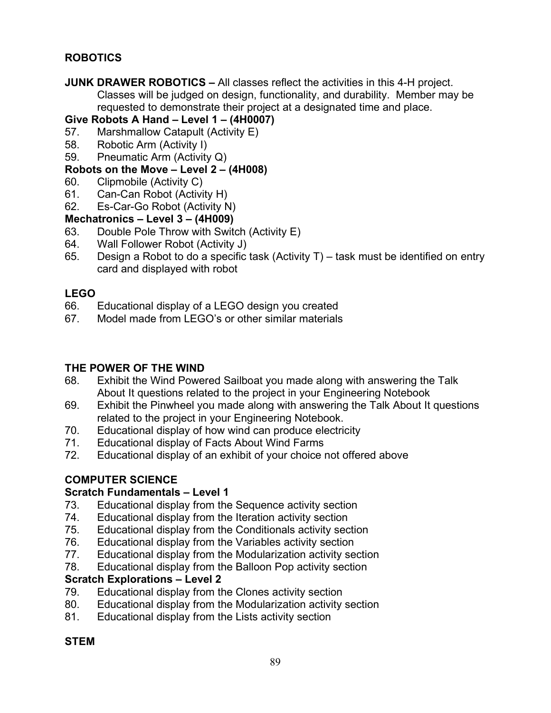### **ROBOTICS**

**JUNK DRAWER ROBOTICS –** All classes reflect the activities in this 4-H project. Classes will be judged on design, functionality, and durability. Member may be requested to demonstrate their project at a designated time and place.

#### **Give Robots A Hand – Level 1 – (4H0007)**

- 57. Marshmallow Catapult (Activity E)
- 58. Robotic Arm (Activity I)
- 59. Pneumatic Arm (Activity Q)

#### **Robots on the Move – Level 2 – (4H008)**

- 60. Clipmobile (Activity C)
- 61. Can-Can Robot (Activity H)
- 62. Es-Car-Go Robot (Activity N)

# **Mechatronics – Level 3 – (4H009)**

- 63. Double Pole Throw with Switch (Activity E)
- 64. Wall Follower Robot (Activity J)
- 65. Design a Robot to do a specific task (Activity T) task must be identified on entry card and displayed with robot

#### **LEGO**

- 66. Educational display of a LEGO design you created<br>67 Model made from I FGO's or other similar materials
- Model made from LEGO's or other similar materials

#### **THE POWER OF THE WIND**

- 68. Exhibit the Wind Powered Sailboat you made along with answering the Talk About It questions related to the project in your Engineering Notebook
- 69. Exhibit the Pinwheel you made along with answering the Talk About It questions related to the project in your Engineering Notebook.
- 70. Educational display of how wind can produce electricity
- 71. Educational display of Facts About Wind Farms
- 72. Educational display of an exhibit of your choice not offered above

### **COMPUTER SCIENCE**

#### **Scratch Fundamentals – Level 1**

- 73. Educational display from the Sequence activity section
- 74. Educational display from the Iteration activity section
- 75. Educational display from the Conditionals activity section
- 76. Educational display from the Variables activity section
- 77. Educational display from the Modularization activity section
- 78. Educational display from the Balloon Pop activity section

#### **Scratch Explorations – Level 2**

- 79. Educational display from the Clones activity section
- 80. Educational display from the Modularization activity section
- 81. Educational display from the Lists activity section

### **STEM**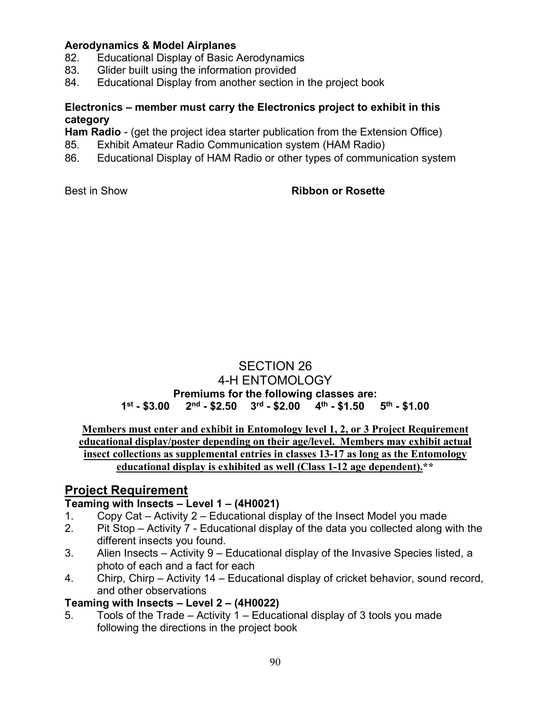#### **Aerodynamics & Model Airplanes**

- 82. Educational Display of Basic Aerodynamics
- 83. Glider built using the information provided
- 84. Educational Display from another section in the project book

#### **Electronics – member must carry the Electronics project to exhibit in this category**

**Ham Radio** - (get the project idea starter publication from the Extension Office)

- 85. Exhibit Amateur Radio Communication system (HAM Radio)
- 86. Educational Display of HAM Radio or other types of communication system

#### Best in Show **Ribbon or Rosette**

# SECTION 26 4-H ENTOMOLOGY **Premiums for the following classes are:**<br>1<sup>st</sup> - \$3.00 2<sup>nd</sup> - \$2.50 3<sup>rd</sup> - \$2.00 4<sup>th</sup> - \$1.50 5<sup>th</sup> - \$1.00  $2<sup>nd</sup>$  - \$2.50  $3<sup>rd</sup>$  - \$2.00  $4<sup>th</sup>$  - \$1.50

**Members must enter and exhibit in Entomology level 1, 2, or 3 Project Requirement educational display/poster depending on their age/level. Members may exhibit actual insect collections as supplemental entries in classes 13-17 as long as the Entomology educational display is exhibited as well (Class 1-12 age dependent).\*\*** 

# **Project Requirement**

#### **Teaming with Insects – Level 1 – (4H0021)**

- 1. Copy Cat Activity 2 Educational display of the Insect Model you made
- 2. Pit Stop Activity 7 Educational display of the data you collected along with the different insects you found.
- 3. Alien Insects Activity 9 Educational display of the Invasive Species listed, a photo of each and a fact for each
- 4. Chirp, Chirp Activity 14 Educational display of cricket behavior, sound record, and other observations

#### **Teaming with Insects – Level 2 – (4H0022)**

5. Tools of the Trade – Activity 1 – Educational display of 3 tools you made following the directions in the project book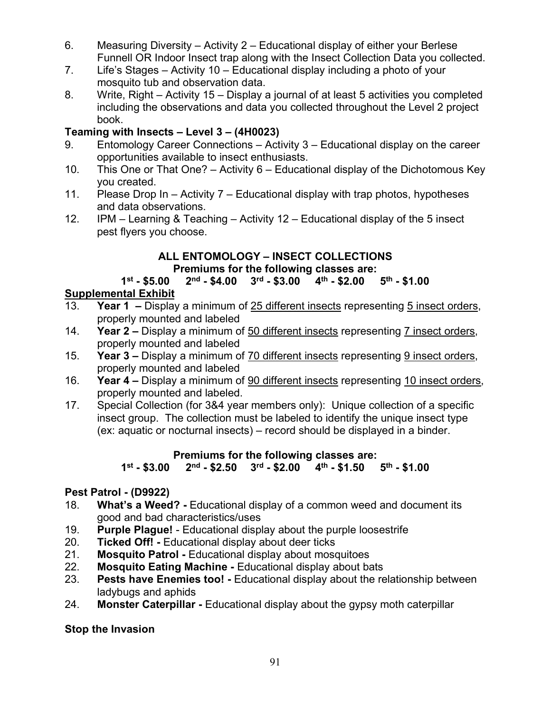- 6. Measuring Diversity Activity 2 Educational display of either your Berlese Funnell OR Indoor Insect trap along with the Insect Collection Data you collected.
- 7. Life's Stages Activity 10 Educational display including a photo of your mosquito tub and observation data.
- 8. Write, Right Activity 15 Display a journal of at least 5 activities you completed including the observations and data you collected throughout the Level 2 project book.

# **Teaming with Insects – Level 3 – (4H0023)**

- 9. Entomology Career Connections Activity 3 Educational display on the career opportunities available to insect enthusiasts.
- 10. This One or That One? Activity 6 Educational display of the Dichotomous Key you created.
- 11. Please Drop In Activity 7 Educational display with trap photos, hypotheses and data observations.
- 12. IPM Learning & Teaching Activity 12 Educational display of the 5 insect pest flyers you choose.

### **ALL ENTOMOLOGY – INSECT COLLECTIONS Premiums for the following classes are:**

# **1st - \$5.00 2nd - \$4.00 3rd - \$3.00 4th - \$2.00 5th - \$1.00**

# **Supplemental Exhibit**

- 13. **Year 1** Display a minimum of 25 different insects representing 5 insect orders, properly mounted and labeled
- 14. **Year 2** Display a minimum of 50 different insects representing 7 insect orders, properly mounted and labeled
- 15. **Year 3 –** Display a minimum of 70 different insects representing 9 insect orders, properly mounted and labeled
- 16. **Year 4** Display a minimum of 90 different insects representing 10 insect orders, properly mounted and labeled.
- 17. Special Collection (for 3&4 year members only): Unique collection of a specific insect group. The collection must be labeled to identify the unique insect type (ex: aquatic or nocturnal insects) – record should be displayed in a binder.

#### **Premiums for the following classes are:**<br>1<sup>st</sup> - \$3.00 2<sup>nd</sup> - \$2.50 3<sup>rd</sup> - \$2.00 4<sup>th</sup> - \$1.50  $2^{\text{nd}}$  - \$2.50 3<sup>rd</sup> - \$2.00 4<sup>th</sup> - \$1.50 5<sup>th</sup> - \$1.00

# **Pest Patrol - (D9922)**

- 18. **What's a Weed?** Educational display of a common weed and document its good and bad characteristics/uses
- 19. **Purple Plague!**  Educational display about the purple loosestrife
- 20. **Ticked Off!** Educational display about deer ticks
- 21. **Mosquito Patrol** Educational display about mosquitoes
- 22. **Mosquito Eating Machine -** Educational display about bats<br>23. **Pests have Enemies too! -** Educational display about the re
- Pests have Enemies too! Educational display about the relationship between ladybugs and aphids
- 24. **Monster Caterpillar** Educational display about the gypsy moth caterpillar

**Stop the Invasion**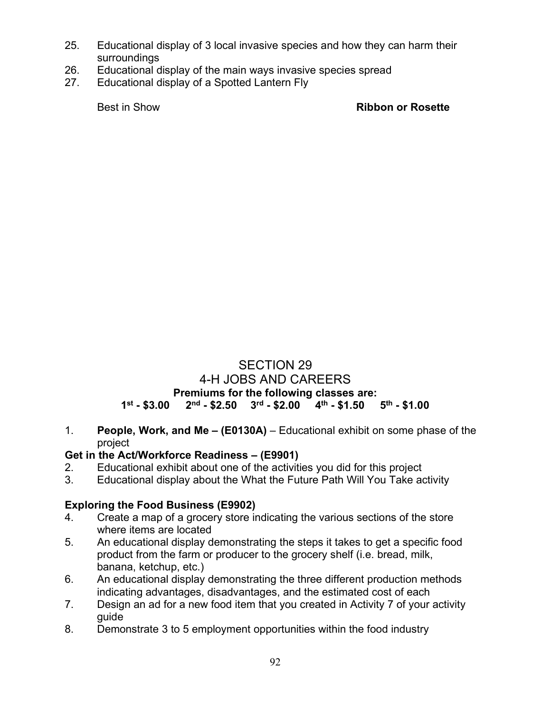- 25. Educational display of 3 local invasive species and how they can harm their surroundings
- 26. Educational display of the main ways invasive species spread
- 27. Educational display of a Spotted Lantern Fly

Best in Show **Ribbon or Rosette**

# SECTION 29 4-H JOBS AND CAREERS **Premiums for the following classes are: 1st - \$3.00 2nd - \$2.50 3rd - \$2.00 4th - \$1.50 5th - \$1.00**

1. **People, Work, and Me – (E0130A)** – Educational exhibit on some phase of the project

### **Get in the Act/Workforce Readiness – (E9901)**

- 2. Educational exhibit about one of the activities you did for this project
- 3. Educational display about the What the Future Path Will You Take activity

### **Exploring the Food Business (E9902)**

- 4. Create a map of a grocery store indicating the various sections of the store where items are located
- 5. An educational display demonstrating the steps it takes to get a specific food product from the farm or producer to the grocery shelf (i.e. bread, milk, banana, ketchup, etc.)
- 6. An educational display demonstrating the three different production methods indicating advantages, disadvantages, and the estimated cost of each
- 7. Design an ad for a new food item that you created in Activity 7 of your activity guide
- 8. Demonstrate 3 to 5 employment opportunities within the food industry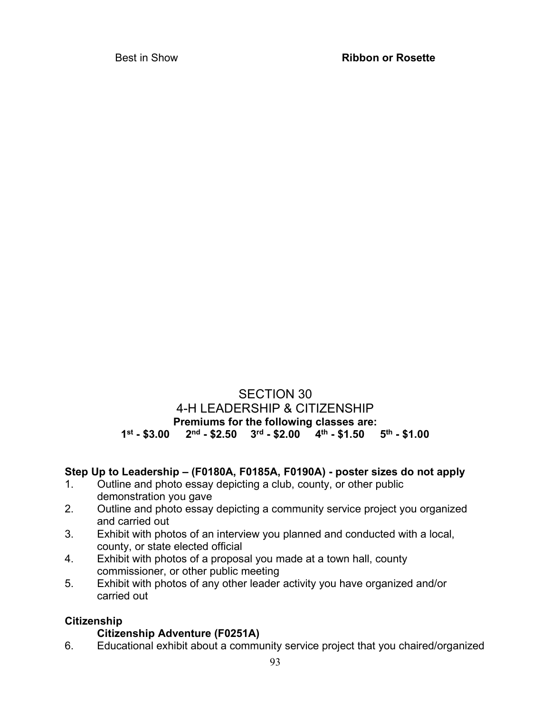### SECTION 30 4-H LEADERSHIP & CITIZENSHIP **Premiums for the following classes are: 1st - \$3.00 2nd - \$2.50 3rd - \$2.00 4th - \$1.50 5th - \$1.00**

### **Step Up to Leadership – (F0180A, F0185A, F0190A) - poster sizes do not apply**

- 1. Outline and photo essay depicting a club, county, or other public demonstration you gave
- 2. Outline and photo essay depicting a community service project you organized and carried out
- 3. Exhibit with photos of an interview you planned and conducted with a local, county, or state elected official
- 4. Exhibit with photos of a proposal you made at a town hall, county commissioner, or other public meeting
- 5. Exhibit with photos of any other leader activity you have organized and/or carried out

### **Citizenship**

### **Citizenship Adventure (F0251A)**

6. Educational exhibit about a community service project that you chaired/organized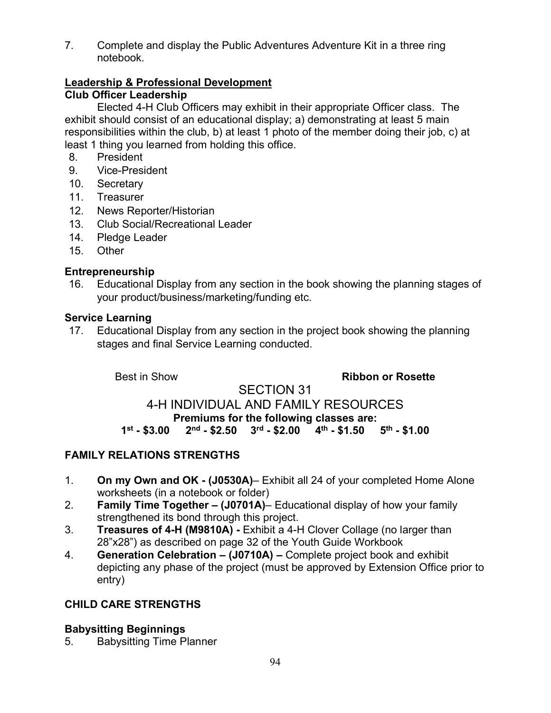7. Complete and display the Public Adventures Adventure Kit in a three ring notebook.

# **Leadership & Professional Development**

**Club Officer Leadership**

Elected 4-H Club Officers may exhibit in their appropriate Officer class. The exhibit should consist of an educational display; a) demonstrating at least 5 main responsibilities within the club, b) at least 1 photo of the member doing their job, c) at least 1 thing you learned from holding this office.

- 8. President
- 9. Vice-President
- 10. Secretary
- 11. Treasurer
- 12. News Reporter/Historian
- 13. Club Social/Recreational Leader
- 14. Pledge Leader
- 15. Other

#### **Entrepreneurship**

16. Educational Display from any section in the book showing the planning stages of your product/business/marketing/funding etc.

#### **Service Learning**

17. Educational Display from any section in the project book showing the planning stages and final Service Learning conducted.

Best in Show **Ribbon or Rosette** 

#### SECTION 31 4-H INDIVIDUAL AND FAMILY RESOURCES **Premiums for the following classes are:**<br>1<sup>st</sup> - \$3.00 2<sup>nd</sup> - \$2.50 3<sup>rd</sup> - \$2.00 4<sup>th</sup> - \$1.50 **1st - \$3.00 2nd - \$2.50 3rd - \$2.00 4th - \$1.50 5th - \$1.00**

# **FAMILY RELATIONS STRENGTHS**

- 1. **On my Own and OK (J0530A)** Exhibit all 24 of your completed Home Alone worksheets (in a notebook or folder)
- 2. **Family Time Together (J0701A)** Educational display of how your family strengthened its bond through this project.
- 3. **Treasures of 4-H (M9810A)** Exhibit a 4-H Clover Collage (no larger than 28"x28") as described on page 32 of the Youth Guide Workbook
- 4. **Generation Celebration (J0710A)** Complete project book and exhibit depicting any phase of the project (must be approved by Extension Office prior to entry)

### **CHILD CARE STRENGTHS**

### **Babysitting Beginnings**

5. Babysitting Time Planner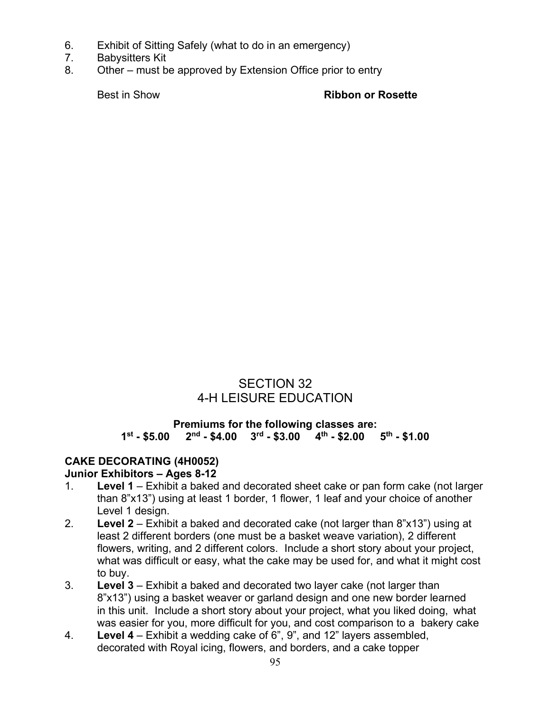- 6. Exhibit of Sitting Safely (what to do in an emergency)
- 7. Babysitters Kit
- 8. Other must be approved by Extension Office prior to entry

Best in Show **Ribbon or Rosette**

# SECTION 32 4-H LEISURE EDUCATION

#### **Premiums for the following classes are:**<br>1<sup>st</sup> - \$5.00 2<sup>nd</sup> - \$4.00 3<sup>rd</sup> - \$3.00 4<sup>th</sup> - \$2.00 **1st - \$5.00 2nd - \$4.00 3rd - \$3.00 4th - \$2.00 5th - \$1.00**

#### **CAKE DECORATING (4H0052) Junior Exhibitors – Ages 8-12**

- 1. **Level 1**  Exhibit a baked and decorated sheet cake or pan form cake (not larger than 8"x13") using at least 1 border, 1 flower, 1 leaf and your choice of another Level 1 design.
- 2. **Level 2**  Exhibit a baked and decorated cake (not larger than 8"x13") using at least 2 different borders (one must be a basket weave variation), 2 different flowers, writing, and 2 different colors. Include a short story about your project, what was difficult or easy, what the cake may be used for, and what it might cost to buy.
- 3. **Level 3**  Exhibit a baked and decorated two layer cake (not larger than 8"x13") using a basket weaver or garland design and one new border learned in this unit. Include a short story about your project, what you liked doing, what was easier for you, more difficult for you, and cost comparison to a bakery cake
- 4. **Level 4**  Exhibit a wedding cake of 6", 9", and 12" layers assembled, decorated with Royal icing, flowers, and borders, and a cake topper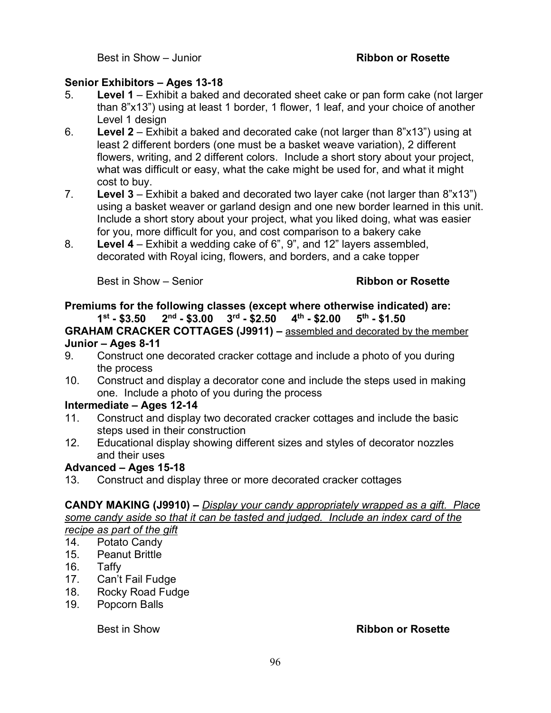Best in Show – Junior **Ribbon or Rosette**

#### **Senior Exhibitors – Ages 13-18**

- 5. **Level 1**  Exhibit a baked and decorated sheet cake or pan form cake (not larger than 8"x13") using at least 1 border, 1 flower, 1 leaf, and your choice of another Level 1 design
- 6. **Level 2**  Exhibit a baked and decorated cake (not larger than 8"x13") using at least 2 different borders (one must be a basket weave variation), 2 different flowers, writing, and 2 different colors. Include a short story about your project, what was difficult or easy, what the cake might be used for, and what it might cost to buy.
- 7. **Level 3**  Exhibit a baked and decorated two layer cake (not larger than 8"x13") using a basket weaver or garland design and one new border learned in this unit. Include a short story about your project, what you liked doing, what was easier for you, more difficult for you, and cost comparison to a bakery cake
- 8. **Level 4**  Exhibit a wedding cake of 6", 9", and 12" layers assembled, decorated with Royal icing, flowers, and borders, and a cake topper

Best in Show – Senior **Ribbon or Rosette** 

# **Premiums for the following classes (except where otherwise indicated) are:**

 $2<sup>nd</sup>$  - \$3.00  $3<sup>rd</sup>$  - \$2.50  $4<sup>th</sup>$  - \$2.00 **GRAHAM CRACKER COTTAGES (J9911) –** assembled and decorated by the member

#### **Junior – Ages 8-11**

- 9. Construct one decorated cracker cottage and include a photo of you during the process
- 10. Construct and display a decorator cone and include the steps used in making one. Include a photo of you during the process

### **Intermediate – Ages 12-14**

- 11. Construct and display two decorated cracker cottages and include the basic steps used in their construction
- 12. Educational display showing different sizes and styles of decorator nozzles and their uses

### **Advanced – Ages 15-18**

13. Construct and display three or more decorated cracker cottages

#### **CANDY MAKING (J9910) –** *Display your candy appropriately wrapped as a gift. Place some candy aside so that it can be tasted and judged. Include an index card of the recipe as part of the gift*

- 14. Potato Candy
- 15. Peanut Brittle
- 
- 16. Taffy<br>17. Can't Can't Fail Fudge
- 18. Rocky Road Fudge
- 19. Popcorn Balls

#### Best in Show **Ribbon or Rosette**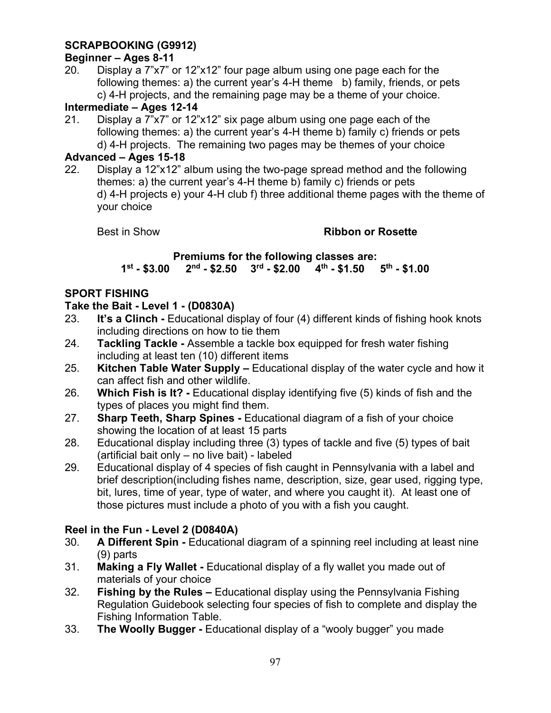# **SCRAPBOOKING (G9912)**

### **Beginner – Ages 8-11**

20. Display a 7"x7" or 12"x12" four page album using one page each for the following themes: a) the current year's 4-H theme b) family, friends, or pets c) 4-H projects, and the remaining page may be a theme of your choice.

### **Intermediate – Ages 12-14**

21. Display a 7"x7" or 12"x12" six page album using one page each of the following themes: a) the current year's 4-H theme b) family c) friends or pets d) 4-H projects. The remaining two pages may be themes of your choice

#### **Advanced – Ages 15-18**

22. Display a 12"x12" album using the two-page spread method and the following themes: a) the current year's 4-H theme b) family c) friends or pets d) 4-H projects e) your 4-H club f) three additional theme pages with the theme of your choice

### Best in Show **Ribbon or Rosette**

#### **Premiums for the following classes are:**<br>1<sup>st</sup> - \$3.00 2<sup>nd</sup> - \$2.50 3<sup>rd</sup> - \$2.00 4<sup>th</sup> - \$1.50 5<sup>th</sup> - \$1.00 **1st - \$3.00 2nd - \$2.50 3rd - \$2.00 4th - \$1.50 5th - \$1.00**

#### **SPORT FISHING**

# **Take the Bait - Level 1 - (D0830A)**

- It's a Clinch Educational display of four (4) different kinds of fishing hook knots including directions on how to tie them
- 24. **Tackling Tackle -** Assemble a tackle box equipped for fresh water fishing including at least ten (10) different items
- 25. **Kitchen Table Water Supply –** Educational display of the water cycle and how it can affect fish and other wildlife.
- 26. **Which Fish is It? -** Educational display identifying five (5) kinds of fish and the types of places you might find them.
- 27. **Sharp Teeth, Sharp Spines -** Educational diagram of a fish of your choice showing the location of at least 15 parts
- 28. Educational display including three (3) types of tackle and five (5) types of bait (artificial bait only – no live bait) - labeled
- 29. Educational display of 4 species of fish caught in Pennsylvania with a label and brief description(including fishes name, description, size, gear used, rigging type, bit, lures, time of year, type of water, and where you caught it). At least one of those pictures must include a photo of you with a fish you caught.

### **Reel in the Fun - Level 2 (D0840A)**

- 30. **A Different Spin -** Educational diagram of a spinning reel including at least nine (9) parts
- 31. **Making a Fly Wallet -** Educational display of a fly wallet you made out of materials of your choice
- 32. **Fishing by the Rules –** Educational display using the Pennsylvania Fishing Regulation Guidebook selecting four species of fish to complete and display the Fishing Information Table.
- 33. **The Woolly Bugger -** Educational display of a "wooly bugger" you made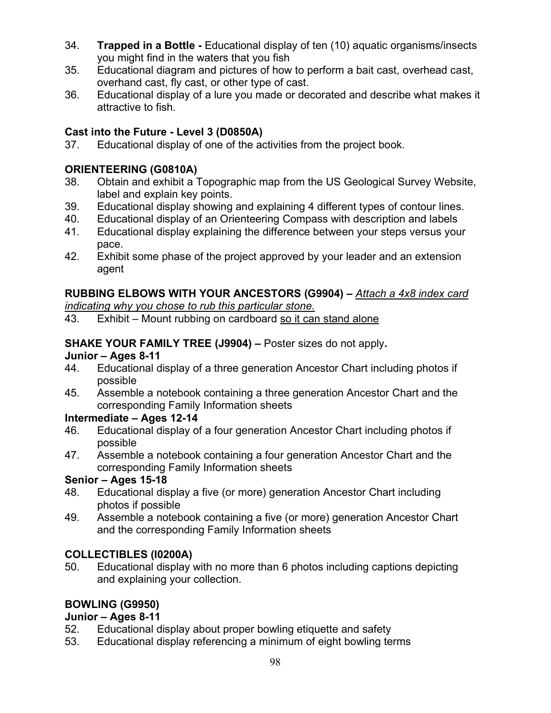- 34. **Trapped in a Bottle** Educational display of ten (10) aquatic organisms/insects you might find in the waters that you fish
- 35. Educational diagram and pictures of how to perform a bait cast, overhead cast, overhand cast, fly cast, or other type of cast.
- 36. Educational display of a lure you made or decorated and describe what makes it attractive to fish.

# **Cast into the Future - Level 3 (D0850A)**

37. Educational display of one of the activities from the project book.

# **ORIENTEERING (G0810A)**

- 38. Obtain and exhibit a Topographic map from the US Geological Survey Website, label and explain key points.
- 39. Educational display showing and explaining 4 different types of contour lines.
- 40. Educational display of an Orienteering Compass with description and labels
- 41. Educational display explaining the difference between your steps versus your pace.
- 42. Exhibit some phase of the project approved by your leader and an extension agent

# **RUBBING ELBOWS WITH YOUR ANCESTORS (G9904) –** *Attach a 4x8 index card*

*indicating why you chose to rub this particular stone.*

43. Exhibit – Mount rubbing on cardboard so it can stand alone

# **SHAKE YOUR FAMILY TREE (J9904) –** Poster sizes do not apply**.**

#### **Junior – Ages 8-11**

- 44. Educational display of a three generation Ancestor Chart including photos if possible
- 45. Assemble a notebook containing a three generation Ancestor Chart and the corresponding Family Information sheets

### **Intermediate – Ages 12-14**

- 46. Educational display of a four generation Ancestor Chart including photos if possible
- 47. Assemble a notebook containing a four generation Ancestor Chart and the corresponding Family Information sheets

# **Senior – Ages 15-18**

- 48. Educational display a five (or more) generation Ancestor Chart including photos if possible
- 49. Assemble a notebook containing a five (or more) generation Ancestor Chart and the corresponding Family Information sheets

# **COLLECTIBLES (I0200A)**

50. Educational display with no more than 6 photos including captions depicting and explaining your collection.

# **BOWLING (G9950)**

### **Junior – Ages 8-11**

- 52. Educational display about proper bowling etiquette and safety
- 53. Educational display referencing a minimum of eight bowling terms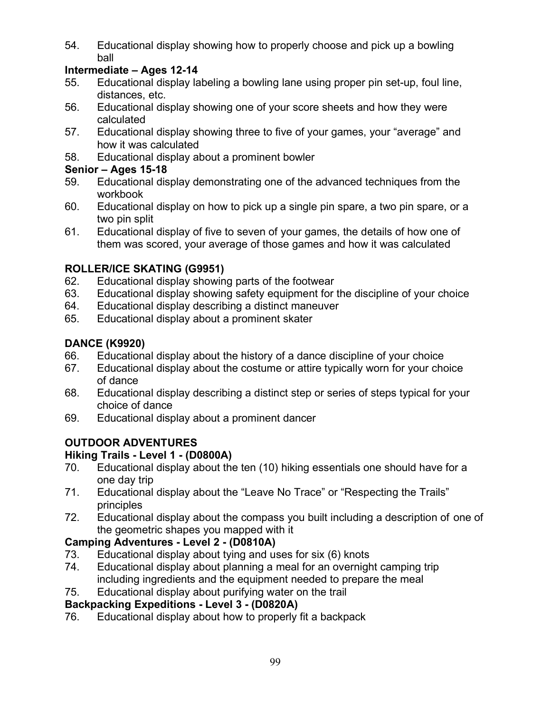54. Educational display showing how to properly choose and pick up a bowling ball

# **Intermediate – Ages 12-14**

- 55. Educational display labeling a bowling lane using proper pin set-up, foul line, distances, etc.
- 56. Educational display showing one of your score sheets and how they were calculated
- 57. Educational display showing three to five of your games, your "average" and how it was calculated
- 58. Educational display about a prominent bowler

# **Senior – Ages 15-18**

- 59. Educational display demonstrating one of the advanced techniques from the workbook
- 60. Educational display on how to pick up a single pin spare, a two pin spare, or a two pin split
- 61. Educational display of five to seven of your games, the details of how one of them was scored, your average of those games and how it was calculated

# **ROLLER/ICE SKATING (G9951)**

- 62. Educational display showing parts of the footwear
- 63. Educational display showing safety equipment for the discipline of your choice
- 64. Educational display describing a distinct maneuver
- 65. Educational display about a prominent skater

# **DANCE (K9920)**

- 66. Educational display about the history of a dance discipline of your choice
- 67. Educational display about the costume or attire typically worn for your choice of dance
- 68. Educational display describing a distinct step or series of steps typical for your choice of dance
- 69. Educational display about a prominent dancer

# **OUTDOOR ADVENTURES**

# **Hiking Trails - Level 1 - (D0800A)**

- 70. Educational display about the ten (10) hiking essentials one should have for a one day trip
- 71. Educational display about the "Leave No Trace" or "Respecting the Trails" principles
- 72. Educational display about the compass you built including a description of one of the geometric shapes you mapped with it

# **Camping Adventures - Level 2 - (D0810A)**

- 73. Educational display about tying and uses for six (6) knots
- 74. Educational display about planning a meal for an overnight camping trip including ingredients and the equipment needed to prepare the meal
- 75. Educational display about purifying water on the trail

# **Backpacking Expeditions - Level 3 - (D0820A)**

76. Educational display about how to properly fit a backpack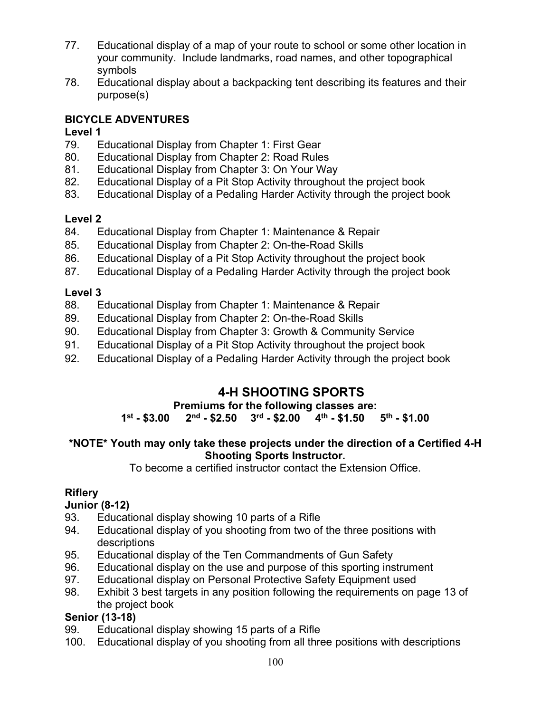- 77. Educational display of a map of your route to school or some other location in your community. Include landmarks, road names, and other topographical symbols
- 78. Educational display about a backpacking tent describing its features and their purpose(s)

# **BICYCLE ADVENTURES**

# **Level 1**

- 79. Educational Display from Chapter 1: First Gear
- 80. Educational Display from Chapter 2: Road Rules
- 81. Educational Display from Chapter 3: On Your Way
- 82. Educational Display of a Pit Stop Activity throughout the project book
- 83. Educational Display of a Pedaling Harder Activity through the project book

# **Level 2**

- 84. Educational Display from Chapter 1: Maintenance & Repair
- 85. Educational Display from Chapter 2: On-the-Road Skills
- 86. Educational Display of a Pit Stop Activity throughout the project book
- 87. Educational Display of a Pedaling Harder Activity through the project book

# **Level 3**

- 88. Educational Display from Chapter 1: Maintenance & Repair
- 89. Educational Display from Chapter 2: On-the-Road Skills
- 90. Educational Display from Chapter 3: Growth & Community Service
- 91. Educational Display of a Pit Stop Activity throughout the project book
- 92. Educational Display of a Pedaling Harder Activity through the project book

# **4-H SHOOTING SPORTS**

# **Premiums for the following classes are:**

# **1st - \$3.00 2nd - \$2.50 3rd - \$2.00 4th - \$1.50 5th - \$1.00**

# **\*NOTE\* Youth may only take these projects under the direction of a Certified 4-H Shooting Sports Instructor.**

To become a certified instructor contact the Extension Office.

# **Riflery**

# **Junior (8-12)**

- 93. Educational display showing 10 parts of a Rifle
- 94. Educational display of you shooting from two of the three positions with descriptions
- 95. Educational display of the Ten Commandments of Gun Safety
- 96. Educational display on the use and purpose of this sporting instrument
- 97. Educational display on Personal Protective Safety Equipment used
- 98. Exhibit 3 best targets in any position following the requirements on page 13 of the project book

# **Senior (13-18)**

- 99. Educational display showing 15 parts of a Rifle
- 100. Educational display of you shooting from all three positions with descriptions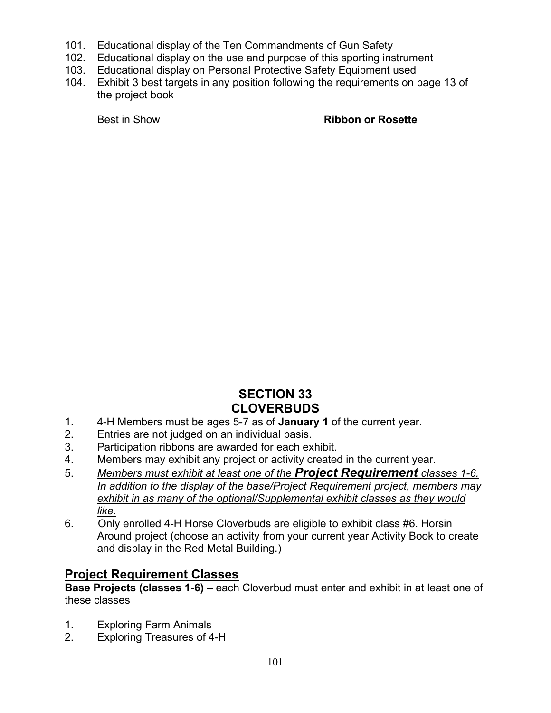- 101. Educational display of the Ten Commandments of Gun Safety
- 102. Educational display on the use and purpose of this sporting instrument
- 103. Educational display on Personal Protective Safety Equipment used
- 104. Exhibit 3 best targets in any position following the requirements on page 13 of the project book

#### Best in Show **Ribbon or Rosette**

# **SECTION 33 CLOVERBUDS**

- 1. 4-H Members must be ages 5-7 as of **January 1** of the current year.
- 2. Entries are not judged on an individual basis.
- 3. Participation ribbons are awarded for each exhibit.
- 4. Members may exhibit any project or activity created in the current year.
- 5. *Members must exhibit at least one of the Project Requirement classes 1-6. In addition to the display of the base/Project Requirement project, members may exhibit in as many of the optional/Supplemental exhibit classes as they would like.*
- 6. Only enrolled 4-H Horse Cloverbuds are eligible to exhibit class #6. Horsin Around project (choose an activity from your current year Activity Book to create and display in the Red Metal Building.)

# **Project Requirement Classes**

**Base Projects (classes 1-6) –** each Cloverbud must enter and exhibit in at least one of these classes

- 1. Exploring Farm Animals
- 2. Exploring Treasures of 4-H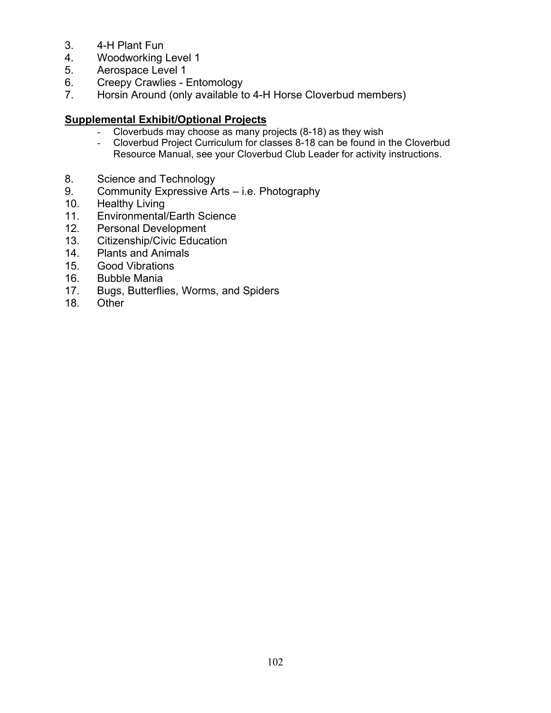- 3. 4-H Plant Fun
- 4. Woodworking Level 1
- 5. Aerospace Level 1
- 6. Creepy Crawlies Entomology<br>7. Horsin Around (only available to
- Horsin Around (only available to 4-H Horse Cloverbud members)

#### **Supplemental Exhibit/Optional Projects**

- Cloverbuds may choose as many projects (8-18) as they wish
- Cloverbud Project Curriculum for classes 8-18 can be found in the Cloverbud Resource Manual, see your Cloverbud Club Leader for activity instructions.
- 8. Science and Technology
- 9. Community Expressive Arts i.e. Photography<br>10. Healthy Living
- Healthy Living
- 11. Environmental/Earth Science<br>12. Personal Development
- Personal Development
- 13. Citizenship/Civic Education<br>14. Plants and Animals
- Plants and Animals
- 15. Good Vibrations
- 16. Bubble Mania
- 17. Bugs, Butterflies, Worms, and Spiders
- 18. Other